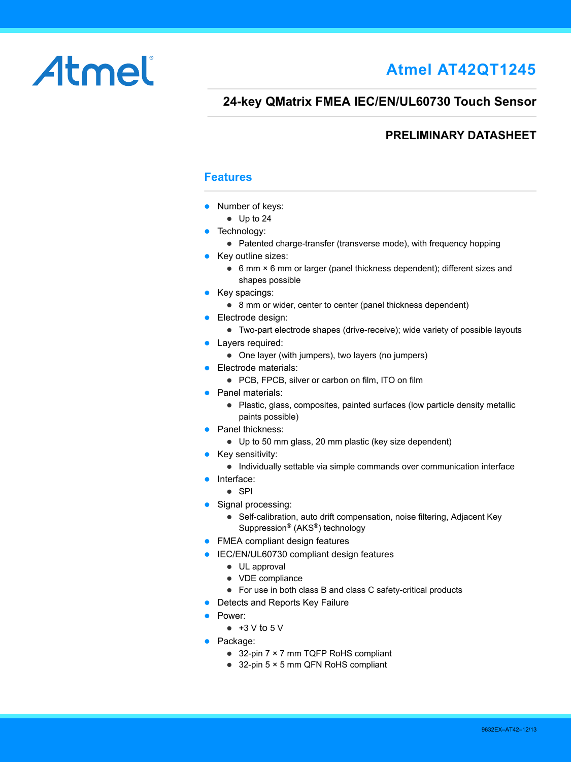# Atmel

# **Atmel AT42QT1245**

# **24-key QMatrix FMEA IEC/EN/UL60730 Touch Sensor**

# **PRELIMINARY DATASHEET**

# **Features**

- Number of keys:
	- Up to 24
- Technology:
	- Patented charge-transfer (transverse mode), with frequency hopping
- Key outline sizes:
	- 6 mm × 6 mm or larger (panel thickness dependent); different sizes and shapes possible
- $\bullet$  Key spacings:
	- 8 mm or wider, center to center (panel thickness dependent)
- **Electrode design:** 
	- Two-part electrode shapes (drive-receive); wide variety of possible layouts
- Layers required:
	- One layer (with jumpers), two layers (no jumpers)
- **Electrode materials:** 
	- PCB, FPCB, silver or carbon on film, ITO on film
- Panel materials:
	- Plastic, glass, composites, painted surfaces (low particle density metallic paints possible)
- Panel thickness:
	- Up to 50 mm glass, 20 mm plastic (key size dependent)
- $\bullet$  Key sensitivity:
	- Individually settable via simple commands over communication interface
- Interface:
	- $\bullet$  SPI
- Signal processing:
	- Self-calibration, auto drift compensation, noise filtering, Adjacent Key Suppression® (AKS®) technology
- FMEA compliant design features
- **IEC/EN/UL60730 compliant design features** 
	- UL approval
	- VDE compliance
	- For use in both class B and class C safety-critical products
- Detects and Reports Key Failure
- Power:
	- $\bullet$  +3 V to 5 V
- Package:
	- 32-pin 7 × 7 mm TQFP RoHS compliant
	- 32-pin 5 × 5 mm QFN RoHS compliant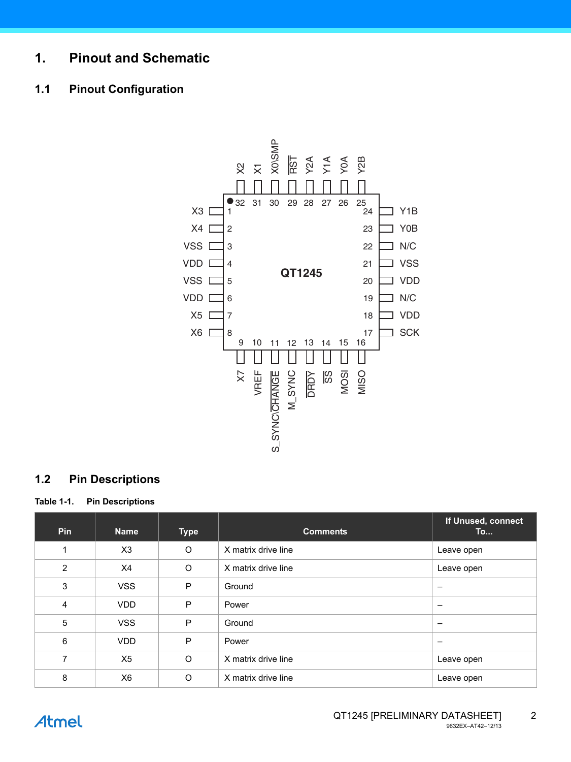# **1. Pinout and Schematic**

# **1.1 Pinout Configuration**



# **1.2 Pin Descriptions**

**Table 1-1. Pin Descriptions** 

| <b>Pin</b>     | <b>Name</b>    | <b>Type</b> | <b>Comments</b>     | If Unused, connect<br><b>To</b> |
|----------------|----------------|-------------|---------------------|---------------------------------|
| 1              | X3             | $\circ$     | X matrix drive line | Leave open                      |
| $\overline{2}$ | X4             | $\circ$     | X matrix drive line | Leave open                      |
| 3              | <b>VSS</b>     | P           | Ground              | -                               |
| 4              | <b>VDD</b>     | P           | Power               | $\overline{\phantom{0}}$        |
| 5              | <b>VSS</b>     | P           | Ground              | -                               |
| 6              | VDD.           | P           | Power               | $\qquad \qquad$                 |
| 7              | X <sub>5</sub> | $\circ$     | X matrix drive line | Leave open                      |
| 8              | X <sub>6</sub> | $\circ$     | X matrix drive line | Leave open                      |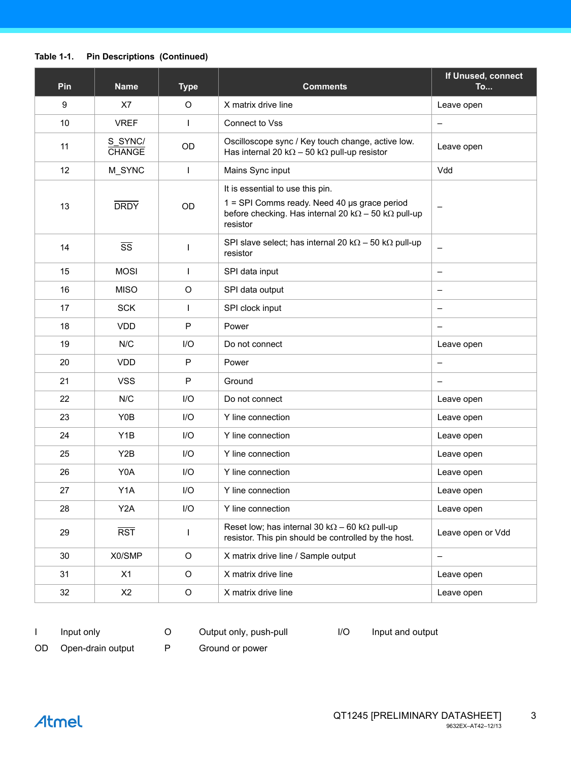# **Table 1-1. Pin Descriptions (Continued)**

| Pin | <b>Name</b>              | <b>Type</b>  | <b>Comments</b>                                                                                                                                                     | If Unused, connect<br><b>To</b> |
|-----|--------------------------|--------------|---------------------------------------------------------------------------------------------------------------------------------------------------------------------|---------------------------------|
| 9   | X7                       | O            | X matrix drive line                                                                                                                                                 | Leave open                      |
| 10  | <b>VREF</b>              |              | Connect to Vss                                                                                                                                                      | $\overline{\phantom{m}}$        |
| 11  | S_SYNC/<br><b>CHANGE</b> | OD           | Oscilloscope sync / Key touch change, active low.<br>Has internal 20 k $\Omega$ – 50 k $\Omega$ pull-up resistor                                                    | Leave open                      |
| 12  | M_SYNC                   | T            | Mains Sync input                                                                                                                                                    | Vdd                             |
| 13  | <b>DRDY</b>              | OD           | It is essential to use this pin.<br>1 = SPI Comms ready. Need 40 µs grace period<br>before checking. Has internal 20 k $\Omega$ - 50 k $\Omega$ pull-up<br>resistor |                                 |
| 14  | $\overline{\text{ss}}$   |              | SPI slave select; has internal 20 k $\Omega$ – 50 k $\Omega$ pull-up<br>resistor                                                                                    | $\qquad \qquad -$               |
| 15  | <b>MOSI</b>              | ı            | SPI data input                                                                                                                                                      | $\qquad \qquad -$               |
| 16  | <b>MISO</b>              | $\mathsf O$  | SPI data output                                                                                                                                                     | $\qquad \qquad -$               |
| 17  | <b>SCK</b>               | L            | SPI clock input                                                                                                                                                     | $\overline{\phantom{m}}$        |
| 18  | <b>VDD</b>               | $\mathsf{P}$ | Power                                                                                                                                                               | $\qquad \qquad -$               |
| 19  | N/C                      | 1/O          | Do not connect                                                                                                                                                      | Leave open                      |
| 20  | <b>VDD</b>               | P            | Power                                                                                                                                                               | $\overline{\phantom{m}}$        |
| 21  | <b>VSS</b>               | P            | Ground                                                                                                                                                              | $\qquad \qquad -$               |
| 22  | N/C                      | I/O          | Do not connect                                                                                                                                                      | Leave open                      |
| 23  | Y0B                      | $II$         | Y line connection                                                                                                                                                   | Leave open                      |
| 24  | Y <sub>1</sub> B         | I/O          | Y line connection                                                                                                                                                   | Leave open                      |
| 25  | Y <sub>2</sub> B         | I/O          | Y line connection                                                                                                                                                   | Leave open                      |
| 26  | Y0A                      | $UO$         | Y line connection                                                                                                                                                   | Leave open                      |
| 27  | Y <sub>1</sub> A         | I/O          | Y line connection                                                                                                                                                   | Leave open                      |
| 28  | Y <sub>2</sub> A         | I/O          | Y line connection                                                                                                                                                   | Leave open                      |
| 29  | $\overline{RST}$         |              | Reset low; has internal 30 k $\Omega$ – 60 k $\Omega$ pull-up<br>resistor. This pin should be controlled by the host.                                               | Leave open or Vdd               |
| 30  | X0/SMP                   | $\circ$      | X matrix drive line / Sample output                                                                                                                                 | $\overline{\phantom{m}}$        |
| 31  | X1                       | $\circ$      | X matrix drive line                                                                                                                                                 | Leave open                      |
| 32  | X2                       | $\mathsf O$  | X matrix drive line                                                                                                                                                 | Leave open                      |

I Input only C Output only, push-pull I/O Input and output

OD Open-drain output P Ground or power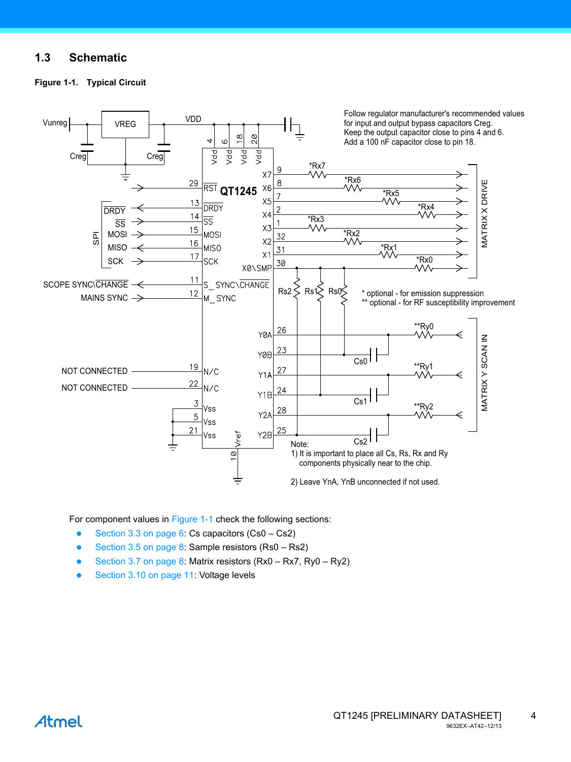# **1.3 Schematic**

<span id="page-3-0"></span>



For component values in [Figure 1-1](#page-3-0) check the following sections:

- [Section 3.3 on page 6](#page-5-0): Cs capacitors (Cs0 Cs2)
- [Section 3.5 on page 8](#page-7-0): Sample resistors  $(Rs0 Rs2)$
- [Section 3.7 on page 8](#page-7-1): Matrix resistors (Rx0 Rx7, Ry0 Ry2)
-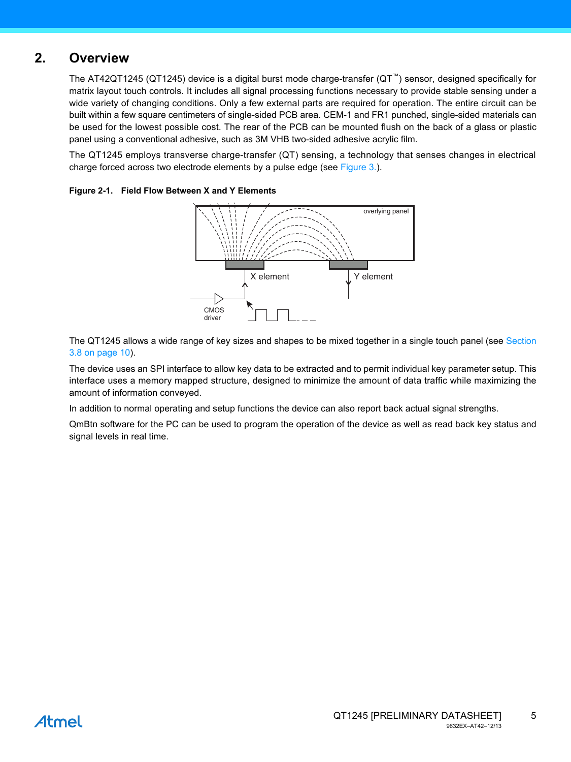# **2. Overview**

The AT42QT1245 (QT1245) device is a digital burst mode charge-transfer (QT™) sensor, designed specifically for matrix layout touch controls. It includes all signal processing functions necessary to provide stable sensing under a wide variety of changing conditions. Only a few external parts are required for operation. The entire circuit can be built within a few square centimeters of single-sided PCB area. CEM-1 and FR1 punched, single-sided materials can be used for the lowest possible cost. The rear of the PCB can be mounted flush on the back of a glass or plastic panel using a conventional adhesive, such as 3M VHB two-sided adhesive acrylic film.

The QT1245 employs transverse charge-transfer (QT) sensing, a technology that senses changes in electrical charge forced across two electrode elements by a pulse edge (see [Figure 3.\)](#page-5-1).



### **Figure 2-1. Field Flow Between X and Y Elements**

The QT1245 allows a wide range of key sizes and shapes to be mixed together in a single touch panel (see [Section](#page-9-0) [3.8 on page 10](#page-9-0)).

The device uses an SPI interface to allow key data to be extracted and to permit individual key parameter setup. This interface uses a memory mapped structure, designed to minimize the amount of data traffic while maximizing the amount of information conveyed.

In addition to normal operating and setup functions the device can also report back actual signal strengths.

QmBtn software for the PC can be used to program the operation of the device as well as read back key status and signal levels in real time.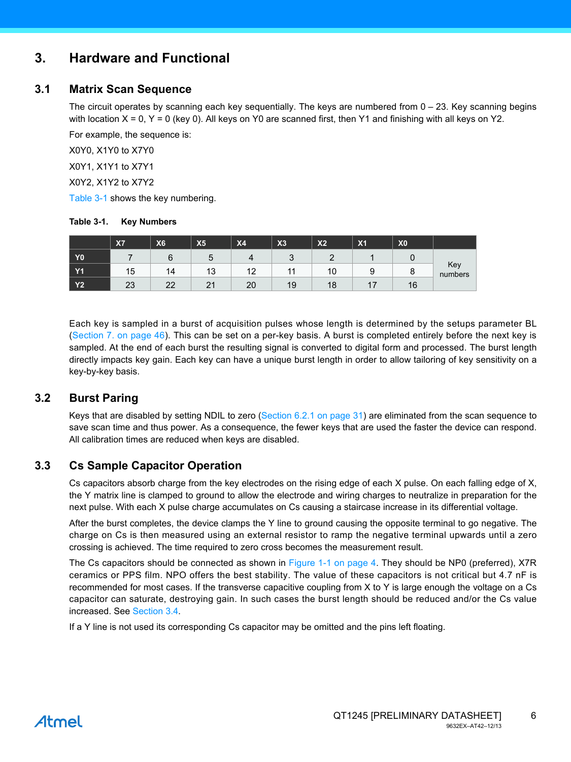# <span id="page-5-1"></span>**3. Hardware and Functional**

# **3.1 Matrix Scan Sequence**

The circuit operates by scanning each key sequentially. The keys are numbered from 0 – 23. Key scanning begins with location  $X = 0$ ,  $Y = 0$  (key 0). All keys on Y0 are scanned first, then Y1 and finishing with all keys on Y2.

For example, the sequence is:

X0Y0, X1Y0 to X7Y0

X0Y1, X1Y1 to X7Y1

X0Y2, X1Y2 to X7Y2

[Table 3-1](#page-5-2) shows the key numbering.

#### <span id="page-5-2"></span>**Table 3-1. Key Numbers**

|                | <b>X7</b> | X <sub>6</sub> | X <sub>5</sub> | X <sub>4</sub> | X3     | X <sub>2</sub> | X <sub>1</sub> | X <sub>0</sub> |                |
|----------------|-----------|----------------|----------------|----------------|--------|----------------|----------------|----------------|----------------|
| Y <sub>0</sub> |           | O              |                |                | ◠<br>u |                |                |                |                |
| <b>Y1</b>      | 15        | 14             | 13             | 12             |        | 10             | ,<br>ີ<br>v    | o              | Key<br>numbers |
| <b>Y2</b>      | 23        | $\Omega$<br>▃▵ | $\sim$<br>▴    | 20             | 19     | 10<br>Ιŏ       | . .            | 16             |                |

Each key is sampled in a burst of acquisition pulses whose length is determined by the setups parameter BL [\(Section 7. on page 46](#page-45-0)). This can be set on a per-key basis. A burst is completed entirely before the next key is sampled. At the end of each burst the resulting signal is converted to digital form and processed. The burst length directly impacts key gain. Each key can have a unique burst length in order to allow tailoring of key sensitivity on a key-by-key basis.

# **3.2 Burst Paring**

Keys that are disabled by setting NDIL to zero ([Section 6.2.1 on page 31\)](#page-30-0) are eliminated from the scan sequence to save scan time and thus power. As a consequence, the fewer keys that are used the faster the device can respond. All calibration times are reduced when keys are disabled.

# <span id="page-5-0"></span>**3.3 Cs Sample Capacitor Operation**

Cs capacitors absorb charge from the key electrodes on the rising edge of each X pulse. On each falling edge of X, the Y matrix line is clamped to ground to allow the electrode and wiring charges to neutralize in preparation for the next pulse. With each X pulse charge accumulates on Cs causing a staircase increase in its differential voltage.

After the burst completes, the device clamps the Y line to ground causing the opposite terminal to go negative. The charge on Cs is then measured using an external resistor to ramp the negative terminal upwards until a zero crossing is achieved. The time required to zero cross becomes the measurement result.

The Cs capacitors should be connected as shown in [Figure 1-1 on page 4](#page-3-0). They should be NP0 (preferred), X7R ceramics or PPS film. NPO offers the best stability. The value of these capacitors is not critical but 4.7 nF is recommended for most cases. If the transverse capacitive coupling from X to Y is large enough the voltage on a Cs capacitor can saturate, destroying gain. In such cases the burst length should be reduced and/or the Cs value increased. See [Section 3.4](#page-6-0).

If a Y line is not used its corresponding Cs capacitor may be omitted and the pins left floating.

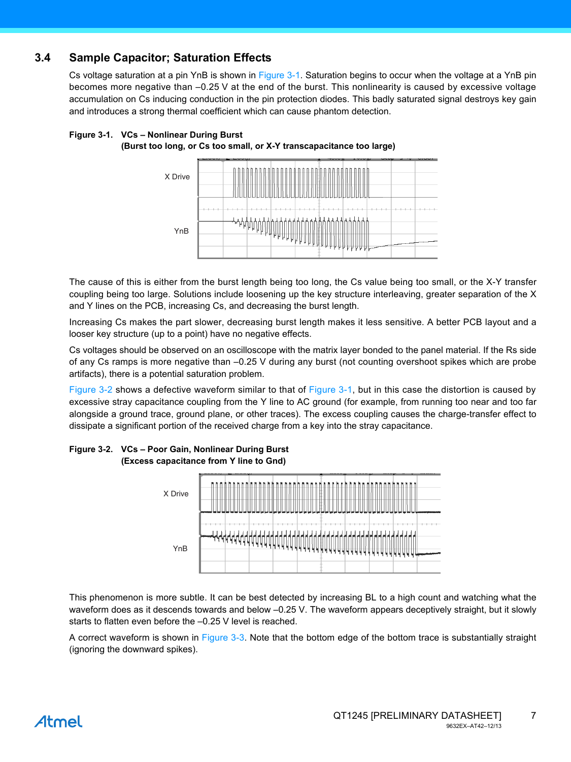# <span id="page-6-0"></span>**3.4 Sample Capacitor; Saturation Effects**

Cs voltage saturation at a pin YnB is shown in [Figure 3-1](#page-6-1). Saturation begins to occur when the voltage at a YnB pin becomes more negative than –0.25 V at the end of the burst. This nonlinearity is caused by excessive voltage accumulation on Cs inducing conduction in the pin protection diodes. This badly saturated signal destroys key gain and introduces a strong thermal coefficient which can cause phantom detection.

### <span id="page-6-1"></span>**Figure 3-1. VCs – Nonlinear During Burst (Burst too long, or Cs too small, or X-Y transcapacitance too large)**



The cause of this is either from the burst length being too long, the Cs value being too small, or the X-Y transfer coupling being too large. Solutions include loosening up the key structure interleaving, greater separation of the X and Y lines on the PCB, increasing Cs, and decreasing the burst length.

Increasing Cs makes the part slower, decreasing burst length makes it less sensitive. A better PCB layout and a looser key structure (up to a point) have no negative effects.

Cs voltages should be observed on an oscilloscope with the matrix layer bonded to the panel material. If the Rs side of any Cs ramps is more negative than –0.25 V during any burst (not counting overshoot spikes which are probe artifacts), there is a potential saturation problem.

[Figure 3-2](#page-6-2) shows a defective waveform similar to that of [Figure 3-1,](#page-6-1) but in this case the distortion is caused by excessive stray capacitance coupling from the Y line to AC ground (for example, from running too near and too far alongside a ground trace, ground plane, or other traces). The excess coupling causes the charge-transfer effect to dissipate a significant portion of the received charge from a key into the stray capacitance.



#### <span id="page-6-2"></span>**Figure 3-2. VCs – Poor Gain, Nonlinear During Burst (Excess capacitance from Y line to Gnd)**

This phenomenon is more subtle. It can be best detected by increasing BL to a high count and watching what the waveform does as it descends towards and below –0.25 V. The waveform appears deceptively straight, but it slowly starts to flatten even before the –0.25 V level is reached.

A correct waveform is shown in [Figure 3-3](#page-7-2). Note that the bottom edge of the bottom trace is substantially straight (ignoring the downward spikes).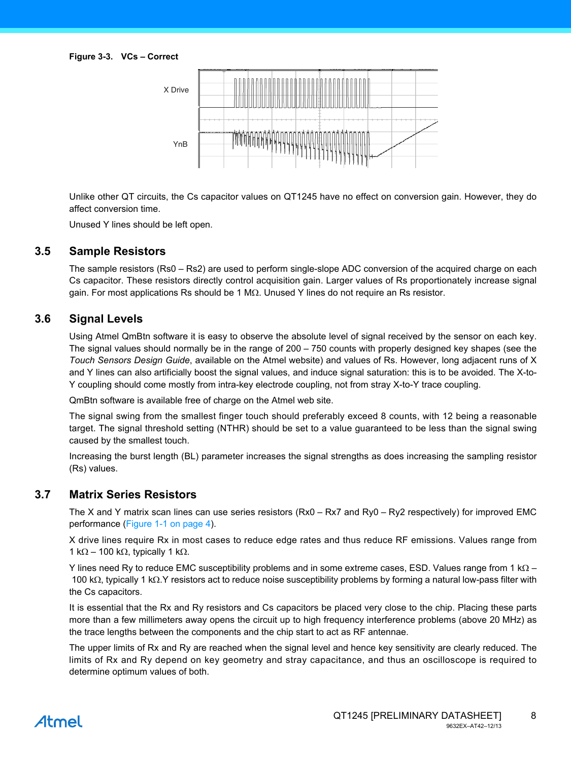<span id="page-7-2"></span>

Unlike other QT circuits, the Cs capacitor values on QT1245 have no effect on conversion gain. However, they do affect conversion time.

Unused Y lines should be left open.

### <span id="page-7-0"></span>**3.5 Sample Resistors**

The sample resistors (Rs0 – Rs2) are used to perform single-slope ADC conversion of the acquired charge on each Cs capacitor. These resistors directly control acquisition gain. Larger values of Rs proportionately increase signal gain. For most applications Rs should be 1 M $\Omega$ . Unused Y lines do not require an Rs resistor.

# **3.6 Signal Levels**

Using Atmel QmBtn software it is easy to observe the absolute level of signal received by the sensor on each key. The signal values should normally be in the range of 200 – 750 counts with properly designed key shapes (see the *Touch Sensors Design Guide*, available on the Atmel website) and values of Rs. However, long adjacent runs of X and Y lines can also artificially boost the signal values, and induce signal saturation: this is to be avoided. The X-to-Y coupling should come mostly from intra-key electrode coupling, not from stray X-to-Y trace coupling.

QmBtn software is available free of charge on the Atmel web site.

The signal swing from the smallest finger touch should preferably exceed 8 counts, with 12 being a reasonable target. The signal threshold setting (NTHR) should be set to a value guaranteed to be less than the signal swing caused by the smallest touch.

Increasing the burst length (BL) parameter increases the signal strengths as does increasing the sampling resistor (Rs) values.

### <span id="page-7-1"></span>**3.7 Matrix Series Resistors**

The X and Y matrix scan lines can use series resistors (Rx0 – Rx7 and Ry0 – Ry2 respectively) for improved EMC performance [\(Figure 1-1 on page 4](#page-3-0)).

X drive lines require Rx in most cases to reduce edge rates and thus reduce RF emissions. Values range from 1 k $\Omega$  – 100 k $\Omega$ , typically 1 k $\Omega$ .

Y lines need Ry to reduce EMC susceptibility problems and in some extreme cases, ESD. Values range from 1 k $\Omega$  – 100 k $\Omega$ , typically 1 k $\Omega$ . Y resistors act to reduce noise susceptibility problems by forming a natural low-pass filter with the Cs capacitors.

It is essential that the Rx and Ry resistors and Cs capacitors be placed very close to the chip. Placing these parts more than a few millimeters away opens the circuit up to high frequency interference problems (above 20 MHz) as the trace lengths between the components and the chip start to act as RF antennae.

The upper limits of Rx and Ry are reached when the signal level and hence key sensitivity are clearly reduced. The limits of Rx and Ry depend on key geometry and stray capacitance, and thus an oscilloscope is required to determine optimum values of both.

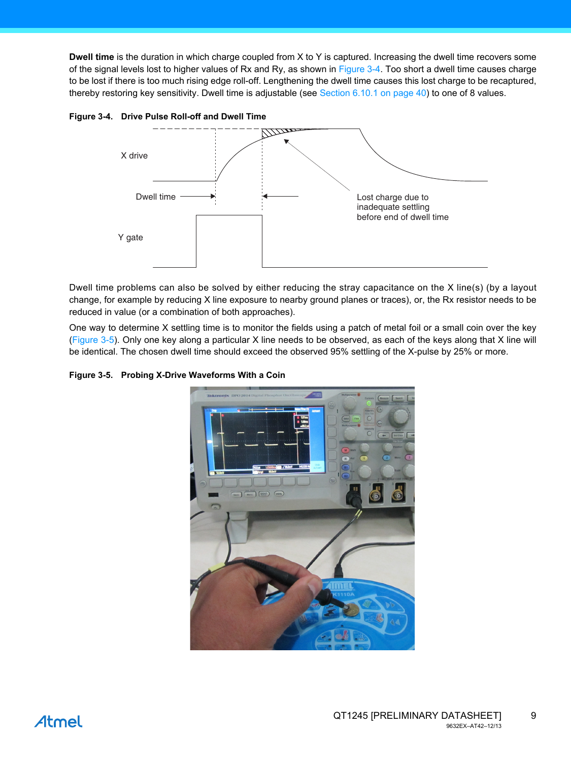**Dwell time** is the duration in which charge coupled from X to Y is captured. Increasing the dwell time recovers some of the signal levels lost to higher values of Rx and Ry, as shown in [Figure 3-4.](#page-8-0) Too short a dwell time causes charge to be lost if there is too much rising edge roll-off. Lengthening the dwell time causes this lost charge to be recaptured, thereby restoring key sensitivity. Dwell time is adjustable (see [Section 6.10.1 on page 40](#page-39-0)) to one of 8 values.



<span id="page-8-0"></span>**Figure 3-4. Drive Pulse Roll-off and Dwell Time** 

Dwell time problems can also be solved by either reducing the stray capacitance on the X line(s) (by a layout change, for example by reducing X line exposure to nearby ground planes or traces), or, the Rx resistor needs to be reduced in value (or a combination of both approaches).

One way to determine X settling time is to monitor the fields using a patch of metal foil or a small coin over the key [\(Figure 3-5\)](#page-8-1). Only one key along a particular X line needs to be observed, as each of the keys along that X line will be identical. The chosen dwell time should exceed the observed 95% settling of the X-pulse by 25% or more.

<span id="page-8-1"></span>**Figure 3-5. Probing X-Drive Waveforms With a Coin** 

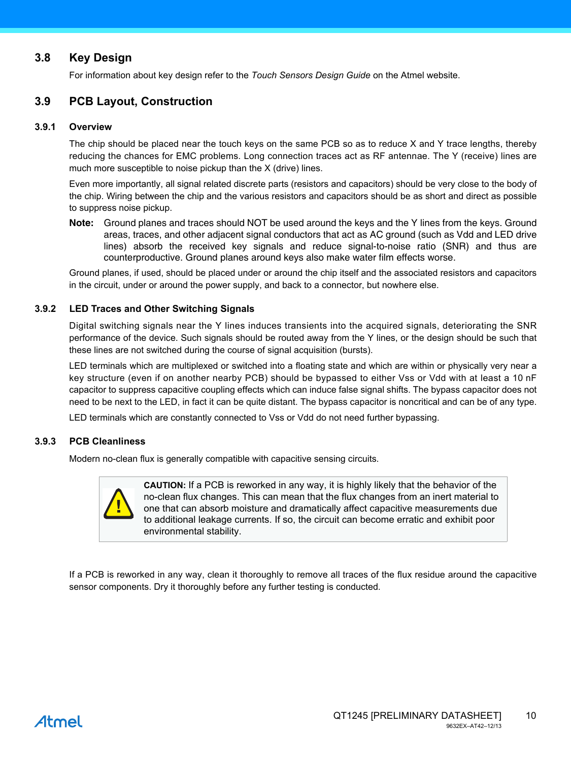# <span id="page-9-0"></span>**3.8 Key Design**

For information about key design refer to the *Touch Sensors Design Guide* on the Atmel website.

# **3.9 PCB Layout, Construction**

#### **3.9.1 Overview**

The chip should be placed near the touch keys on the same PCB so as to reduce X and Y trace lengths, thereby reducing the chances for EMC problems. Long connection traces act as RF antennae. The Y (receive) lines are much more susceptible to noise pickup than the X (drive) lines.

Even more importantly, all signal related discrete parts (resistors and capacitors) should be very close to the body of the chip. Wiring between the chip and the various resistors and capacitors should be as short and direct as possible to suppress noise pickup.

**Note:** Ground planes and traces should NOT be used around the keys and the Y lines from the keys. Ground areas, traces, and other adjacent signal conductors that act as AC ground (such as Vdd and LED drive lines) absorb the received key signals and reduce signal-to-noise ratio (SNR) and thus are counterproductive. Ground planes around keys also make water film effects worse.

Ground planes, if used, should be placed under or around the chip itself and the associated resistors and capacitors in the circuit, under or around the power supply, and back to a connector, but nowhere else.

#### **3.9.2 LED Traces and Other Switching Signals**

Digital switching signals near the Y lines induces transients into the acquired signals, deteriorating the SNR performance of the device. Such signals should be routed away from the Y lines, or the design should be such that these lines are not switched during the course of signal acquisition (bursts).

LED terminals which are multiplexed or switched into a floating state and which are within or physically very near a key structure (even if on another nearby PCB) should be bypassed to either Vss or Vdd with at least a 10 nF capacitor to suppress capacitive coupling effects which can induce false signal shifts. The bypass capacitor does not need to be next to the LED, in fact it can be quite distant. The bypass capacitor is noncritical and can be of any type.

LED terminals which are constantly connected to Vss or Vdd do not need further bypassing.

#### **3.9.3 PCB Cleanliness**

Modern no-clean flux is generally compatible with capacitive sensing circuits.



**CAUTION:** If a PCB is reworked in any way, it is highly likely that the behavior of the no-clean flux changes. This can mean that the flux changes from an inert material to one that can absorb moisture and dramatically affect capacitive measurements due to additional leakage currents. If so, the circuit can become erratic and exhibit poor environmental stability.

If a PCB is reworked in any way, clean it thoroughly to remove all traces of the flux residue around the capacitive sensor components. Dry it thoroughly before any further testing is conducted.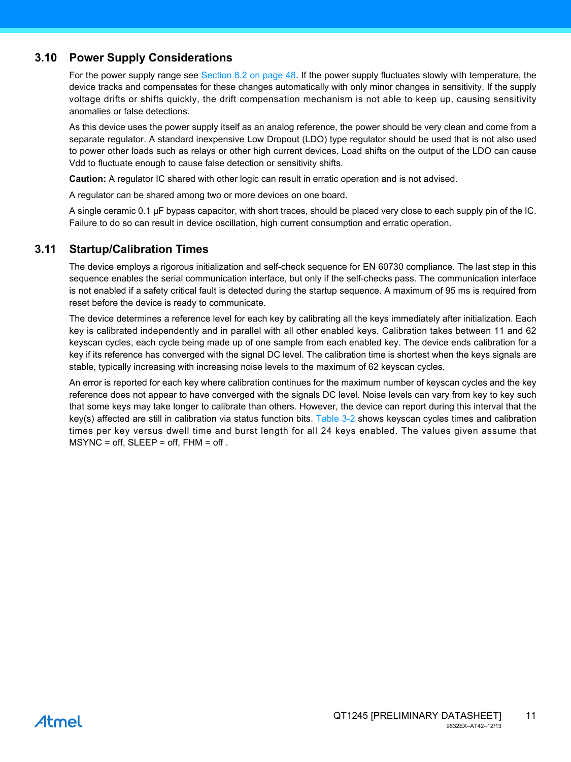# <span id="page-10-0"></span>**3.10 Power Supply Considerations**

For the power supply range see [Section 8.2 on page 48.](#page-47-0) If the power supply fluctuates slowly with temperature, the device tracks and compensates for these changes automatically with only minor changes in sensitivity. If the supply voltage drifts or shifts quickly, the drift compensation mechanism is not able to keep up, causing sensitivity anomalies or false detections.

As this device uses the power supply itself as an analog reference, the power should be very clean and come from a separate regulator. A standard inexpensive Low Dropout (LDO) type regulator should be used that is not also used to power other loads such as relays or other high current devices. Load shifts on the output of the LDO can cause Vdd to fluctuate enough to cause false detection or sensitivity shifts.

**Caution:** A regulator IC shared with other logic can result in erratic operation and is not advised.

A regulator can be shared among two or more devices on one board.

A single ceramic 0.1 µF bypass capacitor, with short traces, should be placed very close to each supply pin of the IC. Failure to do so can result in device oscillation, high current consumption and erratic operation.

# <span id="page-10-1"></span>**3.11 Startup/Calibration Times**

The device employs a rigorous initialization and self-check sequence for EN 60730 compliance. The last step in this sequence enables the serial communication interface, but only if the self-checks pass. The communication interface is not enabled if a safety critical fault is detected during the startup sequence. A maximum of 95 ms is required from reset before the device is ready to communicate.

The device determines a reference level for each key by calibrating all the keys immediately after initialization. Each key is calibrated independently and in parallel with all other enabled keys. Calibration takes between 11 and 62 keyscan cycles, each cycle being made up of one sample from each enabled key. The device ends calibration for a key if its reference has converged with the signal DC level. The calibration time is shortest when the keys signals are stable, typically increasing with increasing noise levels to the maximum of 62 keyscan cycles.

An error is reported for each key where calibration continues for the maximum number of keyscan cycles and the key reference does not appear to have converged with the signals DC level. Noise levels can vary from key to key such that some keys may take longer to calibrate than others. However, the device can report during this interval that the key(s) affected are still in calibration via status function bits. [Table 3-2](#page-11-0) shows keyscan cycles times and calibration times per key versus dwell time and burst length for all 24 keys enabled. The values given assume that  $MSYNC = off$ ,  $SLEEP = off$ ,  $FHM = off$ .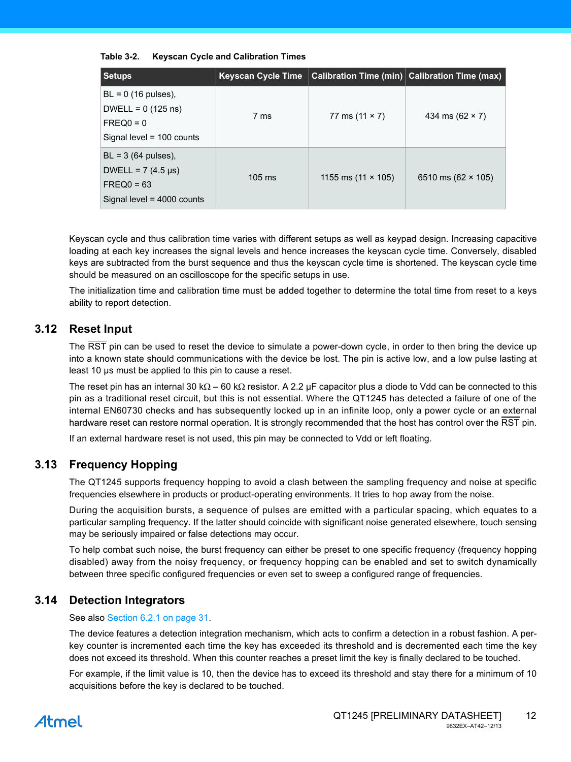| <b>Setups</b>                                                                                      | <b>Keyscan Cycle Time</b> |                           | <b>Calibration Time (min)</b> Calibration Time (max) |
|----------------------------------------------------------------------------------------------------|---------------------------|---------------------------|------------------------------------------------------|
| $BL = 0$ (16 pulses),<br>DWELL = $0(125 \text{ ns})$<br>$FREQ0 = 0$<br>Signal level = $100$ counts | 7 ms                      | 77 ms $(11 \times 7)$     | 434 ms $(62 \times 7)$                               |
| $BL = 3$ (64 pulses),<br>DWELL = $7(4.5 \,\mu s)$<br>$FREQ0 = 63$<br>Signal level = $4000$ counts  | $105 \text{ ms}$          | 1155 ms $(11 \times 105)$ | 6510 ms $(62 \times 105)$                            |

#### <span id="page-11-0"></span>**Table 3-2. Keyscan Cycle and Calibration Times**

Keyscan cycle and thus calibration time varies with different setups as well as keypad design. Increasing capacitive loading at each key increases the signal levels and hence increases the keyscan cycle time. Conversely, disabled keys are subtracted from the burst sequence and thus the keyscan cycle time is shortened. The keyscan cycle time should be measured on an oscilloscope for the specific setups in use.

The initialization time and calibration time must be added together to determine the total time from reset to a keys ability to report detection.

# **3.12 Reset Input**

The RST pin can be used to reset the device to simulate a power-down cycle, in order to then bring the device up into a known state should communications with the device be lost. The pin is active low, and a low pulse lasting at least 10 µs must be applied to this pin to cause a reset.

The reset pin has an internal 30 k $\Omega$  – 60 k $\Omega$  resistor. A 2.2 µF capacitor plus a diode to Vdd can be connected to this pin as a traditional reset circuit, but this is not essential. Where the QT1245 has detected a failure of one of the internal EN60730 checks and has subsequently locked up in an infinite loop, only a power cycle or an external hardware reset can restore normal operation. It is strongly recommended that the host has control over the RST pin.

If an external hardware reset is not used, this pin may be connected to Vdd or left floating.

# **3.13 Frequency Hopping**

The QT1245 supports frequency hopping to avoid a clash between the sampling frequency and noise at specific frequencies elsewhere in products or product-operating environments. It tries to hop away from the noise.

During the acquisition bursts, a sequence of pulses are emitted with a particular spacing, which equates to a particular sampling frequency. If the latter should coincide with significant noise generated elsewhere, touch sensing may be seriously impaired or false detections may occur.

To help combat such noise, the burst frequency can either be preset to one specific frequency (frequency hopping disabled) away from the noisy frequency, or frequency hopping can be enabled and set to switch dynamically between three specific configured frequencies or even set to sweep a configured range of frequencies.

# **3.14 Detection Integrators**

See also [Section 6.2.1 on page 31](#page-30-0).

The device features a detection integration mechanism, which acts to confirm a detection in a robust fashion. A perkey counter is incremented each time the key has exceeded its threshold and is decremented each time the key does not exceed its threshold. When this counter reaches a preset limit the key is finally declared to be touched.

For example, if the limit value is 10, then the device has to exceed its threshold and stay there for a minimum of 10 acquisitions before the key is declared to be touched.

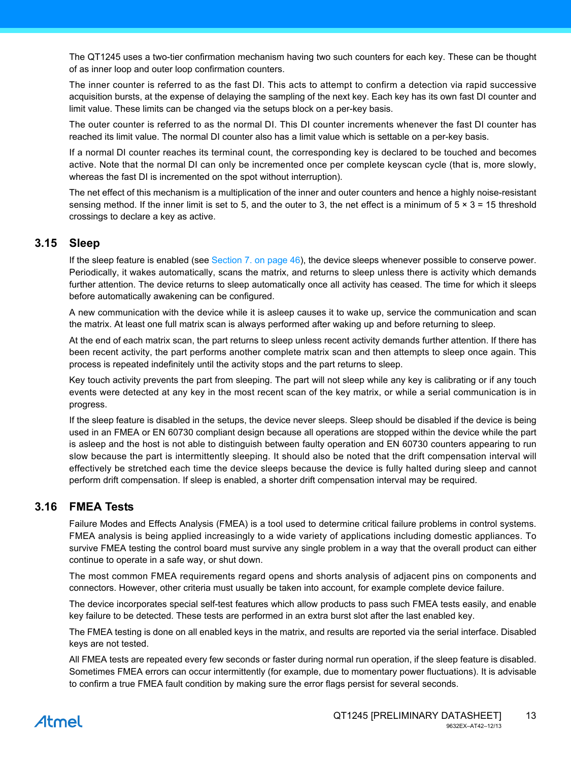The QT1245 uses a two-tier confirmation mechanism having two such counters for each key. These can be thought of as inner loop and outer loop confirmation counters.

The inner counter is referred to as the fast DI. This acts to attempt to confirm a detection via rapid successive acquisition bursts, at the expense of delaying the sampling of the next key. Each key has its own fast DI counter and limit value. These limits can be changed via the setups block on a per-key basis.

The outer counter is referred to as the normal DI. This DI counter increments whenever the fast DI counter has reached its limit value. The normal DI counter also has a limit value which is settable on a per-key basis.

If a normal DI counter reaches its terminal count, the corresponding key is declared to be touched and becomes active. Note that the normal DI can only be incremented once per complete keyscan cycle (that is, more slowly, whereas the fast DI is incremented on the spot without interruption).

The net effect of this mechanism is a multiplication of the inner and outer counters and hence a highly noise-resistant sensing method. If the inner limit is set to 5, and the outer to 3, the net effect is a minimum of  $5 \times 3 = 15$  threshold crossings to declare a key as active.

### **3.15 Sleep**

If the sleep feature is enabled (see [Section 7. on page 46](#page-45-0)), the device sleeps whenever possible to conserve power. Periodically, it wakes automatically, scans the matrix, and returns to sleep unless there is activity which demands further attention. The device returns to sleep automatically once all activity has ceased. The time for which it sleeps before automatically awakening can be configured.

A new communication with the device while it is asleep causes it to wake up, service the communication and scan the matrix. At least one full matrix scan is always performed after waking up and before returning to sleep.

At the end of each matrix scan, the part returns to sleep unless recent activity demands further attention. If there has been recent activity, the part performs another complete matrix scan and then attempts to sleep once again. This process is repeated indefinitely until the activity stops and the part returns to sleep.

Key touch activity prevents the part from sleeping. The part will not sleep while any key is calibrating or if any touch events were detected at any key in the most recent scan of the key matrix, or while a serial communication is in progress.

If the sleep feature is disabled in the setups, the device never sleeps. Sleep should be disabled if the device is being used in an FMEA or EN 60730 compliant design because all operations are stopped within the device while the part is asleep and the host is not able to distinguish between faulty operation and EN 60730 counters appearing to run slow because the part is intermittently sleeping. It should also be noted that the drift compensation interval will effectively be stretched each time the device sleeps because the device is fully halted during sleep and cannot perform drift compensation. If sleep is enabled, a shorter drift compensation interval may be required.

### <span id="page-12-0"></span>**3.16 FMEA Tests**

Failure Modes and Effects Analysis (FMEA) is a tool used to determine critical failure problems in control systems. FMEA analysis is being applied increasingly to a wide variety of applications including domestic appliances. To survive FMEA testing the control board must survive any single problem in a way that the overall product can either continue to operate in a safe way, or shut down.

The most common FMEA requirements regard opens and shorts analysis of adjacent pins on components and connectors. However, other criteria must usually be taken into account, for example complete device failure.

The device incorporates special self-test features which allow products to pass such FMEA tests easily, and enable key failure to be detected. These tests are performed in an extra burst slot after the last enabled key.

The FMEA testing is done on all enabled keys in the matrix, and results are reported via the serial interface. Disabled keys are not tested.

All FMEA tests are repeated every few seconds or faster during normal run operation, if the sleep feature is disabled. Sometimes FMEA errors can occur intermittently (for example, due to momentary power fluctuations). It is advisable to confirm a true FMEA fault condition by making sure the error flags persist for several seconds.

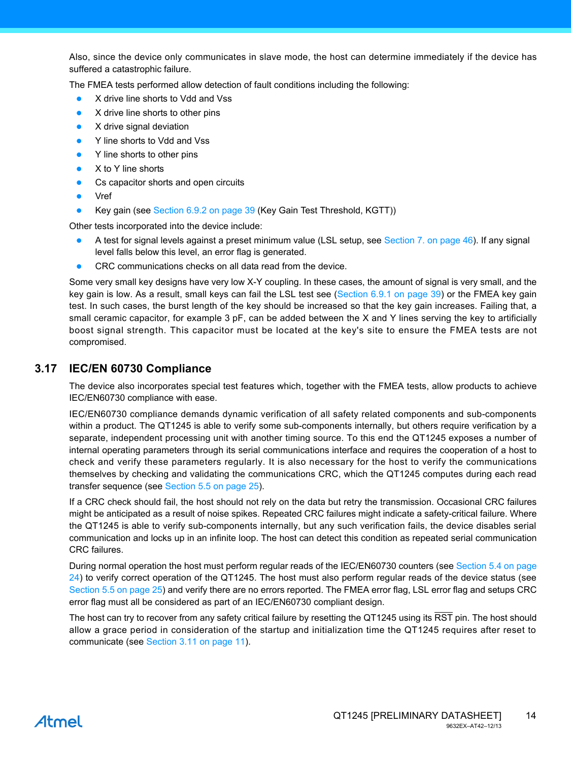Also, since the device only communicates in slave mode, the host can determine immediately if the device has suffered a catastrophic failure.

The FMEA tests performed allow detection of fault conditions including the following:

- X drive line shorts to Vdd and Vss
- X drive line shorts to other pins
- X drive signal deviation
- Y line shorts to Vdd and Vss
- Y line shorts to other pins
- X to Y line shorts
- Cs capacitor shorts and open circuits
- Vref
- Key gain (see [Section 6.9.2 on page 39](#page-38-0) (Key Gain Test Threshold, KGTT))

Other tests incorporated into the device include:

- A test for signal levels against a preset minimum value (LSL setup, see [Section 7. on page 46](#page-45-0)). If any signal level falls below this level, an error flag is generated.
- CRC communications checks on all data read from the device.

Some very small key designs have very low X-Y coupling. In these cases, the amount of signal is very small, and the key gain is low. As a result, small keys can fail the LSL test see ([Section 6.9.1 on page 39\)](#page-38-1) or the FMEA key gain test. In such cases, the burst length of the key should be increased so that the key gain increases. Failing that, a small ceramic capacitor, for example 3 pF, can be added between the X and Y lines serving the key to artificially boost signal strength. This capacitor must be located at the key's site to ensure the FMEA tests are not compromised.

# **3.17 IEC/EN 60730 Compliance**

The device also incorporates special test features which, together with the FMEA tests, allow products to achieve IEC/EN60730 compliance with ease.

IEC/EN60730 compliance demands dynamic verification of all safety related components and sub-components within a product. The QT1245 is able to verify some sub-components internally, but others require verification by a separate, independent processing unit with another timing source. To this end the QT1245 exposes a number of internal operating parameters through its serial communications interface and requires the cooperation of a host to check and verify these parameters regularly. It is also necessary for the host to verify the communications themselves by checking and validating the communications CRC, which the QT1245 computes during each read transfer sequence (see [Section 5.5 on page 25](#page-24-0)).

If a CRC check should fail, the host should not rely on the data but retry the transmission. Occasional CRC failures might be anticipated as a result of noise spikes. Repeated CRC failures might indicate a safety-critical failure. Where the QT1245 is able to verify sub-components internally, but any such verification fails, the device disables serial communication and locks up in an infinite loop. The host can detect this condition as repeated serial communication CRC failures.

During normal operation the host must perform regular reads of the IEC/EN60730 counters (see [Section 5.4 on page](#page-23-0) [24\)](#page-23-0) to verify correct operation of the QT1245. The host must also perform regular reads of the device status (see [Section 5.5 on page 25\)](#page-24-0) and verify there are no errors reported. The FMEA error flag, LSL error flag and setups CRC error flag must all be considered as part of an IEC/EN60730 compliant design.

The host can try to recover from any safety critical failure by resetting the QT1245 using its RST pin. The host should allow a grace period in consideration of the startup and initialization time the QT1245 requires after reset to communicate (see [Section 3.11 on page 11](#page-10-1)).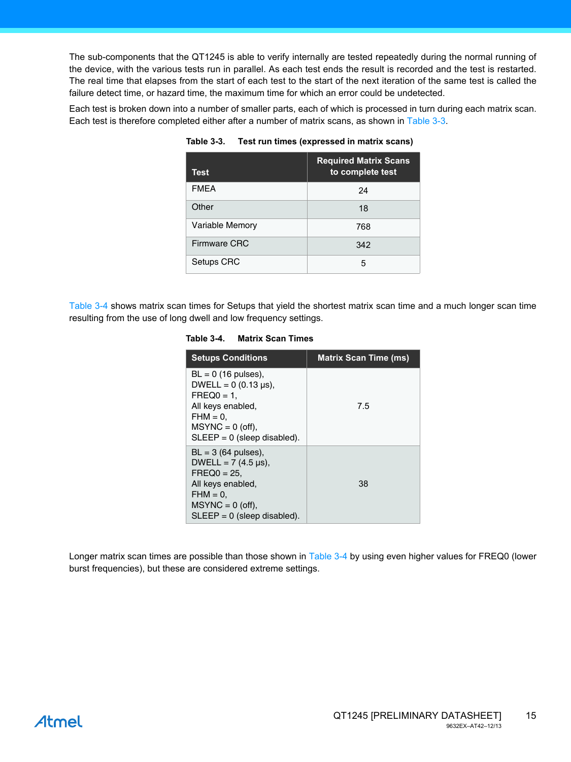The sub-components that the QT1245 is able to verify internally are tested repeatedly during the normal running of the device, with the various tests run in parallel. As each test ends the result is recorded and the test is restarted. The real time that elapses from the start of each test to the start of the next iteration of the same test is called the failure detect time, or hazard time, the maximum time for which an error could be undetected.

Each test is broken down into a number of smaller parts, each of which is processed in turn during each matrix scan. Each test is therefore completed either after a number of matrix scans, as shown in [Table 3-3.](#page-14-0)

| <b>Test</b>         | <b>Required Matrix Scans</b><br>to complete test |
|---------------------|--------------------------------------------------|
| <b>FMEA</b>         | 24                                               |
| Other               | 18                                               |
| Variable Memory     | 768                                              |
| <b>Firmware CRC</b> | 342                                              |
| Setups CRC          | 5                                                |

#### <span id="page-14-0"></span>**Table 3-3. Test run times (expressed in matrix scans)**

[Table 3-4](#page-14-1) shows matrix scan times for Setups that yield the shortest matrix scan time and a much longer scan time resulting from the use of long dwell and low frequency settings.

#### <span id="page-14-1"></span>**Table 3-4. Matrix Scan Times**

| <b>Setups Conditions</b>                                                                                                                                          | <b>Matrix Scan Time (ms)</b> |
|-------------------------------------------------------------------------------------------------------------------------------------------------------------------|------------------------------|
| $BL = 0$ (16 pulses),<br>DWELL = $0(0.13 \text{ µs})$ .<br>$FREQ0 = 1.$<br>All keys enabled,<br>$FHM = 0.$<br>$MSYNC = 0$ (off),<br>$SLEEP = 0$ (sleep disabled). | 7.5                          |
| $BL = 3$ (64 pulses),<br>DWELL = $7(4.5 \,\mu s)$ ,<br>$FREQ0 = 25.$<br>All keys enabled,<br>$FHM = 0.$<br>$MSYNC = 0$ (off),<br>$SLEEP = 0$ (sleep disabled).    | 38                           |

Longer matrix scan times are possible than those shown in [Table 3-4](#page-14-1) by using even higher values for FREQ0 (lower burst frequencies), but these are considered extreme settings.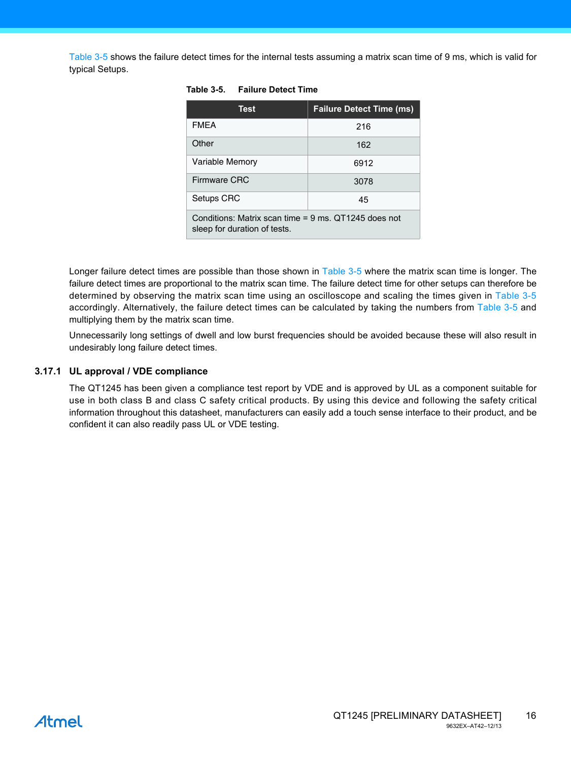[Table 3-5](#page-15-0) shows the failure detect times for the internal tests assuming a matrix scan time of 9 ms, which is valid for typical Setups.

| <b>Test</b>                                                                          | <b>Failure Detect Time (ms)</b> |  |
|--------------------------------------------------------------------------------------|---------------------------------|--|
| <b>FMEA</b>                                                                          | 216                             |  |
| Other                                                                                | 162                             |  |
| <b>Variable Memory</b>                                                               | 6912                            |  |
| Firmware CRC                                                                         | 3078                            |  |
| Setups CRC                                                                           | 45                              |  |
| Conditions: Matrix scan time = 9 ms. QT1245 does not<br>sleep for duration of tests. |                                 |  |

#### <span id="page-15-0"></span>**Table 3-5. Failure Detect Time**

Longer failure detect times are possible than those shown in [Table 3-5](#page-15-0) where the matrix scan time is longer. The failure detect times are proportional to the matrix scan time. The failure detect time for other setups can therefore be determined by observing the matrix scan time using an oscilloscope and scaling the times given in [Table 3-5](#page-15-0) accordingly. Alternatively, the failure detect times can be calculated by taking the numbers from [Table 3-5](#page-15-0) and multiplying them by the matrix scan time.

Unnecessarily long settings of dwell and low burst frequencies should be avoided because these will also result in undesirably long failure detect times.

#### **3.17.1 UL approval / VDE compliance**

The QT1245 has been given a compliance test report by VDE and is approved by UL as a component suitable for use in both class B and class C safety critical products. By using this device and following the safety critical information throughout this datasheet, manufacturers can easily add a touch sense interface to their product, and be confident it can also readily pass UL or VDE testing.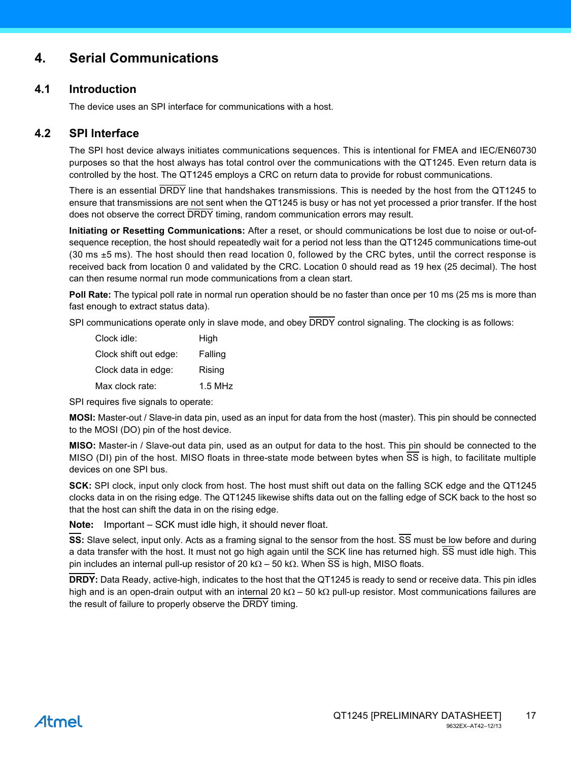# **4. Serial Communications**

# **4.1 Introduction**

The device uses an SPI interface for communications with a host.

# **4.2 SPI Interface**

The SPI host device always initiates communications sequences. This is intentional for FMEA and IEC/EN60730 purposes so that the host always has total control over the communications with the QT1245. Even return data is controlled by the host. The QT1245 employs a CRC on return data to provide for robust communications.

There is an essential DRDY line that handshakes transmissions. This is needed by the host from the QT1245 to ensure that transmissions are not sent when the QT1245 is busy or has not yet processed a prior transfer. If the host does not observe the correct DRDY timing, random communication errors may result.

**Initiating or Resetting Communications:** After a reset, or should communications be lost due to noise or out-ofsequence reception, the host should repeatedly wait for a period not less than the QT1245 communications time-out (30 ms  $\pm$ 5 ms). The host should then read location 0, followed by the CRC bytes, until the correct response is received back from location 0 and validated by the CRC. Location 0 should read as 19 hex (25 decimal). The host can then resume normal run mode communications from a clean start.

**Poll Rate:** The typical poll rate in normal run operation should be no faster than once per 10 ms (25 ms is more than fast enough to extract status data).

SPI communications operate only in slave mode, and obey  $\overline{DRDY}$  control signaling. The clocking is as follows:

| Clock idle:           | High      |
|-----------------------|-----------|
| Clock shift out edge: | Falling   |
| Clock data in edge:   | Rising    |
| Max clock rate:       | $1.5$ MHz |

SPI requires five signals to operate:

**MOSI:** Master-out / Slave-in data pin, used as an input for data from the host (master). This pin should be connected to the MOSI (DO) pin of the host device.

**MISO:** Master-in / Slave-out data pin, used as an output for data to the host. This pin should be connected to the MISO (DI) pin of the host. MISO floats in three-state mode between bytes when SS is high, to facilitate multiple devices on one SPI bus.

**SCK:** SPI clock, input only clock from host. The host must shift out data on the falling SCK edge and the QT1245 clocks data in on the rising edge. The QT1245 likewise shifts data out on the falling edge of SCK back to the host so that the host can shift the data in on the rising edge.

**Note:** Important – SCK must idle high, it should never float.

**SS:** Slave select, input only. Acts as a framing signal to the sensor from the host.  $\overline{SS}$  must be low before and during a data transfer with the host. It must not go high again until the SCK line has returned high. SS must idle high. This pin includes an internal pull-up resistor of 20 k $\Omega$  – 50 k $\Omega$ . When  $\overline{SS}$  is high, MISO floats.

**DRDY:** Data Ready, active-high, indicates to the host that the QT1245 is ready to send or receive data. This pin idles high and is an open-drain output with an internal 20 k $\Omega$  – 50 k $\Omega$  pull-up resistor. Most communications failures are the result of failure to properly observe the DRDY timing.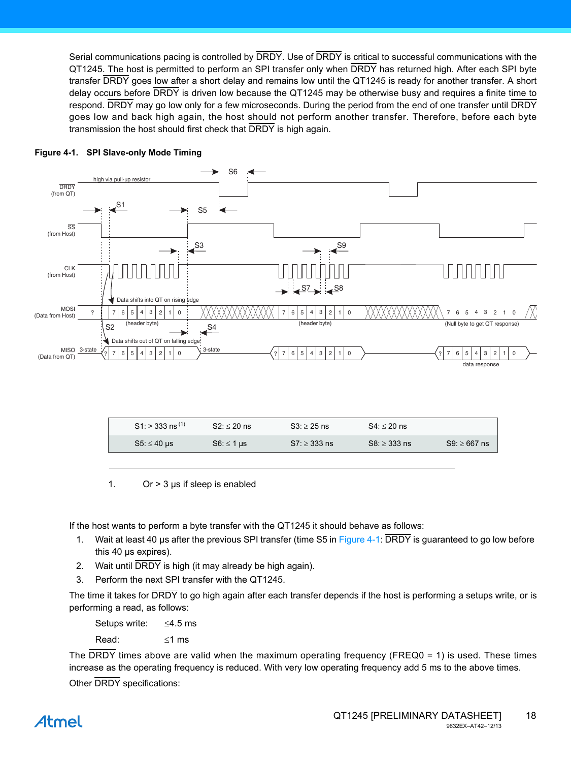Serial communications pacing is controlled by DRDY. Use of DRDY is critical to successful communications with the QT1245. The host is permitted to perform an SPI transfer only when DRDY has returned high. After each SPI byte transfer DRDY goes low after a short delay and remains low until the QT1245 is ready for another transfer. A short delay occurs before DRDY is driven low because the QT1245 may be otherwise busy and requires a finite time to respond. DRDY may go low only for a few microseconds. During the period from the end of one transfer until DRDY goes low and back high again, the host should not perform another transfer. Therefore, before each byte transmission the host should first check that DRDY is high again.



#### <span id="page-17-0"></span>**Figure 4-1. SPI Slave-only Mode Timing**

| $S1:$ > 333 ns <sup>(1)</sup> | $S2: < 20$ ns   | $S3 > 25$ ns  | $S4: < 20$ ns  |               |
|-------------------------------|-----------------|---------------|----------------|---------------|
| $S5 \leq 40$ µs               | $S6: \leq 1$ us | $S7 > 333$ ns | $SS: > 333$ ns | $S9 > 667$ ns |

1. Or  $>$  3  $\mu$ s if sleep is enabled

If the host wants to perform a byte transfer with the QT1245 it should behave as follows:

- 1. Wait at least 40 µs after the previous SPI transfer (time S5 in [Figure 4-1:](#page-17-0) DRDY is guaranteed to go low before this 40 µs expires).
- 2. Wait until DRDY is high (it may already be high again).
- 3. Perform the next SPI transfer with the QT1245.

The time it takes for DRDY to go high again after each transfer depends if the host is performing a setups write, or is performing a read, as follows:

Setups write:  $\leq$ 4.5 ms

Read:  $\leq 1$  ms

The DRDY times above are valid when the maximum operating frequency (FREQ0 = 1) is used. These times increase as the operating frequency is reduced. With very low operating frequency add 5 ms to the above times.

Other DRDY specifications: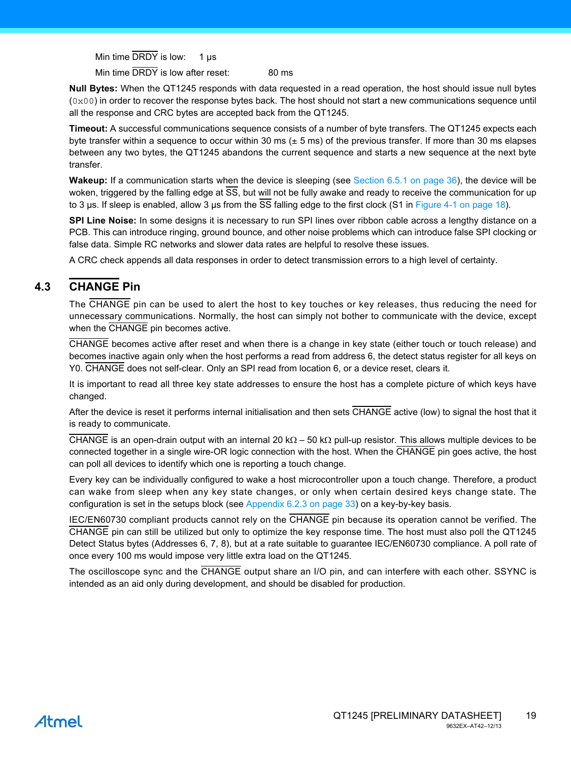Min time  $\overline{DRDY}$  is low: 1 us

Min time DRDY is low after reset: 80 ms

**Null Bytes:** When the QT1245 responds with data requested in a read operation, the host should issue null bytes  $(0 \times 00)$  in order to recover the response bytes back. The host should not start a new communications sequence until all the response and CRC bytes are accepted back from the QT1245.

**Timeout:** A successful communications sequence consists of a number of byte transfers. The QT1245 expects each byte transfer within a sequence to occur within 30 ms  $(\pm 5 \text{ ms})$  of the previous transfer. If more than 30 ms elapses between any two bytes, the QT1245 abandons the current sequence and starts a new sequence at the next byte transfer.

**Wakeup:** If a communication starts when the device is sleeping (see [Section 6.5.1 on page 36](#page-35-0)), the device will be woken, triggered by the falling edge at SS, but will not be fully awake and ready to receive the communication for up to 3 us. If sleep is enabled, allow 3 us from the SS falling edge to the first clock (S1 in [Figure 4-1 on page 18\)](#page-17-0).

**SPI Line Noise:** In some designs it is necessary to run SPI lines over ribbon cable across a lengthy distance on a PCB. This can introduce ringing, ground bounce, and other noise problems which can introduce false SPI clocking or false data. Simple RC networks and slower data rates are helpful to resolve these issues.

A CRC check appends all data responses in order to detect transmission errors to a high level of certainty.

# <span id="page-18-0"></span>**4.3 CHANGE Pin**

The CHANGE pin can be used to alert the host to key touches or key releases, thus reducing the need for unnecessary communications. Normally, the host can simply not bother to communicate with the device, except when the CHANGE pin becomes active.

CHANGE becomes active after reset and when there is a change in key state (either touch or touch release) and becomes inactive again only when the host performs a read from address 6, the detect status register for all keys on Y0. CHANGE does not self-clear. Only an SPI read from location 6, or a device reset, clears it.

It is important to read all three key state addresses to ensure the host has a complete picture of which keys have changed.

After the device is reset it performs internal initialisation and then sets CHANGE active (low) to signal the host that it is ready to communicate.

CHANGE is an open-drain output with an internal 20 k $\Omega$  – 50 k $\Omega$  pull-up resistor. This allows multiple devices to be connected together in a single wire-OR logic connection with the host. When the CHANGE pin goes active, the host can poll all devices to identify which one is reporting a touch change.

Every key can be individually configured to wake a host microcontroller upon a touch change. Therefore, a product can wake from sleep when any key state changes, or only when certain desired keys change state. The configuration is set in the setups block (see [Appendix 6.2.3 on page 33\)](#page-32-0) on a key-by-key basis.

IEC/EN60730 compliant products cannot rely on the CHANGE pin because its operation cannot be verified. The CHANGE pin can still be utilized but only to optimize the key response time. The host must also poll the QT1245 Detect Status bytes (Addresses 6, 7, 8), but at a rate suitable to guarantee IEC/EN60730 compliance. A poll rate of once every 100 ms would impose very little extra load on the QT1245.

The oscilloscope sync and the CHANGE output share an I/O pin, and can interfere with each other. SSYNC is intended as an aid only during development, and should be disabled for production.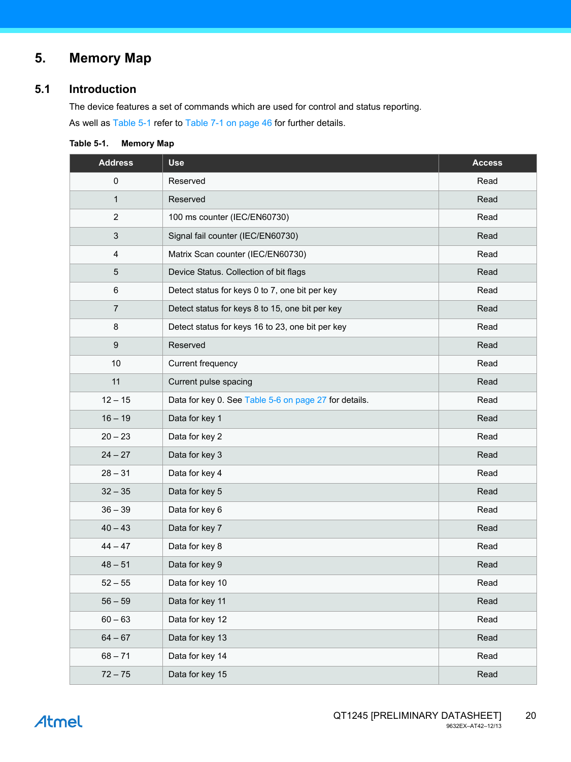# **5. Memory Map**

# **5.1 Introduction**

The device features a set of commands which are used for control and status reporting. As well as [Table 5-1](#page-19-0) refer to [Table 7-1 on page 46](#page-45-1) for further details.

<span id="page-19-0"></span>

| Table 5-1. | <b>Memory Map</b> |  |
|------------|-------------------|--|
|------------|-------------------|--|

| <b>Address</b>            | <b>Use</b>                                            | <b>Access</b> |
|---------------------------|-------------------------------------------------------|---------------|
| $\pmb{0}$                 | Reserved                                              | Read          |
| $\mathbf{1}$              | Reserved                                              | Read          |
| $\sqrt{2}$                | 100 ms counter (IEC/EN60730)                          | Read          |
| $\ensuremath{\mathsf{3}}$ | Signal fail counter (IEC/EN60730)                     | Read          |
| 4                         | Matrix Scan counter (IEC/EN60730)                     | Read          |
| 5                         | Device Status. Collection of bit flags                | Read          |
| $\,6$                     | Detect status for keys 0 to 7, one bit per key        | Read          |
| $\overline{7}$            | Detect status for keys 8 to 15, one bit per key       | Read          |
| 8                         | Detect status for keys 16 to 23, one bit per key      | Read          |
| $\boldsymbol{9}$          | Reserved                                              | Read          |
| 10                        | Current frequency                                     | Read          |
| 11                        | Current pulse spacing                                 | Read          |
| $12 - 15$                 | Data for key 0. See Table 5-6 on page 27 for details. | Read          |
| $16 - 19$                 | Data for key 1                                        | Read          |
| $20 - 23$                 | Data for key 2                                        | Read          |
| $24 - 27$                 | Data for key 3                                        | Read          |
| $28 - 31$                 | Data for key 4                                        | Read          |
| $32 - 35$                 | Data for key 5                                        | Read          |
| $36 - 39$                 | Data for key 6                                        | Read          |
| $40 - 43$                 | Data for key 7                                        | Read          |
| $44 - 47$                 | Data for key 8                                        | Read          |
| $48 - 51$                 | Data for key 9                                        | Read          |
| $52 - 55$                 | Data for key 10                                       | Read          |
| $56 - 59$                 | Data for key 11                                       | Read          |
| $60 - 63$                 | Data for key 12                                       | Read          |
| $64 - 67$                 | Data for key 13                                       | Read          |
| $68 - 71$                 | Data for key 14                                       | Read          |
| $72 - 75$                 | Data for key 15                                       | Read          |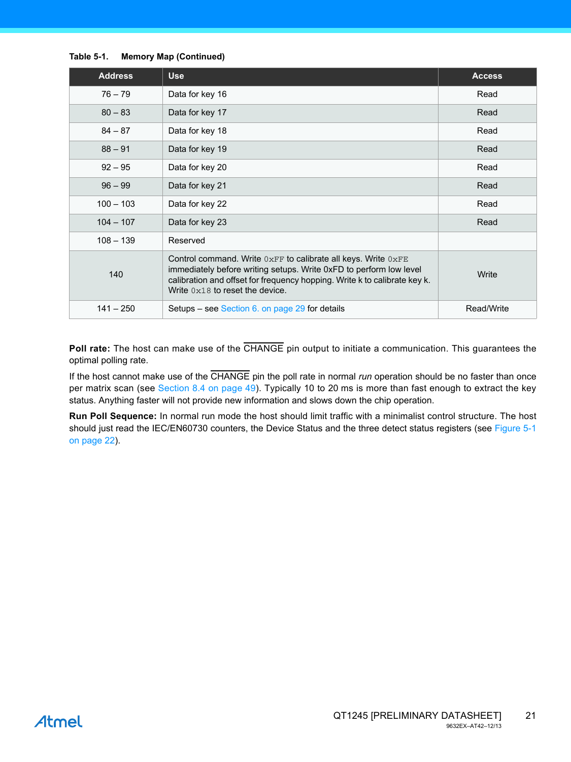#### **Table 5-1. Memory Map (Continued)**

| <b>Address</b> | <b>Use</b>                                                                                                                                                                                                                                                       | <b>Access</b> |
|----------------|------------------------------------------------------------------------------------------------------------------------------------------------------------------------------------------------------------------------------------------------------------------|---------------|
| $76 - 79$      | Data for key 16                                                                                                                                                                                                                                                  | Read          |
| $80 - 83$      | Data for key 17                                                                                                                                                                                                                                                  | Read          |
| $84 - 87$      | Data for key 18                                                                                                                                                                                                                                                  | Read          |
| $88 - 91$      | Data for key 19                                                                                                                                                                                                                                                  | Read          |
| $92 - 95$      | Data for key 20                                                                                                                                                                                                                                                  | Read          |
| $96 - 99$      | Data for key 21                                                                                                                                                                                                                                                  | Read          |
| $100 - 103$    | Data for key 22                                                                                                                                                                                                                                                  | Read          |
| $104 - 107$    | Data for key 23                                                                                                                                                                                                                                                  | Read          |
| $108 - 139$    | Reserved                                                                                                                                                                                                                                                         |               |
| 140            | Control command. Write $0xFF$ to calibrate all keys. Write $0xFE$<br>immediately before writing setups. Write 0xFD to perform low level<br>calibration and offset for frequency hopping. Write k to calibrate key k.<br>Write $0 \times 18$ to reset the device. | Write         |
| $141 - 250$    | Setups – see Section 6. on page 29 for details                                                                                                                                                                                                                   | Read/Write    |

**Poll rate:** The host can make use of the CHANGE pin output to initiate a communication. This guarantees the optimal polling rate.

If the host cannot make use of the CHANGE pin the poll rate in normal *run* operation should be no faster than once per matrix scan (see [Section 8.4 on page 49](#page-48-0)). Typically 10 to 20 ms is more than fast enough to extract the key status. Anything faster will not provide new information and slows down the chip operation.

**Run Poll Sequence:** In normal run mode the host should limit traffic with a minimalist control structure. The host should just read the IEC/EN60730 counters, the Device Status and the three detect status registers (see [Figure 5-1](#page-21-0) [on page 22\)](#page-21-0).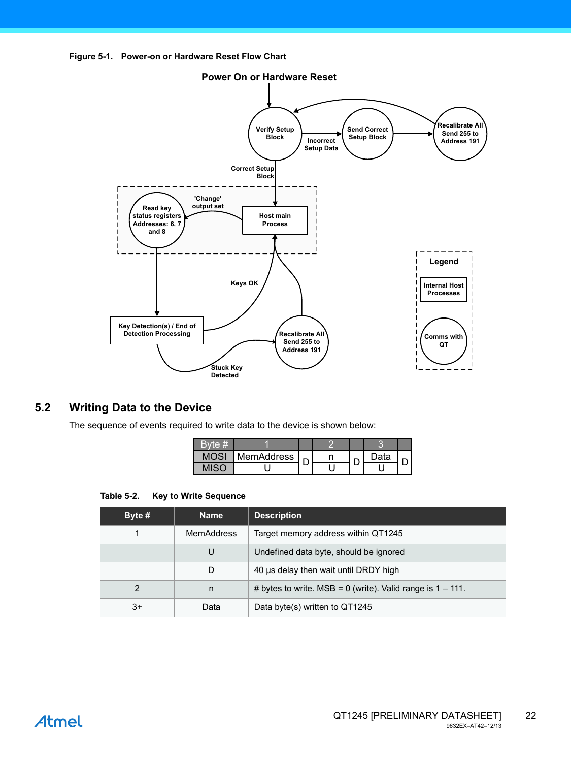<span id="page-21-0"></span>



# **5.2 Writing Data to the Device**

The sequence of events required to write data to the device is shown below:

| <b>MemAddress</b> |  | ว <sub>ata</sub> |  |
|-------------------|--|------------------|--|
|                   |  |                  |  |

#### **Table 5-2. Key to Write Sequence**

| Byte $#$ | <b>Name</b>       | <b>Description</b>                                              |
|----------|-------------------|-----------------------------------------------------------------|
| 1        | <b>MemAddress</b> | Target memory address within QT1245                             |
|          | U                 | Undefined data byte, should be ignored                          |
|          | D                 | 40 µs delay then wait until DRDY high                           |
| 2        | n                 | # bytes to write. MSB = $0$ (write). Valid range is $1 - 111$ . |
| $3+$     | Data              | Data byte(s) written to QT1245                                  |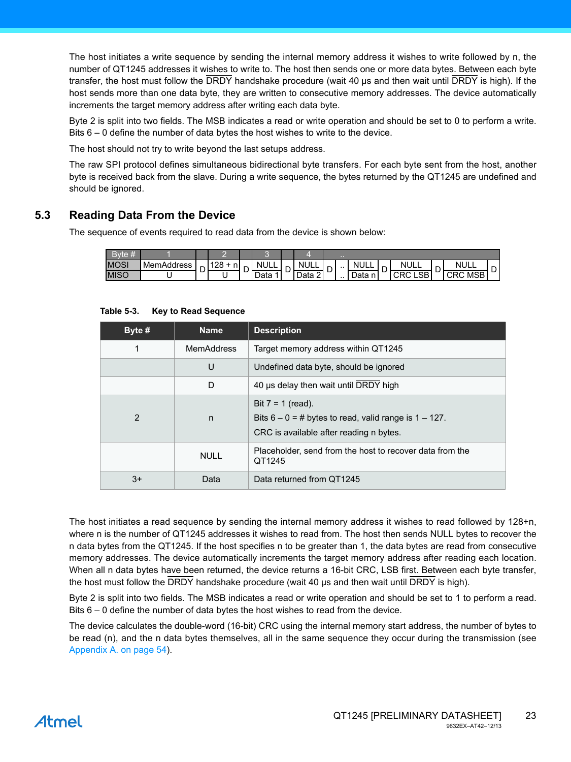The host initiates a write sequence by sending the internal memory address it wishes to write followed by n, the number of QT1245 addresses it wishes to write to. The host then sends one or more data bytes. Between each byte transfer, the host must follow the DRDY handshake procedure (wait 40 µs and then wait until DRDY is high). If the host sends more than one data byte, they are written to consecutive memory addresses. The device automatically increments the target memory address after writing each data byte.

Byte 2 is split into two fields. The MSB indicates a read or write operation and should be set to 0 to perform a write. Bits 6 – 0 define the number of data bytes the host wishes to write to the device.

The host should not try to write beyond the last setups address.

The raw SPI protocol defines simultaneous bidirectional byte transfers. For each byte sent from the host, another byte is received back from the slave. During a write sequence, the bytes returned by the QT1245 are undefined and should be ignored.

# **5.3 Reading Data From the Device**

The sequence of events required to read data from the device is shown below:

|             |            |   |                       |   |             |   |                                |   | $\sim$ |                |   |                      |                        |  |
|-------------|------------|---|-----------------------|---|-------------|---|--------------------------------|---|--------|----------------|---|----------------------|------------------------|--|
| <b>MOSI</b> | MemAddress | ∽ | 120<br>n,<br>∣∠o<br>. |   | <b>NULL</b> |   | ΝI<br>$\overline{\phantom{a}}$ |   | . .    | <b>NULL</b>    | - | <b>NULL</b>          | <b>NULL</b>            |  |
| <b>MISO</b> |            | ◡ | ີ                     | ◡ | Data        | ັ | $\sim$<br>Data                 | − | . .    | Data<br>$\sim$ | ◡ | <b>LSB</b><br>◡<br>w | MSB<br>ּים י<br>w<br>◡ |  |

| Byte # | <b>Name</b>       | <b>Description</b>                                                                                                           |
|--------|-------------------|------------------------------------------------------------------------------------------------------------------------------|
| 1      | <b>MemAddress</b> | Target memory address within QT1245                                                                                          |
|        | U                 | Undefined data byte, should be ignored                                                                                       |
|        | D                 | 40 µs delay then wait until DRDY high                                                                                        |
| 2      | n                 | Bit $7 = 1$ (read).<br>Bits $6 - 0 = #$ bytes to read, valid range is $1 - 127$ .<br>CRC is available after reading n bytes. |
|        | <b>NULL</b>       | Placeholder, send from the host to recover data from the<br>QT1245                                                           |
| $3+$   | Data              | Data returned from QT1245                                                                                                    |

**Table 5-3. Key to Read Sequence**

The host initiates a read sequence by sending the internal memory address it wishes to read followed by 128+n, where n is the number of QT1245 addresses it wishes to read from. The host then sends NULL bytes to recover the n data bytes from the QT1245. If the host specifies n to be greater than 1, the data bytes are read from consecutive memory addresses. The device automatically increments the target memory address after reading each location. When all n data bytes have been returned, the device returns a 16-bit CRC, LSB first. Between each byte transfer, the host must follow the DRDY handshake procedure (wait 40 µs and then wait until DRDY is high).

Byte 2 is split into two fields. The MSB indicates a read or write operation and should be set to 1 to perform a read. Bits 6 – 0 define the number of data bytes the host wishes to read from the device.

The device calculates the double-word (16-bit) CRC using the internal memory start address, the number of bytes to be read (n), and the n data bytes themselves, all in the same sequence they occur during the transmission (see [Appendix A. on page 54](#page-53-0)).

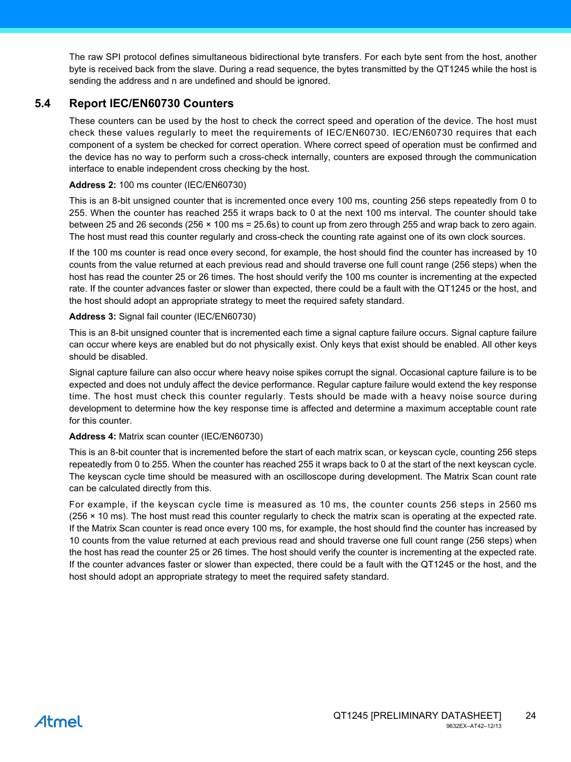The raw SPI protocol defines simultaneous bidirectional byte transfers. For each byte sent from the host, another byte is received back from the slave. During a read sequence, the bytes transmitted by the QT1245 while the host is sending the address and n are undefined and should be ignored.

# <span id="page-23-0"></span>**5.4 Report IEC/EN60730 Counters**

These counters can be used by the host to check the correct speed and operation of the device. The host must check these values regularly to meet the requirements of IEC/EN60730. IEC/EN60730 requires that each component of a system be checked for correct operation. Where correct speed of operation must be confirmed and the device has no way to perform such a cross-check internally, counters are exposed through the communication interface to enable independent cross checking by the host.

#### **Address 2:** 100 ms counter (IEC/EN60730)

This is an 8-bit unsigned counter that is incremented once every 100 ms, counting 256 steps repeatedly from 0 to 255. When the counter has reached 255 it wraps back to 0 at the next 100 ms interval. The counter should take between 25 and 26 seconds (256 × 100 ms = 25.6s) to count up from zero through 255 and wrap back to zero again. The host must read this counter regularly and cross-check the counting rate against one of its own clock sources.

If the 100 ms counter is read once every second, for example, the host should find the counter has increased by 10 counts from the value returned at each previous read and should traverse one full count range (256 steps) when the host has read the counter 25 or 26 times. The host should verify the 100 ms counter is incrementing at the expected rate. If the counter advances faster or slower than expected, there could be a fault with the QT1245 or the host, and the host should adopt an appropriate strategy to meet the required safety standard.

### **Address 3:** Signal fail counter (IEC/EN60730)

This is an 8-bit unsigned counter that is incremented each time a signal capture failure occurs. Signal capture failure can occur where keys are enabled but do not physically exist. Only keys that exist should be enabled. All other keys should be disabled.

Signal capture failure can also occur where heavy noise spikes corrupt the signal. Occasional capture failure is to be expected and does not unduly affect the device performance. Regular capture failure would extend the key response time. The host must check this counter regularly. Tests should be made with a heavy noise source during development to determine how the key response time is affected and determine a maximum acceptable count rate for this counter.

#### **Address 4:** Matrix scan counter (IEC/EN60730)

This is an 8-bit counter that is incremented before the start of each matrix scan, or keyscan cycle, counting 256 steps repeatedly from 0 to 255. When the counter has reached 255 it wraps back to 0 at the start of the next keyscan cycle. The keyscan cycle time should be measured with an oscilloscope during development. The Matrix Scan count rate can be calculated directly from this.

For example, if the keyscan cycle time is measured as 10 ms, the counter counts 256 steps in 2560 ms (256 × 10 ms). The host must read this counter regularly to check the matrix scan is operating at the expected rate. If the Matrix Scan counter is read once every 100 ms, for example, the host should find the counter has increased by 10 counts from the value returned at each previous read and should traverse one full count range (256 steps) when the host has read the counter 25 or 26 times. The host should verify the counter is incrementing at the expected rate. If the counter advances faster or slower than expected, there could be a fault with the QT1245 or the host, and the host should adopt an appropriate strategy to meet the required safety standard.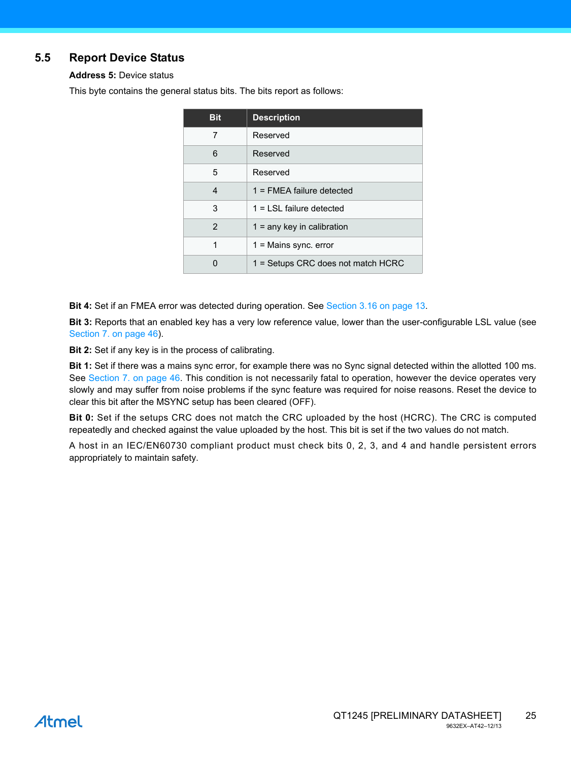# <span id="page-24-0"></span>**5.5 Report Device Status**

**Address 5:** Device status

This byte contains the general status bits. The bits report as follows:

| <b>Bit</b> | <b>Description</b>                 |
|------------|------------------------------------|
| 7          | Reserved                           |
| 6          | Reserved                           |
| 5          | Reserved                           |
| 4          | $1 =$ FMEA failure detected        |
| 3          | $1 = I SI$ failure detected        |
| 2          | $1 =$ any key in calibration       |
| 1          | $1 =$ Mains sync. error            |
|            | 1 = Setups CRC does not match HCRC |

**Bit 4:** Set if an FMEA error was detected during operation. See [Section 3.16 on page 13](#page-12-0).

**Bit 3:** Reports that an enabled key has a very low reference value, lower than the user-configurable LSL value (see [Section 7. on page 46](#page-45-0)).

**Bit 2:** Set if any key is in the process of calibrating.

**Bit 1:** Set if there was a mains sync error, for example there was no Sync signal detected within the allotted 100 ms. See [Section 7. on page 46](#page-45-0). This condition is not necessarily fatal to operation, however the device operates very slowly and may suffer from noise problems if the sync feature was required for noise reasons. Reset the device to clear this bit after the MSYNC setup has been cleared (OFF).

**Bit 0:** Set if the setups CRC does not match the CRC uploaded by the host (HCRC). The CRC is computed repeatedly and checked against the value uploaded by the host. This bit is set if the two values do not match.

A host in an IEC/EN60730 compliant product must check bits 0, 2, 3, and 4 and handle persistent errors appropriately to maintain safety.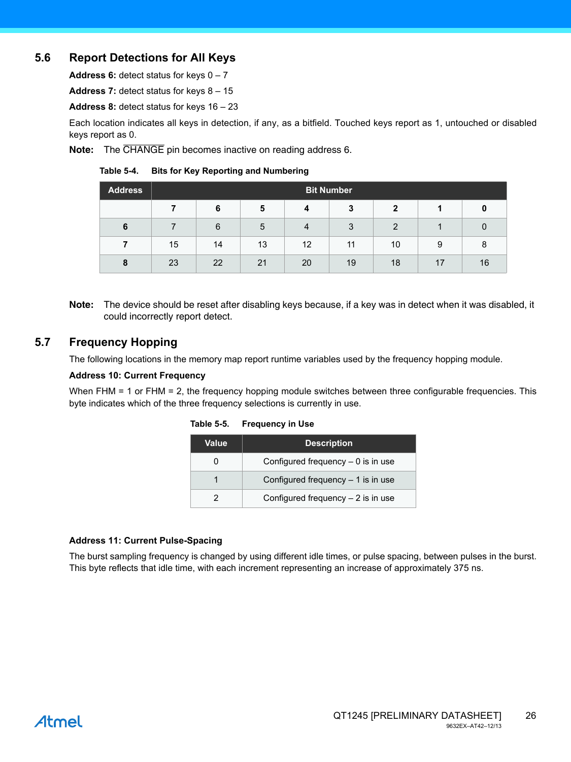# **5.6 Report Detections for All Keys**

**Address 6:** detect status for keys 0 – 7

**Address 7:** detect status for keys 8 – 15

**Address 8:** detect status for keys 16 – 23

Each location indicates all keys in detection, if any, as a bitfield. Touched keys report as 1, untouched or disabled keys report as 0.

**Note:** The CHANGE pin becomes inactive on reading address 6.

#### **Table 5-4. Bits for Key Reporting and Numbering**

| <b>Address</b> | <b>Bit Number</b> |    |    |                |    |              |    |    |  |  |
|----------------|-------------------|----|----|----------------|----|--------------|----|----|--|--|
|                |                   | 6  | 5  | $\overline{4}$ | 3  | $\mathbf{2}$ |    | 0  |  |  |
| 6              |                   | 6  | 5  | $\overline{4}$ | 3  | 2            |    |    |  |  |
|                | 15                | 14 | 13 | 12             | 11 | 10           | 9  | 8  |  |  |
| 8              | 23                | 22 | 21 | 20             | 19 | 18           | 17 | 16 |  |  |

**Note:** The device should be reset after disabling keys because, if a key was in detect when it was disabled, it could incorrectly report detect.

# **5.7 Frequency Hopping**

The following locations in the memory map report runtime variables used by the frequency hopping module.

#### **Address 10: Current Frequency**

When FHM = 1 or FHM = 2, the frequency hopping module switches between three configurable frequencies. This byte indicates which of the three frequency selections is currently in use.

| Value | <b>Description</b>                  |
|-------|-------------------------------------|
|       | Configured frequency $-0$ is in use |
|       | Configured frequency $-1$ is in use |
|       | Configured frequency $-2$ is in use |

#### **Table 5-5. Frequency in Use**

#### **Address 11: Current Pulse-Spacing**

The burst sampling frequency is changed by using different idle times, or pulse spacing, between pulses in the burst. This byte reflects that idle time, with each increment representing an increase of approximately 375 ns.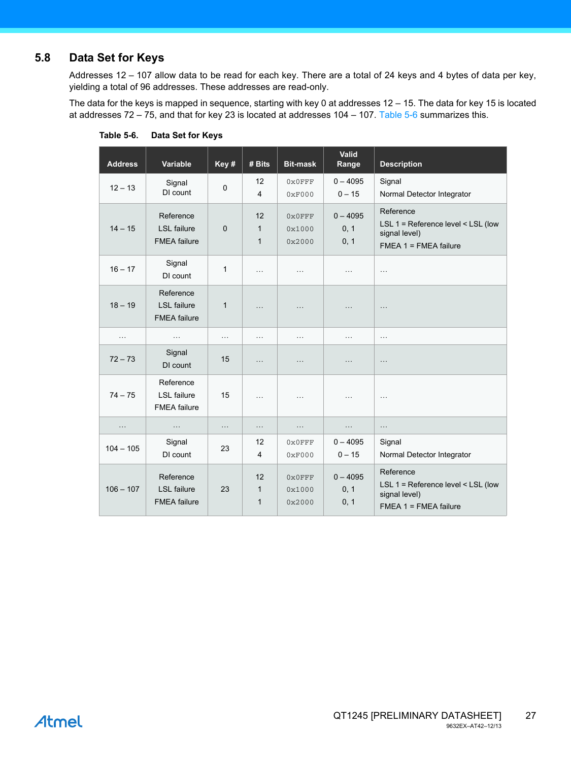# <span id="page-26-1"></span>**5.8 Data Set for Keys**

Addresses 12 – 107 allow data to be read for each key. There are a total of 24 keys and 4 bytes of data per key, yielding a total of 96 addresses. These addresses are read-only.

The data for the keys is mapped in sequence, starting with key 0 at addresses 12 – 15. The data for key 15 is located at addresses 72 – 75, and that for key 23 is located at addresses 104 – 107. [Table 5-6](#page-26-0) summarizes this.

| <b>Address</b> | Variable                                               | Key #        | # Bits                             | <b>Bit-mask</b>                      | Valid<br>Range             | <b>Description</b>                                                                            |
|----------------|--------------------------------------------------------|--------------|------------------------------------|--------------------------------------|----------------------------|-----------------------------------------------------------------------------------------------|
| $12 - 13$      | Signal<br>DI count                                     | 0            | 12<br>$\overline{\mathbf{4}}$      | $0x0$ FFF<br>0xF000                  | $0 - 4095$<br>$0 - 15$     | Signal<br>Normal Detector Integrator                                                          |
| $14 - 15$      | Reference<br><b>LSL</b> failure<br><b>FMEA</b> failure | $\Omega$     | 12<br>$\mathbf{1}$<br>$\mathbf{1}$ | 0x0FFF<br>0x1000<br>0x2000           | $0 - 4095$<br>0, 1<br>0, 1 | Reference<br>LSL 1 = Reference level < LSL (low<br>signal level)<br>$FMEA$ 1 = $FMEA$ failure |
| $16 - 17$      | Signal<br>DI count                                     | $\mathbf{1}$ | $\cdots$                           | $\cdots$                             | $\cdots$                   | $\cdots$                                                                                      |
| $18 - 19$      | Reference<br><b>LSL</b> failure<br><b>FMEA</b> failure | $\mathbf{1}$ | $\cdots$                           | $\cdots$                             | .                          | $\cdots$                                                                                      |
| $\cdots$       | $\cdots$                                               | $\cdots$     | $\cdots$                           | $\cdots$                             | $\cdots$                   | .                                                                                             |
| $72 - 73$      | Signal<br>DI count                                     | 15           | $\cdots$                           | $\cdots$                             | $\cdots$                   | $\ldots$                                                                                      |
| $74 - 75$      | Reference<br><b>LSL</b> failure<br><b>FMEA</b> failure | 15           | $\cdots$                           | $\cdots$                             | .                          | $\cdots$                                                                                      |
| .              | $\cdots$                                               | .            | $\cdots$                           | $\cdots$                             | $\cdots$                   | $\ldots$                                                                                      |
| $104 - 105$    | Signal<br>DI count                                     | 23           | 12<br>$\overline{4}$               | $0 \times 0$ FFF<br>0xF000           | $0 - 4095$<br>$0 - 15$     | Signal<br>Normal Detector Integrator                                                          |
| $106 - 107$    | Reference<br><b>LSL</b> failure<br><b>FMEA</b> failure | 23           | 12<br>$\mathbf{1}$<br>$\mathbf{1}$ | $0 \times 0$ FFF<br>0x1000<br>0x2000 | $0 - 4095$<br>0, 1<br>0, 1 | Reference<br>LSL 1 = Reference level < LSL (low<br>signal level)<br>$FMEA$ 1 = $FMEA$ failure |

<span id="page-26-0"></span>**Table 5-6. Data Set for Keys**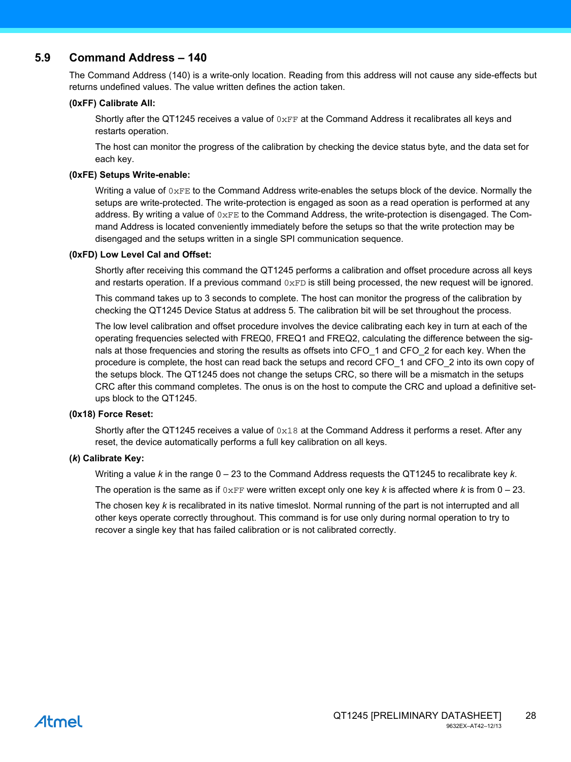### **5.9 Command Address – 140**

The Command Address (140) is a write-only location. Reading from this address will not cause any side-effects but returns undefined values. The value written defines the action taken.

#### **(0xFF) Calibrate All:**

Shortly after the QT1245 receives a value of  $0xFF$  at the Command Address it recalibrates all keys and restarts operation.

The host can monitor the progress of the calibration by checking the device status byte, and the data set for each key.

#### **(0xFE) Setups Write-enable:**

Writing a value of  $0 \times FE$  to the Command Address write-enables the setups block of the device. Normally the setups are write-protected. The write-protection is engaged as soon as a read operation is performed at any address. By writing a value of  $0 \times F$ E to the Command Address, the write-protection is disengaged. The Command Address is located conveniently immediately before the setups so that the write protection may be disengaged and the setups written in a single SPI communication sequence.

#### **(0xFD) Low Level Cal and Offset:**

Shortly after receiving this command the QT1245 performs a calibration and offset procedure across all keys and restarts operation. If a previous command  $0 \times FD$  is still being processed, the new request will be ignored.

This command takes up to 3 seconds to complete. The host can monitor the progress of the calibration by checking the QT1245 Device Status at address 5. The calibration bit will be set throughout the process.

The low level calibration and offset procedure involves the device calibrating each key in turn at each of the operating frequencies selected with FREQ0, FREQ1 and FREQ2, calculating the difference between the signals at those frequencies and storing the results as offsets into CFO 1 and CFO 2 for each key. When the procedure is complete, the host can read back the setups and record CFO\_1 and CFO\_2 into its own copy of the setups block. The QT1245 does not change the setups CRC, so there will be a mismatch in the setups CRC after this command completes. The onus is on the host to compute the CRC and upload a definitive setups block to the QT1245.

#### **(0x18) Force Reset:**

Shortly after the QT1245 receives a value of  $0x18$  at the Command Address it performs a reset. After any reset, the device automatically performs a full key calibration on all keys.

#### **(***k***) Calibrate Key:**

Writing a value *k* in the range 0 – 23 to the Command Address requests the QT1245 to recalibrate key *k*.

The operation is the same as if  $0 \times FF$  were written except only one key k is affected where k is from  $0 - 23$ .

The chosen key *k* is recalibrated in its native timeslot. Normal running of the part is not interrupted and all other keys operate correctly throughout. This command is for use only during normal operation to try to recover a single key that has failed calibration or is not calibrated correctly.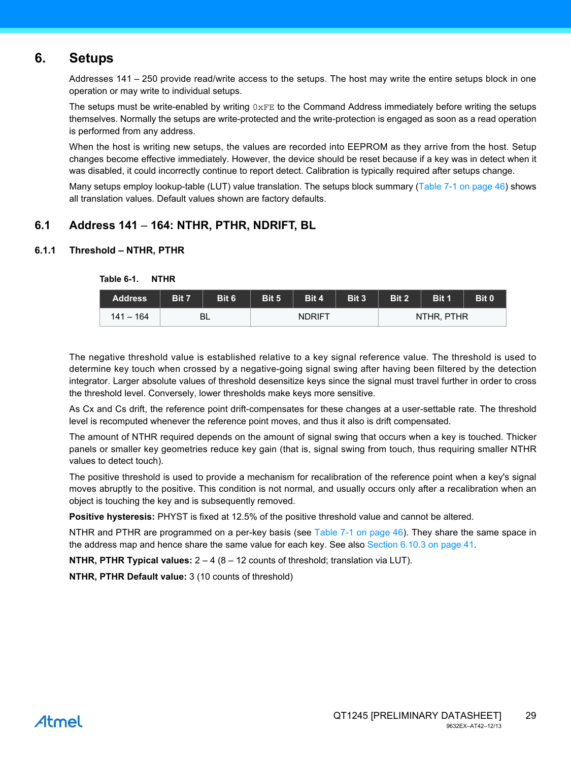# <span id="page-28-0"></span>**6. Setups**

Addresses 141 – 250 provide read/write access to the setups. The host may write the entire setups block in one operation or may write to individual setups.

The setups must be write-enabled by writing  $0 \times FE$  to the Command Address immediately before writing the setups themselves. Normally the setups are write-protected and the write-protection is engaged as soon as a read operation is performed from any address.

When the host is writing new setups, the values are recorded into EEPROM as they arrive from the host. Setup changes become effective immediately. However, the device should be reset because if a key was in detect when it was disabled, it could incorrectly continue to report detect. Calibration is typically required after setups change.

Many setups employ lookup-table (LUT) value translation. The setups block summary ([Table 7-1 on page 46](#page-45-1)) shows all translation values. Default values shown are factory defaults.

# **6.1 Address 141** – **164: NTHR, PTHR, NDRIFT, BL**

### **6.1.1 Threshold – NTHR, PTHR**

| <b>Address</b> | Bit 7 | Bit 6 | Bit 5 | Bit 4         | Bit 3 | Bit 2 | Bit 1      | Bit 0 |
|----------------|-------|-------|-------|---------------|-------|-------|------------|-------|
| $141 - 164$    |       | BL    |       | <b>NDRIFT</b> |       |       | NTHR, PTHR |       |

**Table 6-1. NTHR**

The negative threshold value is established relative to a key signal reference value. The threshold is used to determine key touch when crossed by a negative-going signal swing after having been filtered by the detection integrator. Larger absolute values of threshold desensitize keys since the signal must travel further in order to cross the threshold level. Conversely, lower thresholds make keys more sensitive.

As Cx and Cs drift, the reference point drift-compensates for these changes at a user-settable rate. The threshold level is recomputed whenever the reference point moves, and thus it also is drift compensated.

The amount of NTHR required depends on the amount of signal swing that occurs when a key is touched. Thicker panels or smaller key geometries reduce key gain (that is, signal swing from touch, thus requiring smaller NTHR values to detect touch).

The positive threshold is used to provide a mechanism for recalibration of the reference point when a key's signal moves abruptly to the positive. This condition is not normal, and usually occurs only after a recalibration when an object is touching the key and is subsequently removed.

**Positive hysteresis:** PHYST is fixed at 12.5% of the positive threshold value and cannot be altered.

NTHR and PTHR are programmed on a per-key basis (see [Table 7-1 on page 46](#page-45-1)). They share the same space in the address map and hence share the same value for each key. See also [Section 6.10.3 on page 41](#page-40-0).

**NTHR, PTHR Typical values:** 2 – 4 (8 – 12 counts of threshold; translation via LUT).

**NTHR, PTHR Default value:** 3 (10 counts of threshold)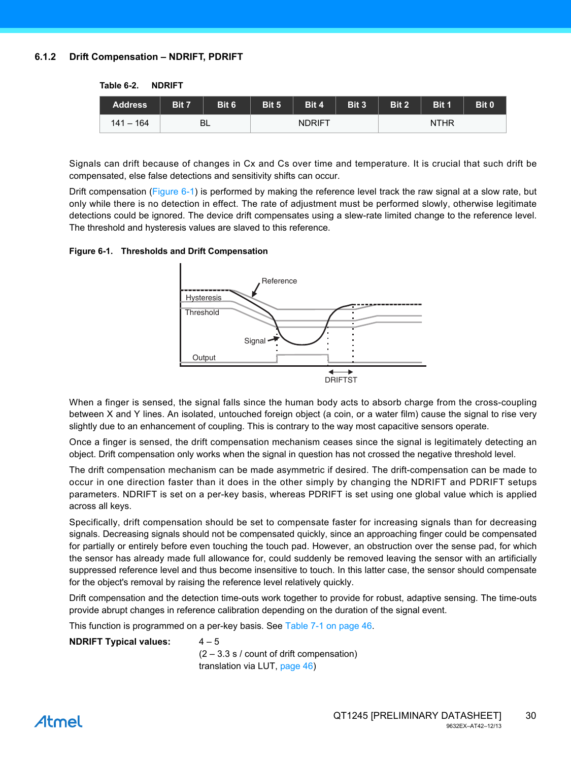### <span id="page-29-1"></span>**6.1.2 Drift Compensation – NDRIFT, PDRIFT**

**Table 6-2. NDRIFT**

| <b>Address</b> | Bit 7 | Bit 6     | Bit 5 | Bit 4         | <b>Bit 3</b> | Bit 2 | Bit 1       | Bit 0 |
|----------------|-------|-----------|-------|---------------|--------------|-------|-------------|-------|
| $141 - 164$    |       | <b>BL</b> |       | <b>NDRIFT</b> |              |       | <b>NTHR</b> |       |

Signals can drift because of changes in Cx and Cs over time and temperature. It is crucial that such drift be compensated, else false detections and sensitivity shifts can occur.

Drift compensation ([Figure 6-1\)](#page-29-0) is performed by making the reference level track the raw signal at a slow rate, but only while there is no detection in effect. The rate of adjustment must be performed slowly, otherwise legitimate detections could be ignored. The device drift compensates using a slew-rate limited change to the reference level. The threshold and hysteresis values are slaved to this reference.

#### <span id="page-29-0"></span>**Figure 6-1. Thresholds and Drift Compensation**



When a finger is sensed, the signal falls since the human body acts to absorb charge from the cross-coupling between X and Y lines. An isolated, untouched foreign object (a coin, or a water film) cause the signal to rise very slightly due to an enhancement of coupling. This is contrary to the way most capacitive sensors operate.

Once a finger is sensed, the drift compensation mechanism ceases since the signal is legitimately detecting an object. Drift compensation only works when the signal in question has not crossed the negative threshold level.

The drift compensation mechanism can be made asymmetric if desired. The drift-compensation can be made to occur in one direction faster than it does in the other simply by changing the NDRIFT and PDRIFT setups parameters. NDRIFT is set on a per-key basis, whereas PDRIFT is set using one global value which is applied across all keys.

Specifically, drift compensation should be set to compensate faster for increasing signals than for decreasing signals. Decreasing signals should not be compensated quickly, since an approaching finger could be compensated for partially or entirely before even touching the touch pad. However, an obstruction over the sense pad, for which the sensor has already made full allowance for, could suddenly be removed leaving the sensor with an artificially suppressed reference level and thus become insensitive to touch. In this latter case, the sensor should compensate for the object's removal by raising the reference level relatively quickly.

Drift compensation and the detection time-outs work together to provide for robust, adaptive sensing. The time-outs provide abrupt changes in reference calibration depending on the duration of the signal event.

This function is programmed on a per-key basis. See [Table 7-1 on page 46.](#page-45-1)

#### **NDRIFT Typical values:** 4–5

 $(2 - 3.3 s / \text{count of drift compensation})$ translation via LUT, [page 46\)](#page-45-1)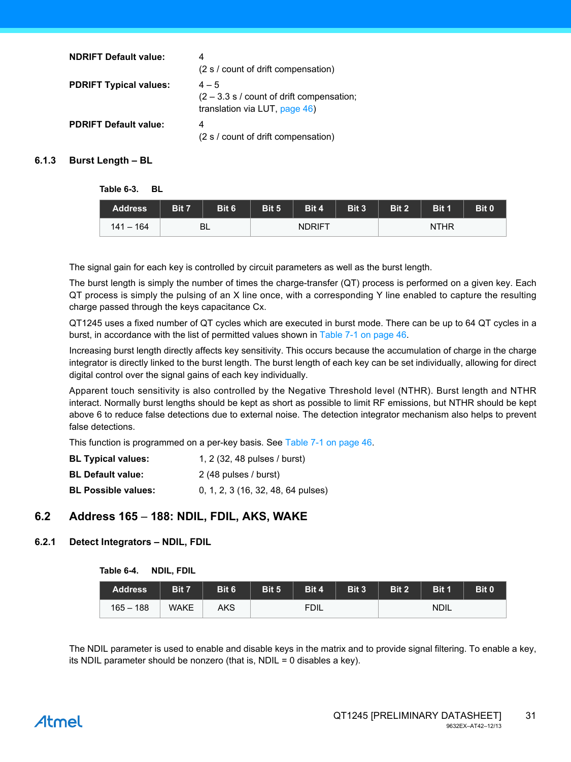| <b>NDRIFT Default value:</b>  | 4<br>(2 s / count of drift compensation)                                                       |
|-------------------------------|------------------------------------------------------------------------------------------------|
| <b>PDRIFT Typical values:</b> | $4 - 5$<br>$(2 - 3.3 s / \text{count of drift compensation})$<br>translation via LUT, page 46) |
| <b>PDRIFT Default value:</b>  | 4<br>(2 s / count of drift compensation)                                                       |

### **6.1.3 Burst Length – BL**

**Table 6-3. BL**

| <b>Address</b> | Bit 7 | Bit 6 | Bit 5 | Bit 4         | Bit 3 | Bit 2 | Bit 1       | Bit 0 |
|----------------|-------|-------|-------|---------------|-------|-------|-------------|-------|
| $141 - 164$    |       | BL    |       | <b>NDRIFT</b> |       |       | <b>NTHR</b> |       |

The signal gain for each key is controlled by circuit parameters as well as the burst length.

The burst length is simply the number of times the charge-transfer (QT) process is performed on a given key. Each QT process is simply the pulsing of an X line once, with a corresponding Y line enabled to capture the resulting charge passed through the keys capacitance Cx.

QT1245 uses a fixed number of QT cycles which are executed in burst mode. There can be up to 64 QT cycles in a burst, in accordance with the list of permitted values shown in [Table 7-1 on page 46.](#page-45-1)

Increasing burst length directly affects key sensitivity. This occurs because the accumulation of charge in the charge integrator is directly linked to the burst length. The burst length of each key can be set individually, allowing for direct digital control over the signal gains of each key individually.

Apparent touch sensitivity is also controlled by the Negative Threshold level (NTHR). Burst length and NTHR interact. Normally burst lengths should be kept as short as possible to limit RF emissions, but NTHR should be kept above 6 to reduce false detections due to external noise. The detection integrator mechanism also helps to prevent false detections.

This function is programmed on a per-key basis. See [Table 7-1 on page 46.](#page-45-1)

| <b>BL Typical values:</b>  | 1, 2 (32, 48 pulses / burst)       |
|----------------------------|------------------------------------|
| <b>BL Default value:</b>   | 2 (48 pulses / burst)              |
| <b>BL Possible values:</b> | 0, 1, 2, 3 (16, 32, 48, 64 pulses) |

# **6.2 Address 165** – **188: NDIL, FDIL, AKS, WAKE**

#### <span id="page-30-0"></span>**6.2.1 Detect Integrators – NDIL, FDIL**

| Table 6-4. | NDIL, FDIL |  |
|------------|------------|--|
|------------|------------|--|

| <b>Address</b> | Bit 7 | Bit 6 | Bit 5 | Bit 4       | Bit 3 | Bit 2 | <b>Bit 1</b> | Bit 0 |
|----------------|-------|-------|-------|-------------|-------|-------|--------------|-------|
| $165 - 188$    | WAKE  | AKS   |       | <b>FDIL</b> |       |       | <b>NDIL</b>  |       |

The NDIL parameter is used to enable and disable keys in the matrix and to provide signal filtering. To enable a key, its NDIL parameter should be nonzero (that is, NDIL = 0 disables a key).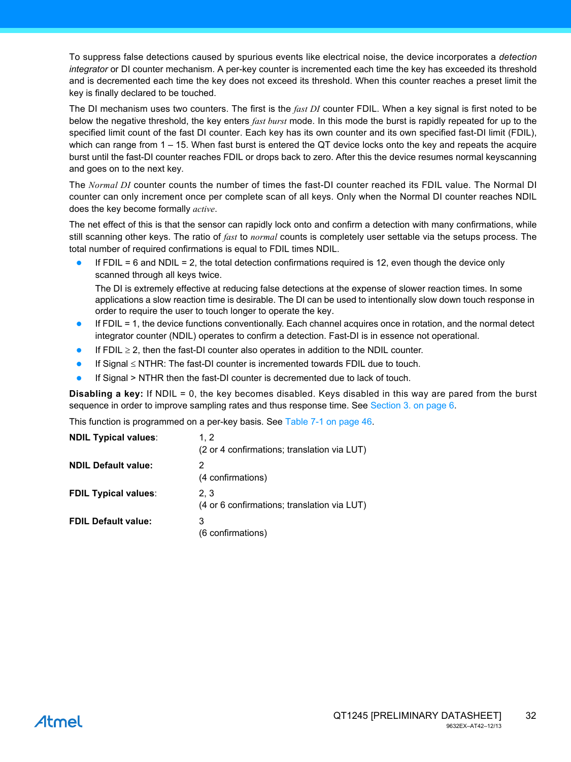To suppress false detections caused by spurious events like electrical noise, the device incorporates a *detection integrator* or DI counter mechanism. A per-key counter is incremented each time the key has exceeded its threshold and is decremented each time the key does not exceed its threshold. When this counter reaches a preset limit the key is finally declared to be touched.

The DI mechanism uses two counters. The first is the *fast DI* counter FDIL. When a key signal is first noted to be below the negative threshold, the key enters *fast burst* mode. In this mode the burst is rapidly repeated for up to the specified limit count of the fast DI counter. Each key has its own counter and its own specified fast-DI limit (FDIL), which can range from 1 – 15. When fast burst is entered the QT device locks onto the key and repeats the acquire burst until the fast-DI counter reaches FDIL or drops back to zero. After this the device resumes normal keyscanning and goes on to the next key.

The *Normal DI* counter counts the number of times the fast-DI counter reached its FDIL value. The Normal DI counter can only increment once per complete scan of all keys. Only when the Normal DI counter reaches NDIL does the key become formally *active*.

The net effect of this is that the sensor can rapidly lock onto and confirm a detection with many confirmations, while still scanning other keys. The ratio of *fast* to *normal* counts is completely user settable via the setups process. The total number of required confirmations is equal to FDIL times NDIL.

If  $FDIL = 6$  and  $NDIL = 2$ , the total detection confirmations required is 12, even though the device only scanned through all keys twice.

The DI is extremely effective at reducing false detections at the expense of slower reaction times. In some applications a slow reaction time is desirable. The DI can be used to intentionally slow down touch response in order to require the user to touch longer to operate the key.

- If FDIL = 1, the device functions conventionally. Each channel acquires once in rotation, and the normal detect integrator counter (NDIL) operates to confirm a detection. Fast-DI is in essence not operational.
- If FDIL  $\geq$  2, then the fast-DI counter also operates in addition to the NDIL counter.
- If Signal  $\leq$  NTHR: The fast-DI counter is incremented towards FDIL due to touch.
- If Signal > NTHR then the fast-DI counter is decremented due to lack of touch.

**Disabling a key:** If NDIL = 0, the key becomes disabled. Keys disabled in this way are pared from the burst sequence in order to improve sampling rates and thus response time. See [Section 3. on page 6](#page-5-1).

This function is programmed on a per-key basis. See [Table 7-1 on page 46.](#page-45-1)

| <b>NDIL Typical values:</b> | 1.2<br>(2 or 4 confirmations; translation via LUT) |
|-----------------------------|----------------------------------------------------|
| <b>NDIL Default value:</b>  | 2<br>(4 confirmations)                             |
| <b>FDIL Typical values:</b> | 2.3<br>(4 or 6 confirmations; translation via LUT) |
| <b>FDIL Default value:</b>  | 3<br>(6 confirmations)                             |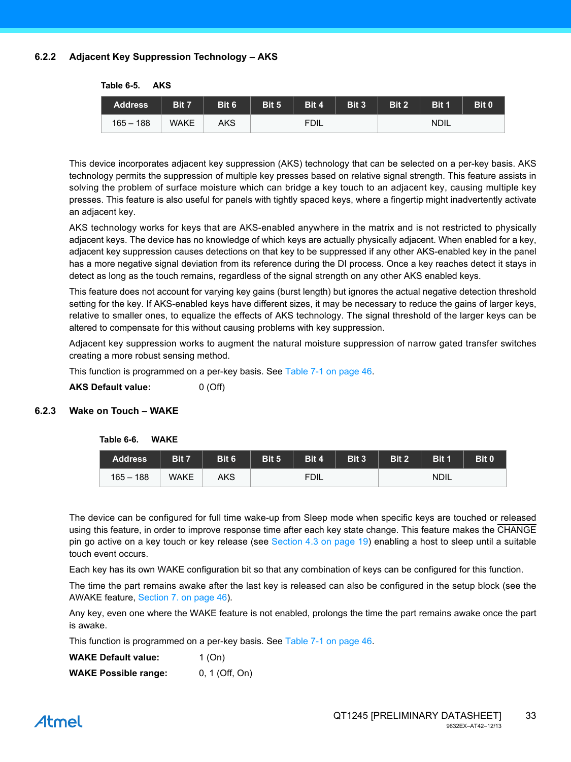### **6.2.2 Adjacent Key Suppression Technology – AKS**

| <b>Address</b> | Bit 7       | Bit 6 | Bit 5 | Bit 4       | Bit 3 | Bit 2 | Bit 1       | Bit 0 |
|----------------|-------------|-------|-------|-------------|-------|-------|-------------|-------|
| $165 - 188$    | <b>WAKE</b> | AKS   |       | <b>FDIL</b> |       |       | <b>NDIL</b> |       |

**Table 6-5. AKS**

This device incorporates adjacent key suppression (AKS) technology that can be selected on a per-key basis. AKS technology permits the suppression of multiple key presses based on relative signal strength. This feature assists in solving the problem of surface moisture which can bridge a key touch to an adjacent key, causing multiple key presses. This feature is also useful for panels with tightly spaced keys, where a fingertip might inadvertently activate an adjacent key.

AKS technology works for keys that are AKS-enabled anywhere in the matrix and is not restricted to physically adjacent keys. The device has no knowledge of which keys are actually physically adjacent. When enabled for a key, adjacent key suppression causes detections on that key to be suppressed if any other AKS-enabled key in the panel has a more negative signal deviation from its reference during the DI process. Once a key reaches detect it stays in detect as long as the touch remains, regardless of the signal strength on any other AKS enabled keys.

This feature does not account for varying key gains (burst length) but ignores the actual negative detection threshold setting for the key. If AKS-enabled keys have different sizes, it may be necessary to reduce the gains of larger keys, relative to smaller ones, to equalize the effects of AKS technology. The signal threshold of the larger keys can be altered to compensate for this without causing problems with key suppression.

Adjacent key suppression works to augment the natural moisture suppression of narrow gated transfer switches creating a more robust sensing method.

This function is programmed on a per-key basis. See [Table 7-1 on page 46.](#page-45-1)

**AKS Default value:** 0 (Off)

### <span id="page-32-0"></span>**6.2.3 Wake on Touch – WAKE**

#### **Table 6-6. WAKE**

| <b>Address</b> | Bit 7       | Bit 6 | Bit 5 | Bit 4       | Bit 3 | Bit 2 | Bit 1       | Bit 0 |
|----------------|-------------|-------|-------|-------------|-------|-------|-------------|-------|
| $165 - 188$    | <b>WAKE</b> | AKS   |       | <b>FDIL</b> |       |       | <b>NDIL</b> |       |

The device can be configured for full time wake-up from Sleep mode when specific keys are touched or released using this feature, in order to improve response time after each key state change. This feature makes the CHANGE pin go active on a key touch or key release (see [Section 4.3 on page 19](#page-18-0)) enabling a host to sleep until a suitable touch event occurs.

Each key has its own WAKE configuration bit so that any combination of keys can be configured for this function.

The time the part remains awake after the last key is released can also be configured in the setup block (see the AWAKE feature, [Section 7. on page 46](#page-45-0)).

Any key, even one where the WAKE feature is not enabled, prolongs the time the part remains awake once the part is awake.

This function is programmed on a per-key basis. See [Table 7-1 on page 46.](#page-45-1)

| <b>WAKE Default value:</b>  | 1 (On)         |
|-----------------------------|----------------|
| <b>WAKE Possible range:</b> | 0, 1 (Off, On) |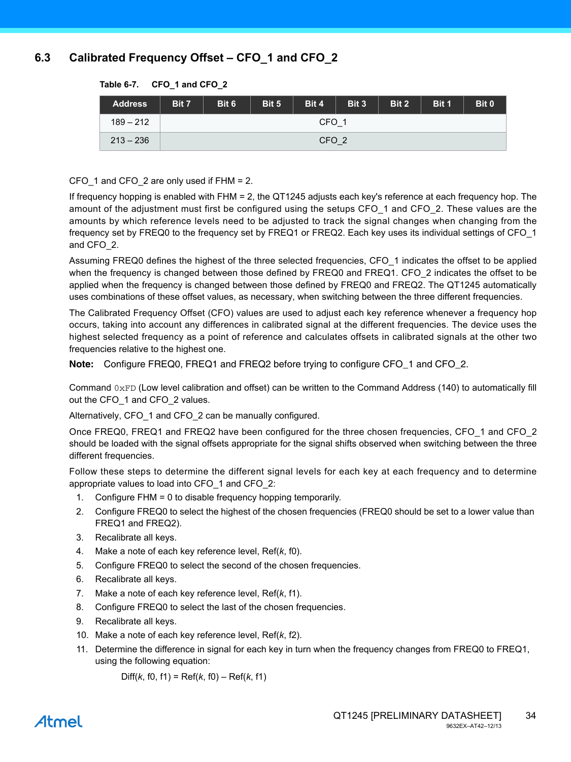# **6.3 Calibrated Frequency Offset – CFO\_1 and CFO\_2**

| <b>Address</b> | Bit 7            | Bit 6 | Bit 5 | Bit 4 | Bit 3 | Bit 2 | Bit 1 | Bit 0 |
|----------------|------------------|-------|-------|-------|-------|-------|-------|-------|
| $189 - 212$    | CFO <sub>1</sub> |       |       |       |       |       |       |       |
| $213 - 236$    | CFO <sub>2</sub> |       |       |       |       |       |       |       |

#### **Table 6-7. CFO\_1 and CFO\_2**

CFO 1 and CFO 2 are only used if FHM = 2.

If frequency hopping is enabled with FHM = 2, the QT1245 adjusts each key's reference at each frequency hop. The amount of the adjustment must first be configured using the setups CFO\_1 and CFO\_2. These values are the amounts by which reference levels need to be adjusted to track the signal changes when changing from the frequency set by FREQ0 to the frequency set by FREQ1 or FREQ2. Each key uses its individual settings of CFO\_1 and CFO\_2.

Assuming FREQ0 defines the highest of the three selected frequencies, CFO\_1 indicates the offset to be applied when the frequency is changed between those defined by FREQ0 and FREQ1. CFO 2 indicates the offset to be applied when the frequency is changed between those defined by FREQ0 and FREQ2. The QT1245 automatically uses combinations of these offset values, as necessary, when switching between the three different frequencies.

The Calibrated Frequency Offset (CFO) values are used to adjust each key reference whenever a frequency hop occurs, taking into account any differences in calibrated signal at the different frequencies. The device uses the highest selected frequency as a point of reference and calculates offsets in calibrated signals at the other two frequencies relative to the highest one.

**Note:** Configure FREQ0, FREQ1 and FREQ2 before trying to configure CFO\_1 and CFO\_2.

Command  $0xFD$  (Low level calibration and offset) can be written to the Command Address (140) to automatically fill out the CFO\_1 and CFO\_2 values.

Alternatively, CFO\_1 and CFO\_2 can be manually configured.

Once FREQ0, FREQ1 and FREQ2 have been configured for the three chosen frequencies, CFO\_1 and CFO\_2 should be loaded with the signal offsets appropriate for the signal shifts observed when switching between the three different frequencies.

Follow these steps to determine the different signal levels for each key at each frequency and to determine appropriate values to load into CFO\_1 and CFO\_2:

- 1. Configure FHM = 0 to disable frequency hopping temporarily.
- 2. Configure FREQ0 to select the highest of the chosen frequencies (FREQ0 should be set to a lower value than FREQ1 and FREQ2).
- 3. Recalibrate all keys.
- 4. Make a note of each key reference level, Ref(*k*, f0).
- 5. Configure FREQ0 to select the second of the chosen frequencies.
- 6. Recalibrate all keys.
- 7. Make a note of each key reference level, Ref(*k*, f1).
- 8. Configure FREQ0 to select the last of the chosen frequencies.
- 9. Recalibrate all keys.
- 10. Make a note of each key reference level, Ref(*k*, f2).
- 11. Determine the difference in signal for each key in turn when the frequency changes from FREQ0 to FREQ1, using the following equation:

Diff(*k*, f0, f1) = Ref(*k*, f0) – Ref(*k*, f1)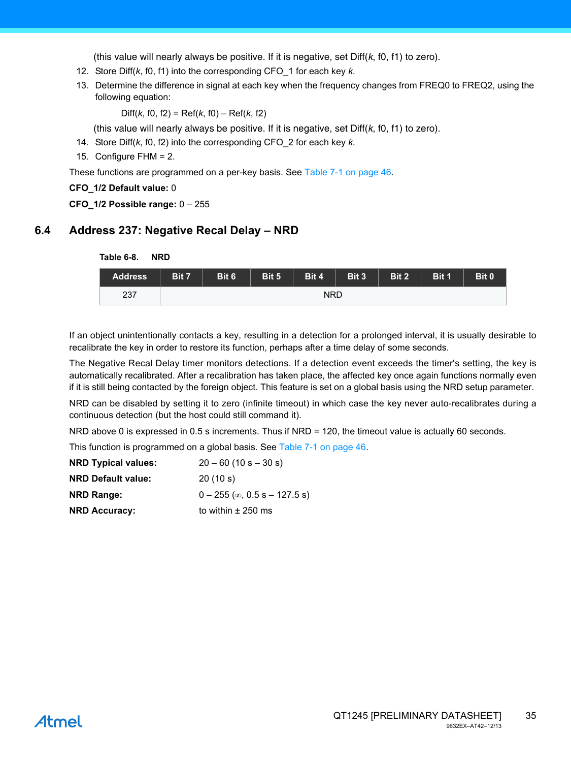(this value will nearly always be positive. If it is negative, set Diff(*k*, f0, f1) to zero).

- 12. Store Diff(*k*, f0, f1) into the corresponding CFO\_1 for each key *k*.
- 13. Determine the difference in signal at each key when the frequency changes from FREQ0 to FREQ2, using the following equation:

Diff(*k*, f0, f2) = Ref(*k*, f0) – Ref(*k*, f2)

(this value will nearly always be positive. If it is negative, set Diff(*k*, f0, f1) to zero).

- 14. Store Diff(*k*, f0, f2) into the corresponding CFO\_2 for each key *k*.
- 15. Configure FHM = 2.

These functions are programmed on a per-key basis. See [Table 7-1 on page 46](#page-45-1).

**CFO\_1/2 Default value:** 0

**CFO\_1/2 Possible range:** 0 – 255

# **6.4 Address 237: Negative Recal Delay – NRD**

**Table 6-8. NRD**

| <b>Address</b> | Bit 7      | Bit 6 | Bit 5 | Bit 4 | Bit 3 | Bit 2 | Bit 1 | Bit 0 |
|----------------|------------|-------|-------|-------|-------|-------|-------|-------|
| 237            | <b>NRD</b> |       |       |       |       |       |       |       |

If an object unintentionally contacts a key, resulting in a detection for a prolonged interval, it is usually desirable to recalibrate the key in order to restore its function, perhaps after a time delay of some seconds.

The Negative Recal Delay timer monitors detections. If a detection event exceeds the timer's setting, the key is automatically recalibrated. After a recalibration has taken place, the affected key once again functions normally even if it is still being contacted by the foreign object. This feature is set on a global basis using the NRD setup parameter.

NRD can be disabled by setting it to zero (infinite timeout) in which case the key never auto-recalibrates during a continuous detection (but the host could still command it).

NRD above 0 is expressed in 0.5 s increments. Thus if NRD = 120, the timeout value is actually 60 seconds.

This function is programmed on a global basis. See [Table 7-1 on page 46.](#page-45-1)

| <b>NRD Typical values:</b> | $20 - 60$ (10 s $- 30$ s)               |
|----------------------------|-----------------------------------------|
| <b>NRD Default value:</b>  | 20(10 s)                                |
| <b>NRD Range:</b>          | $0 - 255$ ( $\infty$ , 0.5 s - 127.5 s) |
| <b>NRD Accuracy:</b>       | to within $\pm$ 250 ms                  |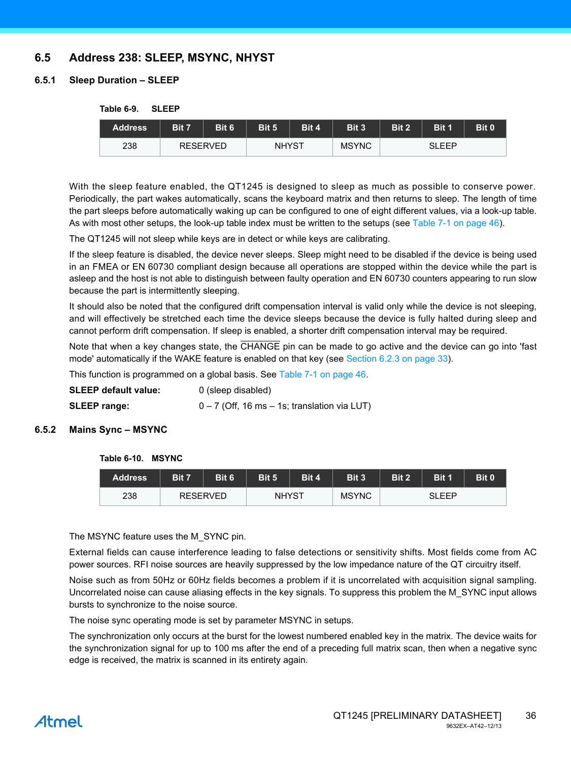# **6.5 Address 238: SLEEP, MSYNC, NHYST**

### <span id="page-35-0"></span>**6.5.1 Sleep Duration – SLEEP**

#### **Table 6-9. SLEEP**

| <b>Address</b> | Bit 7 | Bit 6           | Bit 5        | Bit 4 | Bit 3        | Bit 2 | <b>Bit 1</b> | Bit 0 |
|----------------|-------|-----------------|--------------|-------|--------------|-------|--------------|-------|
| 238            |       | <b>RESERVED</b> | <b>NHYST</b> |       | <b>MSYNC</b> |       | SLEEP        |       |

With the sleep feature enabled, the QT1245 is designed to sleep as much as possible to conserve power. Periodically, the part wakes automatically, scans the keyboard matrix and then returns to sleep. The length of time the part sleeps before automatically waking up can be configured to one of eight different values, via a look-up table. As with most other setups, the look-up table index must be written to the setups (see [Table 7-1 on page 46](#page-45-1)).

The QT1245 will not sleep while keys are in detect or while keys are calibrating.

If the sleep feature is disabled, the device never sleeps. Sleep might need to be disabled if the device is being used in an FMEA or EN 60730 compliant design because all operations are stopped within the device while the part is asleep and the host is not able to distinguish between faulty operation and EN 60730 counters appearing to run slow because the part is intermittently sleeping.

It should also be noted that the configured drift compensation interval is valid only while the device is not sleeping, and will effectively be stretched each time the device sleeps because the device is fully halted during sleep and cannot perform drift compensation. If sleep is enabled, a shorter drift compensation interval may be required.

Note that when a key changes state, the CHANGE pin can be made to go active and the device can go into 'fast mode' automatically if the WAKE feature is enabled on that key (see [Section 6.2.3 on page 33\)](#page-32-0).

This function is programmed on a global basis. See [Table 7-1 on page 46.](#page-45-1)

| SLEEP default value: | 0 (sleep disabled)                               |
|----------------------|--------------------------------------------------|
| <b>SLEEP range:</b>  | $0 - 7$ (Off, 16 ms $-$ 1s; translation via LUT) |

#### **6.5.2 Mains Sync – MSYNC**

#### **Table 6-10. MSYNC**

| Address | Bit 7 | Bit 6           | Bit 5        | Bit 4 | Bit 3        | Bit 2 | Bit 1 | Bit 0 |
|---------|-------|-----------------|--------------|-------|--------------|-------|-------|-------|
| 238     |       | <b>RESERVED</b> | <b>NHYST</b> |       | <b>MSYNC</b> |       | SLEEP |       |

The MSYNC feature uses the M\_SYNC pin.

External fields can cause interference leading to false detections or sensitivity shifts. Most fields come from AC power sources. RFI noise sources are heavily suppressed by the low impedance nature of the QT circuitry itself.

Noise such as from 50Hz or 60Hz fields becomes a problem if it is uncorrelated with acquisition signal sampling. Uncorrelated noise can cause aliasing effects in the key signals. To suppress this problem the M\_SYNC input allows bursts to synchronize to the noise source.

The noise sync operating mode is set by parameter MSYNC in setups.

The synchronization only occurs at the burst for the lowest numbered enabled key in the matrix. The device waits for the synchronization signal for up to 100 ms after the end of a preceding full matrix scan, then when a negative sync edge is received, the matrix is scanned in its entirety again.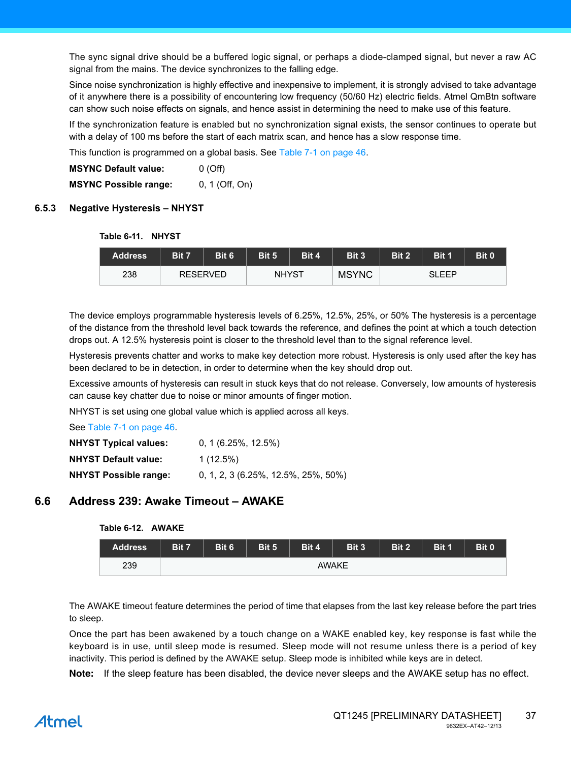The sync signal drive should be a buffered logic signal, or perhaps a diode-clamped signal, but never a raw AC signal from the mains. The device synchronizes to the falling edge.

Since noise synchronization is highly effective and inexpensive to implement, it is strongly advised to take advantage of it anywhere there is a possibility of encountering low frequency (50/60 Hz) electric fields. Atmel QmBtn software can show such noise effects on signals, and hence assist in determining the need to make use of this feature.

If the synchronization feature is enabled but no synchronization signal exists, the sensor continues to operate but with a delay of 100 ms before the start of each matrix scan, and hence has a slow response time.

This function is programmed on a global basis. See [Table 7-1 on page 46.](#page-45-1)

**MSYNC Default value:** 0 (Off) **MSYNC Possible range:** 0, 1 (Off, On)

#### **6.5.3 Negative Hysteresis – NHYST**

#### **Table 6-11. NHYST**

| <b>Address</b> | Bit 7 | Bit 6           | Bit 5        | Bit 4 | Bit 3        | Bit 2 | Bit 1 | Bit 0 |
|----------------|-------|-----------------|--------------|-------|--------------|-------|-------|-------|
| 238            |       | <b>RESERVED</b> | <b>NHYST</b> |       | <b>MSYNC</b> |       | SLEEP |       |

The device employs programmable hysteresis levels of 6.25%, 12.5%, 25%, or 50% The hysteresis is a percentage of the distance from the threshold level back towards the reference, and defines the point at which a touch detection drops out. A 12.5% hysteresis point is closer to the threshold level than to the signal reference level.

Hysteresis prevents chatter and works to make key detection more robust. Hysteresis is only used after the key has been declared to be in detection, in order to determine when the key should drop out.

Excessive amounts of hysteresis can result in stuck keys that do not release. Conversely, low amounts of hysteresis can cause key chatter due to noise or minor amounts of finger motion.

NHYST is set using one global value which is applied across all keys.

See [Table 7-1 on page 46.](#page-45-1)

| <b>NHYST Typical values:</b> | $0, 1$ (6.25%, 12.5%)                 |
|------------------------------|---------------------------------------|
| <b>NHYST Default value:</b>  | $1(12.5\%)$                           |
| <b>NHYST Possible range:</b> | $0, 1, 2, 3$ (6.25%, 12.5%, 25%, 50%) |

### **6.6 Address 239: Awake Timeout – AWAKE**

#### **Table 6-12. AWAKE**

| <b>Address</b> | Bit 7 | Bit 6 | Bit 5 | Bit 4 | Bit 3 | Bit 2 | Bit 1 | Bit 0 |
|----------------|-------|-------|-------|-------|-------|-------|-------|-------|
| 239            |       |       |       |       | AWAKE |       |       |       |

The AWAKE timeout feature determines the period of time that elapses from the last key release before the part tries to sleep.

Once the part has been awakened by a touch change on a WAKE enabled key, key response is fast while the keyboard is in use, until sleep mode is resumed. Sleep mode will not resume unless there is a period of key inactivity. This period is defined by the AWAKE setup. Sleep mode is inhibited while keys are in detect.

**Note:** If the sleep feature has been disabled, the device never sleeps and the AWAKE setup has no effect.

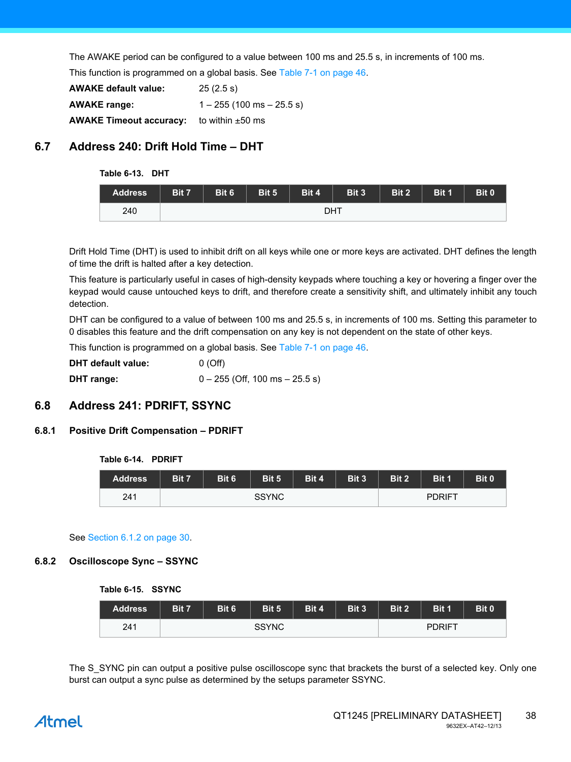The AWAKE period can be configured to a value between 100 ms and 25.5 s, in increments of 100 ms.

This function is programmed on a global basis. See [Table 7-1 on page 46.](#page-45-1)

| <b>AWAKE default value:</b>    | 25(2.5 s)                     |
|--------------------------------|-------------------------------|
| <b>AWAKE range:</b>            | $1 - 255$ (100 ms $- 25.5$ s) |
| <b>AWAKE Timeout accuracy:</b> | to within $\pm 50$ ms         |

# **6.7 Address 240: Drift Hold Time – DHT**

#### **Table 6-13. DHT**

| <b>Address</b> | Bit 7 | Bit 6 | Bit 5 | Bit 4 | Bit 3 | Bit 2 | Bit 1 | Bit 0 |
|----------------|-------|-------|-------|-------|-------|-------|-------|-------|
| 240            |       |       |       | DHT   |       |       |       |       |

Drift Hold Time (DHT) is used to inhibit drift on all keys while one or more keys are activated. DHT defines the length of time the drift is halted after a key detection.

This feature is particularly useful in cases of high-density keypads where touching a key or hovering a finger over the keypad would cause untouched keys to drift, and therefore create a sensitivity shift, and ultimately inhibit any touch detection.

DHT can be configured to a value of between 100 ms and 25.5 s, in increments of 100 ms. Setting this parameter to 0 disables this feature and the drift compensation on any key is not dependent on the state of other keys.

This function is programmed on a global basis. See [Table 7-1 on page 46.](#page-45-1)

| <b>DHT</b> default value: | 0(Off)                             |
|---------------------------|------------------------------------|
| DHT range:                | $0 - 255$ (Off, 100 ms $- 25.5$ s) |

# **6.8 Address 241: PDRIFT, SSYNC**

### **6.8.1 Positive Drift Compensation – PDRIFT**

#### **Table 6-14. PDRIFT**

| <b>Address</b> | Bit 7 | Bit 6 | Bit 5        | Bit 4 | Bit 3 | Bit 2 | Bit 1  | Bit 0 |
|----------------|-------|-------|--------------|-------|-------|-------|--------|-------|
| 241            |       |       | <b>SSYNC</b> |       |       |       | PDRIFT |       |

#### See [Section 6.1.2 on page 30](#page-29-1).

#### **6.8.2 Oscilloscope Sync – SSYNC**

#### **Table 6-15. SSYNC**

| <b>Address</b> | Bit 7 | Bit 6 | Bit 5        | Bit 4 | <b>Bit 3</b> | Bit 2 | Bit 1         | Bit 0 |
|----------------|-------|-------|--------------|-------|--------------|-------|---------------|-------|
| 241            |       |       | <b>SSYNC</b> |       |              |       | <b>PDRIFT</b> |       |

The S SYNC pin can output a positive pulse oscilloscope sync that brackets the burst of a selected key. Only one burst can output a sync pulse as determined by the setups parameter SSYNC.

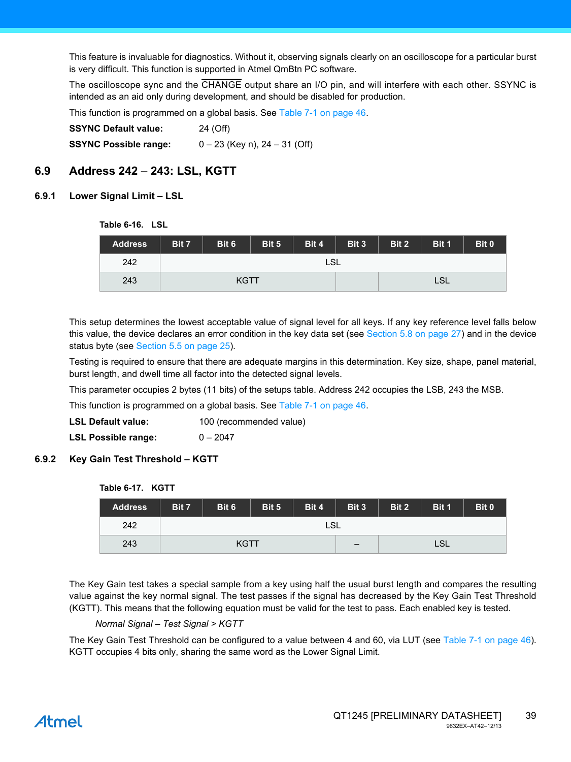This feature is invaluable for diagnostics. Without it, observing signals clearly on an oscilloscope for a particular burst is very difficult. This function is supported in Atmel QmBtn PC software.

The oscilloscope sync and the CHANGE output share an I/O pin, and will interfere with each other. SSYNC is intended as an aid only during development, and should be disabled for production.

This function is programmed on a global basis. See [Table 7-1 on page 46.](#page-45-1)

| <b>SSYNC Default value:</b>  | 24 (Off)                          |
|------------------------------|-----------------------------------|
| <b>SSYNC Possible range:</b> | $0 - 23$ (Key n), 24 $- 31$ (Off) |

# **6.9 Address 242** – **243: LSL, KGTT**

### <span id="page-38-1"></span>**6.9.1 Lower Signal Limit – LSL**

#### **Table 6-16. LSL**

| <b>Address</b> | Bit 7       | Bit 6 | Bit 5 | Bit 4 | Bit 3 | Bit 2 | Bit 1 | Bit 0 |
|----------------|-------------|-------|-------|-------|-------|-------|-------|-------|
| 242            |             |       |       | LSL   |       |       |       |       |
| 243            | <b>KGTT</b> |       |       |       |       |       | LSL   |       |

This setup determines the lowest acceptable value of signal level for all keys. If any key reference level falls below this value, the device declares an error condition in the key data set (see [Section 5.8 on page 27\)](#page-26-1) and in the device status byte (see [Section 5.5 on page 25](#page-24-0)).

Testing is required to ensure that there are adequate margins in this determination. Key size, shape, panel material, burst length, and dwell time all factor into the detected signal levels.

This parameter occupies 2 bytes (11 bits) of the setups table. Address 242 occupies the LSB, 243 the MSB.

This function is programmed on a global basis. See [Table 7-1 on page 46.](#page-45-1)

**LSL Default value:** 100 (recommended value)

**LSL Possible range:** 0 – 2047

#### <span id="page-38-0"></span>**6.9.2 Key Gain Test Threshold – KGTT**

| <b>Table 6-17.</b> | <b>KGTT</b> |
|--------------------|-------------|
|--------------------|-------------|

| <b>Address</b> | Bit 7 | Bit 6 | Bit 5 | Bit 4 | Bit 3 | Bit 2 | Bit 1 | Bit 0 |  |  |
|----------------|-------|-------|-------|-------|-------|-------|-------|-------|--|--|
| 242            | LSL   |       |       |       |       |       |       |       |  |  |
| 243            |       | KGTT  |       |       |       |       | LSL   |       |  |  |

The Key Gain test takes a special sample from a key using half the usual burst length and compares the resulting value against the key normal signal. The test passes if the signal has decreased by the Key Gain Test Threshold (KGTT). This means that the following equation must be valid for the test to pass. Each enabled key is tested.

#### *Normal Signal – Test Signal > KGTT*

The Key Gain Test Threshold can be configured to a value between 4 and 60, via LUT (see [Table 7-1 on page 46](#page-45-1)). KGTT occupies 4 bits only, sharing the same word as the Lower Signal Limit.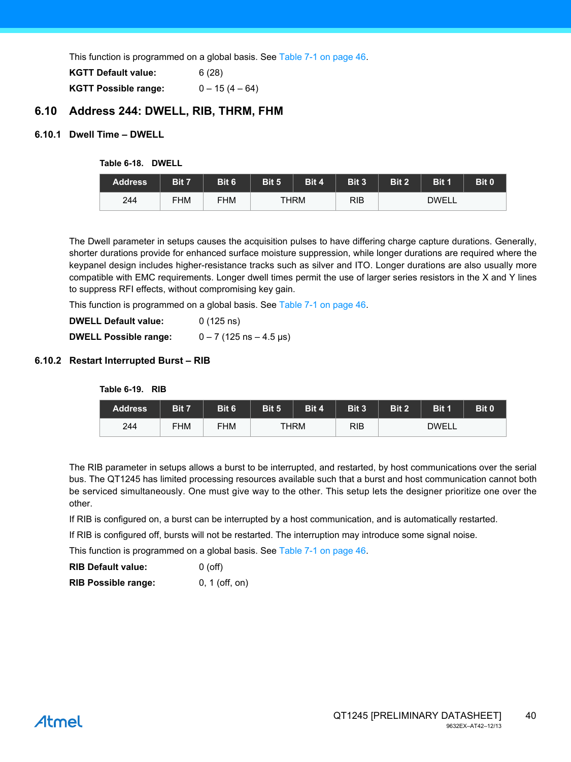This function is programmed on a global basis. See [Table 7-1 on page 46.](#page-45-1)

| <b>KGTT Default value:</b>  | 6(28)            |
|-----------------------------|------------------|
| <b>KGTT Possible range:</b> | $0 - 15(4 - 64)$ |

# **6.10 Address 244: DWELL, RIB, THRM, FHM**

### <span id="page-39-0"></span>**6.10.1 Dwell Time – DWELL**

**Table 6-18. DWELL**

| Address | Bit 7      | Bit 6 | Bit 5       | Bit 4 | Bit 3      | Bit 2        | Bit 1 | Bit 0 |
|---------|------------|-------|-------------|-------|------------|--------------|-------|-------|
| 244     | <b>FHM</b> | FHM   | <b>THRM</b> |       | <b>RIB</b> | <b>DWELL</b> |       |       |

The Dwell parameter in setups causes the acquisition pulses to have differing charge capture durations. Generally, shorter durations provide for enhanced surface moisture suppression, while longer durations are required where the keypanel design includes higher-resistance tracks such as silver and ITO. Longer durations are also usually more compatible with EMC requirements. Longer dwell times permit the use of larger series resistors in the X and Y lines to suppress RFI effects, without compromising key gain.

This function is programmed on a global basis. See [Table 7-1 on page 46.](#page-45-1)

| <b>DWELL Default value:</b>  | $0(125 \text{ ns})$         |
|------------------------------|-----------------------------|
| <b>DWELL Possible range:</b> | $0 - 7$ (125 ns $- 4.5$ µs) |

### **6.10.2 Restart Interrupted Burst – RIB**

**Table 6-19. RIB**

| <b>Address</b> | Bit 7      | Bit 6      | Bit 5       | Bit 4 | Bit 3      | Bit 2        | Bit 1 | Bit 0 |  |
|----------------|------------|------------|-------------|-------|------------|--------------|-------|-------|--|
| 244            | <b>FHM</b> | <b>FHM</b> | <b>THRM</b> |       | <b>RIB</b> | <b>DWELL</b> |       |       |  |

The RIB parameter in setups allows a burst to be interrupted, and restarted, by host communications over the serial bus. The QT1245 has limited processing resources available such that a burst and host communication cannot both be serviced simultaneously. One must give way to the other. This setup lets the designer prioritize one over the other.

If RIB is configured on, a burst can be interrupted by a host communication, and is automatically restarted.

If RIB is configured off, bursts will not be restarted. The interruption may introduce some signal noise.

This function is programmed on a global basis. See [Table 7-1 on page 46.](#page-45-1)

| <b>RIB Default value:</b> | $0($ off $)$ |
|---------------------------|--------------|
|                           |              |

**RIB Possible range:** 0, 1 (off, on)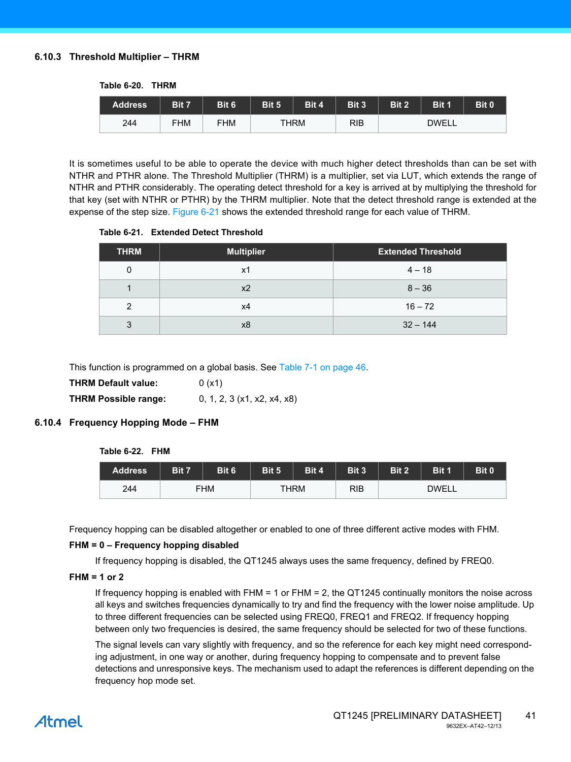#### <span id="page-40-0"></span>**6.10.3 Threshold Multiplier – THRM**

| <b>Table 6-20.</b> | <b>THRM</b> |
|--------------------|-------------|
|                    |             |

| <b>Address</b> | Bit 7      | Bit 6      | Bit 5       | Bit 4 | Bit 3      | Bit 2        | Bit 1 | Bit 0 |
|----------------|------------|------------|-------------|-------|------------|--------------|-------|-------|
| 244            | <b>FHM</b> | <b>FHM</b> | <b>THRM</b> |       | <b>RIB</b> | <b>DWELL</b> |       |       |

It is sometimes useful to be able to operate the device with much higher detect thresholds than can be set with NTHR and PTHR alone. The Threshold Multiplier (THRM) is a multiplier, set via LUT, which extends the range of NTHR and PTHR considerably. The operating detect threshold for a key is arrived at by multiplying the threshold for that key (set with NTHR or PTHR) by the THRM multiplier. Note that the detect threshold range is extended at the expense of the step size. [Figure 6-21](#page-40-1) shows the extended threshold range for each value of THRM.

<span id="page-40-1"></span>**Table 6-21. Extended Detect Threshold** 

| <b>THRM</b> | <b>Multiplier</b> | <b>Extended Threshold</b> |
|-------------|-------------------|---------------------------|
| 0           | x1                | $4 - 18$                  |
|             | x2                | $8 - 36$                  |
| 2           | х4                | $16 - 72$                 |
| 3           | x8                | $32 - 144$                |

This function is programmed on a global basis. See [Table 7-1 on page 46.](#page-45-1)

| THRM Default value:         | 0(x1)                         |
|-----------------------------|-------------------------------|
| <b>THRM Possible range:</b> | 0, 1, 2, 3 $(x1, x2, x4, x8)$ |

### **6.10.4 Frequency Hopping Mode – FHM**

**Table 6-22. FHM**

| Address | Bit 7 | Bit 6 | Bit 5 | Bit 4 | Bit 3 | Bit 2 | Bit 1 | Bit 0 |
|---------|-------|-------|-------|-------|-------|-------|-------|-------|
| 244     | FHM   |       |       | THRM  |       | DWELL |       |       |

Frequency hopping can be disabled altogether or enabled to one of three different active modes with FHM.

#### **FHM = 0 – Frequency hopping disabled**

If frequency hopping is disabled, the QT1245 always uses the same frequency, defined by FREQ0.

#### **FHM = 1 or 2**

If frequency hopping is enabled with FHM = 1 or FHM = 2, the QT1245 continually monitors the noise across all keys and switches frequencies dynamically to try and find the frequency with the lower noise amplitude. Up to three different frequencies can be selected using FREQ0, FREQ1 and FREQ2. If frequency hopping between only two frequencies is desired, the same frequency should be selected for two of these functions.

The signal levels can vary slightly with frequency, and so the reference for each key might need corresponding adjustment, in one way or another, during frequency hopping to compensate and to prevent false detections and unresponsive keys. The mechanism used to adapt the references is different depending on the frequency hop mode set.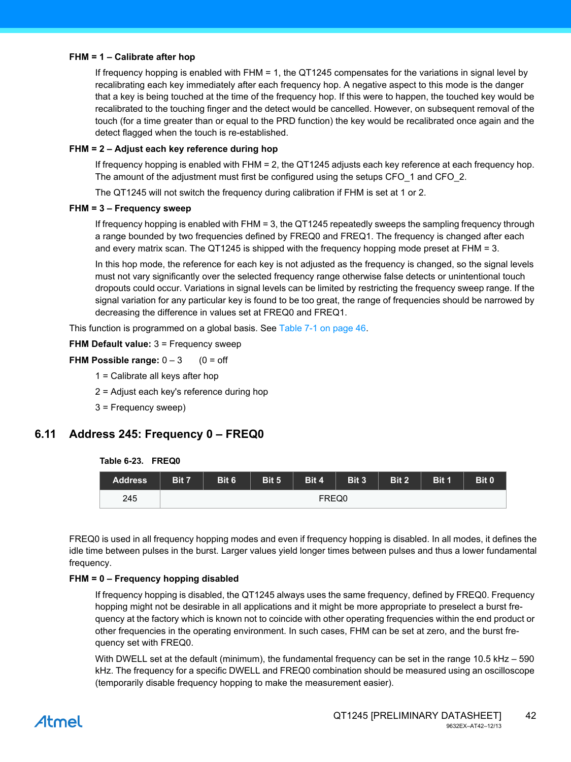#### **FHM = 1 – Calibrate after hop**

If frequency hopping is enabled with FHM = 1, the QT1245 compensates for the variations in signal level by recalibrating each key immediately after each frequency hop. A negative aspect to this mode is the danger that a key is being touched at the time of the frequency hop. If this were to happen, the touched key would be recalibrated to the touching finger and the detect would be cancelled. However, on subsequent removal of the touch (for a time greater than or equal to the PRD function) the key would be recalibrated once again and the detect flagged when the touch is re-established.

#### **FHM = 2 – Adjust each key reference during hop**

If frequency hopping is enabled with FHM = 2, the QT1245 adjusts each key reference at each frequency hop. The amount of the adjustment must first be configured using the setups CFO 1 and CFO 2.

The QT1245 will not switch the frequency during calibration if FHM is set at 1 or 2.

#### **FHM = 3 – Frequency sweep**

If frequency hopping is enabled with FHM = 3, the QT1245 repeatedly sweeps the sampling frequency through a range bounded by two frequencies defined by FREQ0 and FREQ1. The frequency is changed after each and every matrix scan. The QT1245 is shipped with the frequency hopping mode preset at FHM = 3.

In this hop mode, the reference for each key is not adjusted as the frequency is changed, so the signal levels must not vary significantly over the selected frequency range otherwise false detects or unintentional touch dropouts could occur. Variations in signal levels can be limited by restricting the frequency sweep range. If the signal variation for any particular key is found to be too great, the range of frequencies should be narrowed by decreasing the difference in values set at FREQ0 and FREQ1.

This function is programmed on a global basis. See [Table 7-1 on page 46.](#page-45-1)

**FHM Default value:** 3 = Frequency sweep

**FHM Possible range:**  $0 - 3$  (0 = off

- 1 = Calibrate all keys after hop
- 2 = Adjust each key's reference during hop
- 3 = Frequency sweep)

# **6.11 Address 245: Frequency 0 – FREQ0**

#### **Table 6-23. FREQ0**



FREQ0 is used in all frequency hopping modes and even if frequency hopping is disabled. In all modes, it defines the idle time between pulses in the burst. Larger values yield longer times between pulses and thus a lower fundamental frequency.

#### **FHM = 0 – Frequency hopping disabled**

If frequency hopping is disabled, the QT1245 always uses the same frequency, defined by FREQ0. Frequency hopping might not be desirable in all applications and it might be more appropriate to preselect a burst frequency at the factory which is known not to coincide with other operating frequencies within the end product or other frequencies in the operating environment. In such cases, FHM can be set at zero, and the burst frequency set with FREQ0.

With DWELL set at the default (minimum), the fundamental frequency can be set in the range 10.5 kHz – 590 kHz. The frequency for a specific DWELL and FREQ0 combination should be measured using an oscilloscope (temporarily disable frequency hopping to make the measurement easier).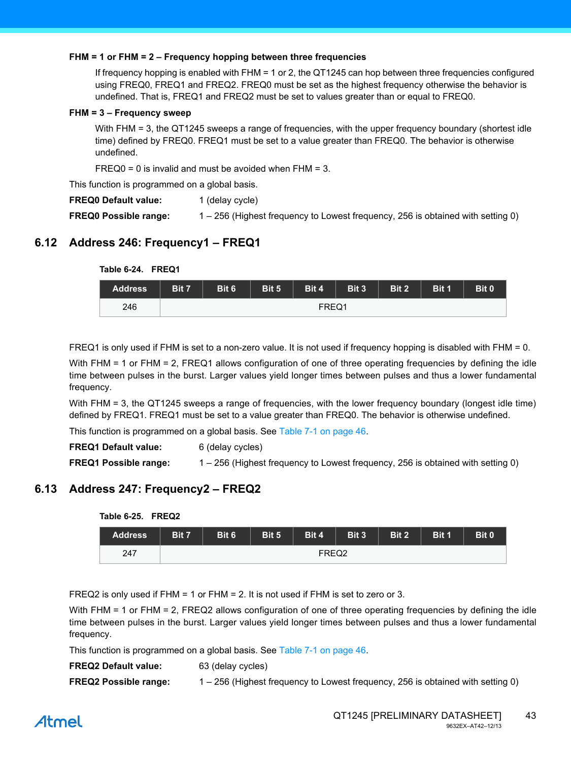#### **FHM = 1 or FHM = 2 – Frequency hopping between three frequencies**

If frequency hopping is enabled with FHM = 1 or 2, the QT1245 can hop between three frequencies configured using FREQ0, FREQ1 and FREQ2. FREQ0 must be set as the highest frequency otherwise the behavior is undefined. That is, FREQ1 and FREQ2 must be set to values greater than or equal to FREQ0.

#### **FHM = 3 – Frequency sweep**

With FHM = 3, the QT1245 sweeps a range of frequencies, with the upper frequency boundary (shortest idle time) defined by FREQ0. FREQ1 must be set to a value greater than FREQ0. The behavior is otherwise undefined.

 $FREQ0 = 0$  is invalid and must be avoided when  $FHM = 3$ .

This function is programmed on a global basis.

**FREQ0 Default value:** 1 (delay cycle)

**FREQ0 Possible range:** 1 – 256 (Highest frequency to Lowest frequency, 256 is obtained with setting 0)

# **6.12 Address 246: Frequency1 – FREQ1**

**Table 6-24. FREQ1**

| 1401002111111221 |       |       |       |       |       |       |       |       |  |
|------------------|-------|-------|-------|-------|-------|-------|-------|-------|--|
| <b>Address</b>   | Bit 7 | Bit 6 | Bit 5 | Bit 4 | Bit 3 | Bit 2 | Bit 1 | Bit 0 |  |
| 246              |       | FREQ1 |       |       |       |       |       |       |  |

FREQ1 is only used if FHM is set to a non-zero value. It is not used if frequency hopping is disabled with FHM = 0.

With FHM = 1 or FHM = 2, FREQ1 allows configuration of one of three operating frequencies by defining the idle time between pulses in the burst. Larger values yield longer times between pulses and thus a lower fundamental frequency.

With FHM = 3, the QT1245 sweeps a range of frequencies, with the lower frequency boundary (longest idle time) defined by FREQ1. FREQ1 must be set to a value greater than FREQ0. The behavior is otherwise undefined.

This function is programmed on a global basis. See [Table 7-1 on page 46.](#page-45-1)

| <b>FREQ1 Default value:</b>  | 6 (delay cycles)                                                                |
|------------------------------|---------------------------------------------------------------------------------|
| <b>FREQ1 Possible range:</b> | 1 – 256 (Highest frequency to Lowest frequency, 256 is obtained with setting 0) |

# **6.13 Address 247: Frequency2 – FREQ2**

**Table 6-25. FREQ2**

| <b>Address</b> | Bit 7 | Bit 6 | Bit 5 | Bit 4 | Bit 3 | Bit 2 | Bit 1 | Bit 0 |  |
|----------------|-------|-------|-------|-------|-------|-------|-------|-------|--|
| 247            |       | FREQ2 |       |       |       |       |       |       |  |

FREQ2 is only used if FHM = 1 or FHM = 2. It is not used if FHM is set to zero or 3.

With FHM = 1 or FHM = 2, FREQ2 allows configuration of one of three operating frequencies by defining the idle time between pulses in the burst. Larger values yield longer times between pulses and thus a lower fundamental frequency.

This function is programmed on a global basis. See [Table 7-1 on page 46.](#page-45-1)

| <b>FREQ2 Default value:</b> | 63 (delay cycles)                                                                                                                                                                                                                                                                                                        |
|-----------------------------|--------------------------------------------------------------------------------------------------------------------------------------------------------------------------------------------------------------------------------------------------------------------------------------------------------------------------|
| $\blacksquare$              | $\overline{C}$ and the contract of the contract of $\overline{C}$ and $\overline{C}$ and $\overline{C}$ and $\overline{C}$ and $\overline{C}$ and $\overline{C}$ and $\overline{C}$ and $\overline{C}$ and $\overline{C}$ and $\overline{C}$ and $\overline{C}$ and $\overline{C}$ and $\overline{C}$ and $\overline{C}$ |

#### **FREQ2 Possible range:** 1 – 256 (Highest frequency to Lowest frequency, 256 is obtained with setting 0)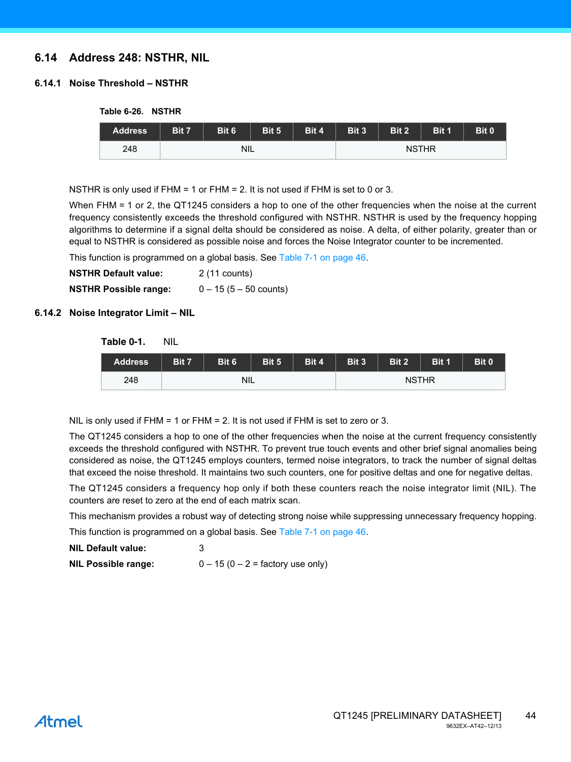# **6.14 Address 248: NSTHR, NIL**

### **6.14.1 Noise Threshold – NSTHR**

**Table 6-26. NSTHR**

| <b>Address</b> | Bit 7 | Bit 6 | Bit 5 | Bit 4 | Bit 3 | Bit 2 | Bit 1        | Bit 0 |
|----------------|-------|-------|-------|-------|-------|-------|--------------|-------|
| 248            |       | NIL   |       |       |       |       | <b>NSTHR</b> |       |

NSTHR is only used if FHM = 1 or FHM = 2. It is not used if FHM is set to 0 or 3.

When FHM = 1 or 2, the QT1245 considers a hop to one of the other frequencies when the noise at the current frequency consistently exceeds the threshold configured with NSTHR. NSTHR is used by the frequency hopping algorithms to determine if a signal delta should be considered as noise. A delta, of either polarity, greater than or equal to NSTHR is considered as possible noise and forces the Noise Integrator counter to be incremented.

This function is programmed on a global basis. See [Table 7-1 on page 46.](#page-45-1)

**NSTHR Default value:** 2 (11 counts) **NSTHR Possible range:** 0 – 15 (5 – 50 counts)

#### **6.14.2 Noise Integrator Limit – NIL**

| Table 0-1. | Nil |
|------------|-----|
|            |     |

| <b>Address</b> | Bit 7 | Bit 6      | Bit 5 | Bit 4 | Bit 3 | Bit 2 | Bit 1        | Bit 0 |
|----------------|-------|------------|-------|-------|-------|-------|--------------|-------|
| 248            |       | <b>NIL</b> |       |       |       |       | <b>NSTHR</b> |       |

NIL is only used if  $FHM = 1$  or  $FHM = 2$ . It is not used if  $FHM$  is set to zero or 3.

The QT1245 considers a hop to one of the other frequencies when the noise at the current frequency consistently exceeds the threshold configured with NSTHR. To prevent true touch events and other brief signal anomalies being considered as noise, the QT1245 employs counters, termed noise integrators, to track the number of signal deltas that exceed the noise threshold. It maintains two such counters, one for positive deltas and one for negative deltas.

The QT1245 considers a frequency hop only if both these counters reach the noise integrator limit (NIL). The counters are reset to zero at the end of each matrix scan.

This mechanism provides a robust way of detecting strong noise while suppressing unnecessary frequency hopping.

This function is programmed on a global basis. See [Table 7-1 on page 46.](#page-45-1)

|  | <b>NIL Default value:</b> |  |                       |  |  |  |  |  |  |
|--|---------------------------|--|-----------------------|--|--|--|--|--|--|
|  |                           |  | $\lambda = \lambda_0$ |  |  |  |  |  |  |

**NIL Possible range:**  $0 - 15 (0 - 2 = \text{factory use only})$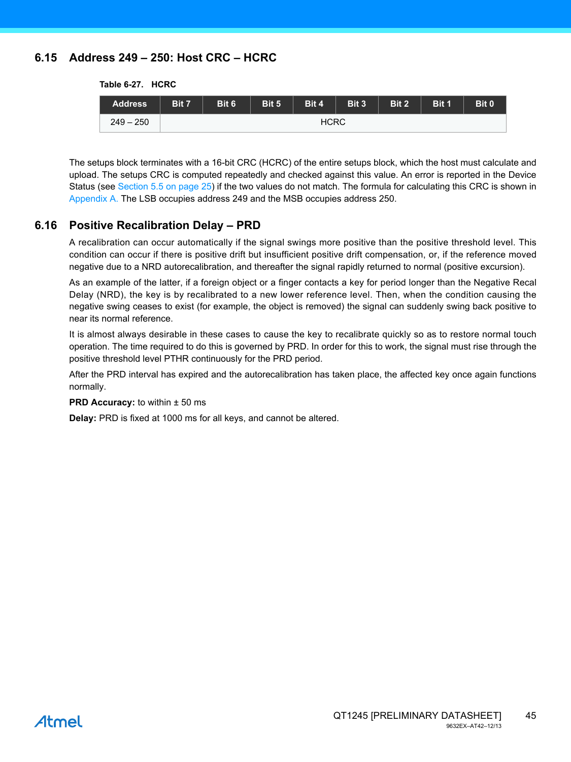# **6.15 Address 249 – 250: Host CRC – HCRC**

**Table 6-27. HCRC**

| <b>Address</b> | Bit 7       | Bit 6 | Bit 5 | Bit 4 | Bit 3 | Bit 2 | Bit 1 | Bit 0 |
|----------------|-------------|-------|-------|-------|-------|-------|-------|-------|
| $249 - 250$    | <b>HCRC</b> |       |       |       |       |       |       |       |

The setups block terminates with a 16-bit CRC (HCRC) of the entire setups block, which the host must calculate and upload. The setups CRC is computed repeatedly and checked against this value. An error is reported in the Device Status (see [Section 5.5 on page 25](#page-24-0)) if the two values do not match. The formula for calculating this CRC is shown in [Appendix A.](#page-53-0) The LSB occupies address 249 and the MSB occupies address 250.

# **6.16 Positive Recalibration Delay – PRD**

A recalibration can occur automatically if the signal swings more positive than the positive threshold level. This condition can occur if there is positive drift but insufficient positive drift compensation, or, if the reference moved negative due to a NRD autorecalibration, and thereafter the signal rapidly returned to normal (positive excursion).

As an example of the latter, if a foreign object or a finger contacts a key for period longer than the Negative Recal Delay (NRD), the key is by recalibrated to a new lower reference level. Then, when the condition causing the negative swing ceases to exist (for example, the object is removed) the signal can suddenly swing back positive to near its normal reference.

It is almost always desirable in these cases to cause the key to recalibrate quickly so as to restore normal touch operation. The time required to do this is governed by PRD. In order for this to work, the signal must rise through the positive threshold level PTHR continuously for the PRD period.

After the PRD interval has expired and the autorecalibration has taken place, the affected key once again functions normally.

#### **PRD Accuracy:** to within  $\pm$  50 ms

**Delay:** PRD is fixed at 1000 ms for all keys, and cannot be altered.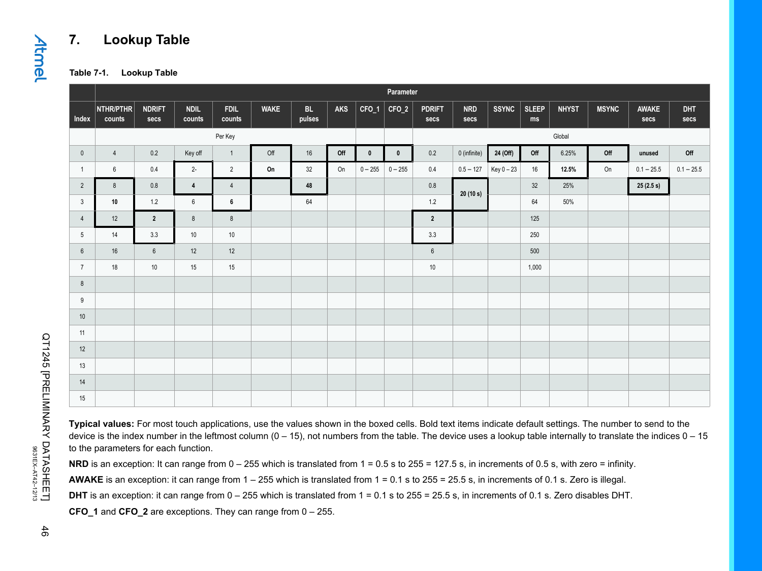# **7. Lookup Table**

**Table 7-1. Lookup Table**

|                 | Parameter           |                       |                       |                       |             |              |     |              |             |                       |                    |              |                    |              |              |               |                    |
|-----------------|---------------------|-----------------------|-----------------------|-----------------------|-------------|--------------|-----|--------------|-------------|-----------------------|--------------------|--------------|--------------------|--------------|--------------|---------------|--------------------|
| Index           | NTHR/PTHR<br>counts | <b>NDRIFT</b><br>secs | <b>NDIL</b><br>counts | <b>FDIL</b><br>counts | <b>WAKE</b> | BL<br>pulses | AKS | $CFO_1$      | $CFO_2$     | <b>PDRIFT</b><br>secs | <b>NRD</b><br>secs | <b>SSYNC</b> | <b>SLEEP</b><br>ms | <b>NHYST</b> | <b>MSYNC</b> | AWAKE<br>secs | <b>DHT</b><br>secs |
|                 |                     |                       |                       | Per Key               |             |              |     |              |             |                       |                    |              |                    | Global       |              |               |                    |
| $\mathbf 0$     | $\overline{4}$      | 0.2                   | Key off               | $\overline{1}$        | Off         | 16           | Off | $\mathbf{0}$ | $\mathbf 0$ | 0.2                   | 0 (infinite)       | 24 (Off)     | Off                | 6.25%        | Off          | unused        | Off                |
| $\overline{1}$  | 6                   | 0.4                   | $2 -$                 | 2                     | On          | 32           | On  | $0 - 255$    | $0 - 255$   | 0.4                   | $0.5 - 127$        | Key 0 - 23   | 16                 | 12.5%        | On           | $0.1 - 25.5$  | $0.1 - 25.5$       |
| $\overline{2}$  | 8                   | $0.8\,$               | $\overline{4}$        | $\overline{4}$        |             | 48           |     |              |             | $0.8\,$               | 20(10 s)           |              | 32                 | 25%          |              | 25(2.5 s)     |                    |
| $\mathbf{3}$    | 10                  | $1.2\,$               | $6\phantom{.0}$       | 6                     |             | 64           |     |              |             | 1.2                   |                    |              | 64                 | 50%          |              |               |                    |
| $\overline{4}$  | 12                  | $\overline{2}$        | 8                     | 8                     |             |              |     |              |             | $\overline{2}$        |                    |              | 125                |              |              |               |                    |
| $5\phantom{.0}$ | 14                  | 3.3                   | 10                    | 10                    |             |              |     |              |             | 3.3                   |                    |              | 250                |              |              |               |                    |
| $6\overline{6}$ | 16                  | $6\phantom{1}$        | 12                    | 12                    |             |              |     |              |             | $6\phantom{1}6$       |                    |              | 500                |              |              |               |                    |
| $\overline{7}$  | 18                  | 10                    | 15                    | 15                    |             |              |     |              |             | 10                    |                    |              | 1,000              |              |              |               |                    |
| 8               |                     |                       |                       |                       |             |              |     |              |             |                       |                    |              |                    |              |              |               |                    |
| 9               |                     |                       |                       |                       |             |              |     |              |             |                       |                    |              |                    |              |              |               |                    |
| 10              |                     |                       |                       |                       |             |              |     |              |             |                       |                    |              |                    |              |              |               |                    |
| 11              |                     |                       |                       |                       |             |              |     |              |             |                       |                    |              |                    |              |              |               |                    |
| 12              |                     |                       |                       |                       |             |              |     |              |             |                       |                    |              |                    |              |              |               |                    |
| 13              |                     |                       |                       |                       |             |              |     |              |             |                       |                    |              |                    |              |              |               |                    |
| 14              |                     |                       |                       |                       |             |              |     |              |             |                       |                    |              |                    |              |              |               |                    |
| 15              |                     |                       |                       |                       |             |              |     |              |             |                       |                    |              |                    |              |              |               |                    |

**Typical values:** For most touch applications, use the values shown in the boxed cells. Bold text items indicate default settings. The number to send to the device is the index number in the leftmost column  $(0 - 15)$ , not numbers from the table. The device uses a lookup table internally to translate the indices  $0 - 15$ to the parameters for each function.

**NRD** is an exception: It can range from  $0 - 255$  which is translated from  $1 = 0.5$  s to  $255 = 127.5$  s, in increments of 0.5 s, with zero = infinity.

**AWAKE** is an exception: it can range from 1 – 255 which is translated from 1 = 0.1 s to 255 = 25.5 s, in increments of 0.1 s. Zero is illegal.

**DHT** is an exception: it can range from 0 – 255 which is translated from 1 = 0.1 s to 255 = 25.5 s, in increments of 0.1 s. Zero disables DHT.

<span id="page-45-1"></span><span id="page-45-0"></span>**CFO\_1** and **CFO\_2** are exceptions. They can range from 0 – 255.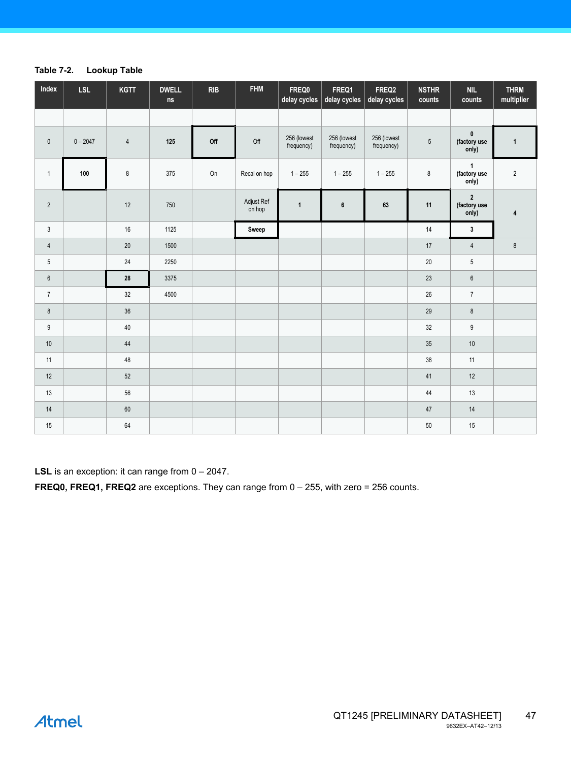#### **Table 7-2. Lookup Table**

| Index            | <b>LSL</b> | <b>KGTT</b> | <b>DWELL</b><br>$\sf{ns}$ | RIB | <b>FHM</b>           | FREQ0<br>delay cycles     | FREQ1<br>delay cycles     | FREQ2<br>delay cycles     | <b>NSTHR</b><br>counts | <b>NIL</b><br>counts                             | <b>THRM</b><br>multiplier |
|------------------|------------|-------------|---------------------------|-----|----------------------|---------------------------|---------------------------|---------------------------|------------------------|--------------------------------------------------|---------------------------|
|                  |            |             |                           |     |                      |                           |                           |                           |                        |                                                  |                           |
| $\pmb{0}$        | $0 - 2047$ | $\sqrt{4}$  | 125                       | Off | Off                  | 256 (lowest<br>frequency) | 256 (lowest<br>frequency) | 256 (lowest<br>frequency) | $\sqrt{5}$             | $\mathbf 0$<br>(factory use<br>only)             | $\mathbf{1}$              |
| $\mathbf{1}$     | 100        | 8           | 375                       | On  | Recal on hop         | $1 - 255$                 | $1 - 255$                 | $1 - 255$                 | $\bf 8$                | 1<br>(factory use<br>only)                       | $\sqrt{2}$                |
| $\sqrt{2}$       |            | 12          | 750                       |     | Adjust Ref<br>on hop | $\mathbf{1}$              | $\boldsymbol{6}$          | 63                        | 11                     | $\overline{\mathbf{2}}$<br>(factory use<br>only) | 4                         |
| $\mathbf{3}$     |            | 16          | 1125                      |     | Sweep                |                           |                           |                           | 14                     | $\mathbf{3}$                                     |                           |
| $\overline{4}$   |            | 20          | 1500                      |     |                      |                           |                           |                           | 17                     | $\overline{4}$                                   | $\bf 8$                   |
| $\sqrt{5}$       |            | 24          | 2250                      |     |                      |                           |                           |                           | $20\,$                 | $5\phantom{.0}$                                  |                           |
| $\boldsymbol{6}$ |            | ${\bf 28}$  | 3375                      |     |                      |                           |                           |                           | 23                     | $\boldsymbol{6}$                                 |                           |
| $7\overline{ }$  |            | 32          | 4500                      |     |                      |                           |                           |                           | 26                     | $\overline{7}$                                   |                           |
| $\bf 8$          |            | 36          |                           |     |                      |                           |                           |                           | 29                     | $\bf 8$                                          |                           |
| $\mathsf g$      |            | $40\,$      |                           |     |                      |                           |                           |                           | $32\,$                 | $\boldsymbol{9}$                                 |                           |
| $10\,$           |            | $44$        |                           |     |                      |                           |                           |                           | 35                     | $10\,$                                           |                           |
| 11               |            | 48          |                           |     |                      |                           |                           |                           | 38                     | 11                                               |                           |
| 12               |            | 52          |                           |     |                      |                           |                           |                           | 41                     | $12$                                             |                           |
| $13$             |            | 56          |                           |     |                      |                           |                           |                           | $44\,$                 | 13                                               |                           |
| $14$             |            | 60          |                           |     |                      |                           |                           |                           | $47\,$                 | 14                                               |                           |
| $15\,$           |            | 64          |                           |     |                      |                           |                           |                           | 50                     | 15                                               |                           |

**LSL** is an exception: it can range from  $0 - 2047$ .

**FREQ0, FREQ1, FREQ2** are exceptions. They can range from 0 – 255, with zero = 256 counts.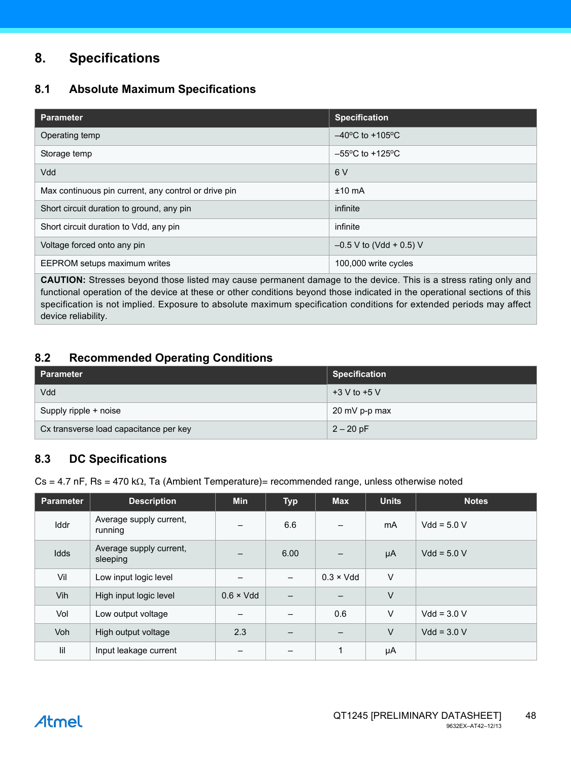# **8. Specifications**

# **8.1 Absolute Maximum Specifications**

| <b>Parameter</b>                                     | <b>Specification</b>                 |
|------------------------------------------------------|--------------------------------------|
| Operating temp                                       | $-40^{\circ}$ C to +105 $^{\circ}$ C |
| Storage temp                                         | $-55^{\circ}$ C to +125 $^{\circ}$ C |
| Vdd                                                  | 6 V                                  |
| Max continuous pin current, any control or drive pin | $±10$ mA                             |
| Short circuit duration to ground, any pin            | infinite                             |
| Short circuit duration to Vdd, any pin               | infinite                             |
| Voltage forced onto any pin                          | $-0.5$ V to (Vdd + 0.5) V            |
| EEPROM setups maximum writes                         | 100,000 write cycles                 |

**CAUTION:** Stresses beyond those listed may cause permanent damage to the device. This is a stress rating only and functional operation of the device at these or other conditions beyond those indicated in the operational sections of this specification is not implied. Exposure to absolute maximum specification conditions for extended periods may affect device reliability.

# <span id="page-47-0"></span>**8.2 Recommended Operating Conditions**

| l Parameter                            | <b>Specification</b> |
|----------------------------------------|----------------------|
| Vdd                                    | $+3$ V to $+5$ V     |
| Supply ripple + noise                  | 20 mV p-p max        |
| Cx transverse load capacitance per key | $2 - 20$ pF          |

# **8.3 DC Specifications**

 $Cs = 4.7$  nF, Rs = 470 k $\Omega$ , Ta (Ambient Temperature)= recommended range, unless otherwise noted

| <b>Parameter</b> | <b>Description</b>                  | <b>Min</b>        | <b>Typ</b> | <b>Max</b>        | <b>Units</b> | <b>Notes</b>  |
|------------------|-------------------------------------|-------------------|------------|-------------------|--------------|---------------|
| Iddr             | Average supply current,<br>running  | —                 | 6.6        |                   | mA           | $Vdd = 5.0 V$ |
| Idds             | Average supply current,<br>sleeping |                   | 6.00       |                   | μA           | $Vdd = 5.0 V$ |
| Vil              | Low input logic level               |                   |            | $0.3 \times V$ dd | V            |               |
| Vih              | High input logic level              | $0.6 \times V$ dd | —          |                   | V            |               |
| Vol              | Low output voltage                  |                   |            | 0.6               | V            | $Vdd = 3.0 V$ |
| Voh              | High output voltage                 | 2.3               | —          |                   | V            | $Vdd = 3.0 V$ |
| lil              | Input leakage current               |                   |            | 1                 | μA           |               |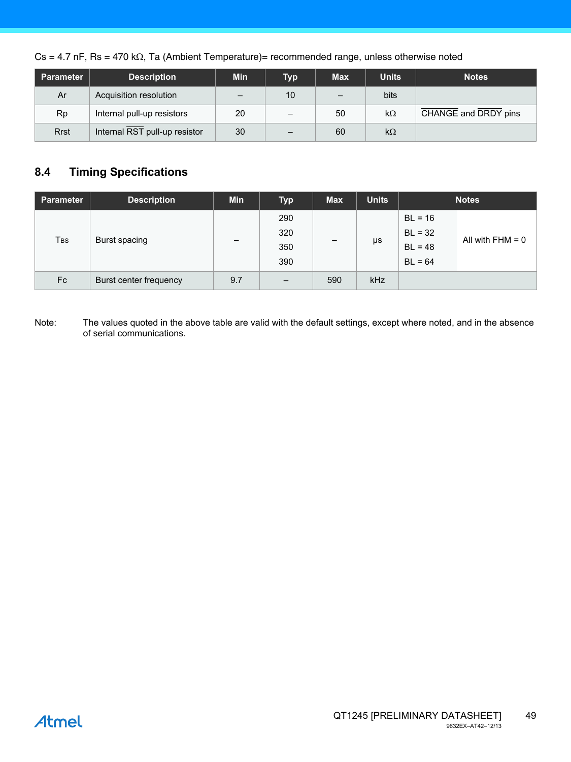$Cs = 4.7$  nF, Rs = 470 k $\Omega$ , Ta (Ambient Temperature)= recommended range, unless otherwise noted

| Parameter   | <b>Description</b>            | Min                      | <b>Typ</b> | <b>Max</b>               | <b>Units</b> | <b>Notes</b>         |
|-------------|-------------------------------|--------------------------|------------|--------------------------|--------------|----------------------|
| Ar          | Acquisition resolution        | $\overline{\phantom{0}}$ | 10         | $\overline{\phantom{0}}$ | bits         |                      |
| Rp          | Internal pull-up resistors    | 20                       |            | 50                       | $k\Omega$    | CHANGE and DRDY pins |
| <b>Rrst</b> | Internal RST pull-up resistor | 30                       |            | 60                       | $k\Omega$    |                      |

# <span id="page-48-0"></span>**8.4 Timing Specifications**

| <b>Parameter</b> | <b>Description</b>     | <b>Min</b> | Typ               | <b>Max</b>        | <b>Units</b> | <b>Notes</b> |                    |
|------------------|------------------------|------------|-------------------|-------------------|--------------|--------------|--------------------|
| T <sub>BS</sub>  | Burst spacing          | -          | 290               |                   | μs           | $BL = 16$    | All with $FHM = 0$ |
|                  |                        |            | 320               | $\qquad \qquad -$ |              | $BL = 32$    |                    |
|                  |                        |            | 350               |                   |              | $BL = 48$    |                    |
|                  |                        |            | 390               |                   |              | $BL = 64$    |                    |
| Fc               | Burst center frequency | 9.7        | $\qquad \qquad -$ | 590               | kHz          |              |                    |

Note: The values quoted in the above table are valid with the default settings, except where noted, and in the absence of serial communications.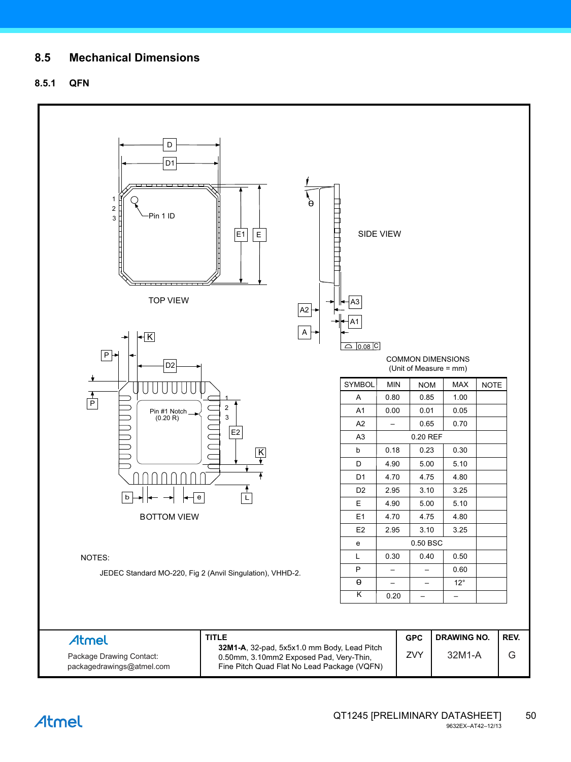# **8.5 Mechanical Dimensions**

# **8.5.1 QFN**

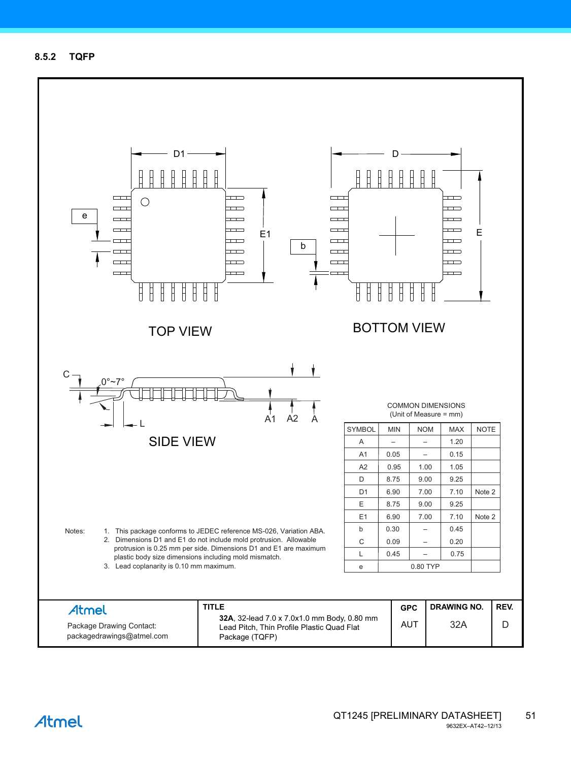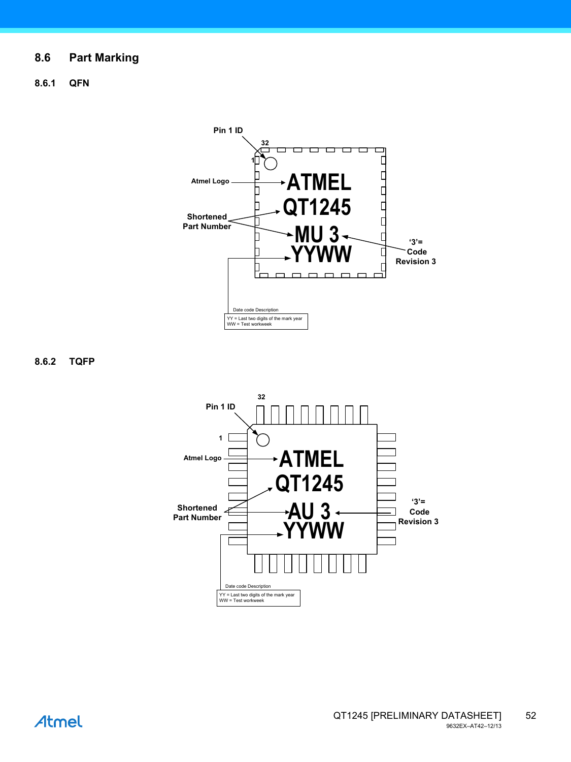# **8.6 Part Marking**

**8.6.1 QFN**



**8.6.2 TQFP**

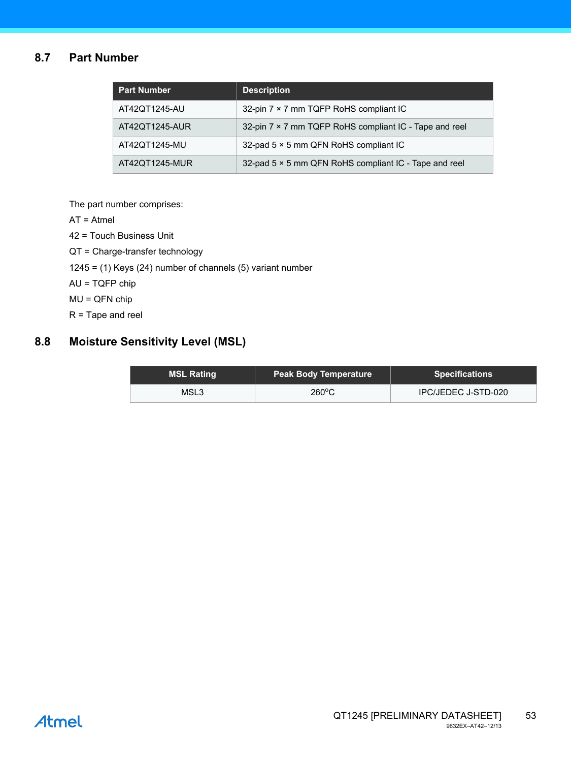# **8.7 Part Number**

| <b>Part Number</b> | <b>Description</b>                                     |
|--------------------|--------------------------------------------------------|
| AT42QT1245-AU      | 32-pin 7 × 7 mm TQFP RoHS compliant IC                 |
| AT42QT1245-AUR     | 32-pin 7 × 7 mm TQFP RoHS compliant IC - Tape and reel |
| AT42QT1245-MU      | 32-pad 5 × 5 mm QFN RoHS compliant IC                  |
| AT42QT1245-MUR     | 32-pad 5 × 5 mm QFN RoHS compliant IC - Tape and reel  |

The part number comprises:

AT = Atmel

42 = Touch Business Unit

QT = Charge-transfer technology

1245 = (1) Keys (24) number of channels (5) variant number

AU = TQFP chip

MU = QFN chip

R = Tape and reel

# **8.8 Moisture Sensitivity Level (MSL)**

| <b>MSL Rating</b> | <b>Peak Body Temperature</b> | <b>Specifications</b> |
|-------------------|------------------------------|-----------------------|
| MSL3              | $260^{\circ}$ C              | IPC/JEDEC J-STD-020   |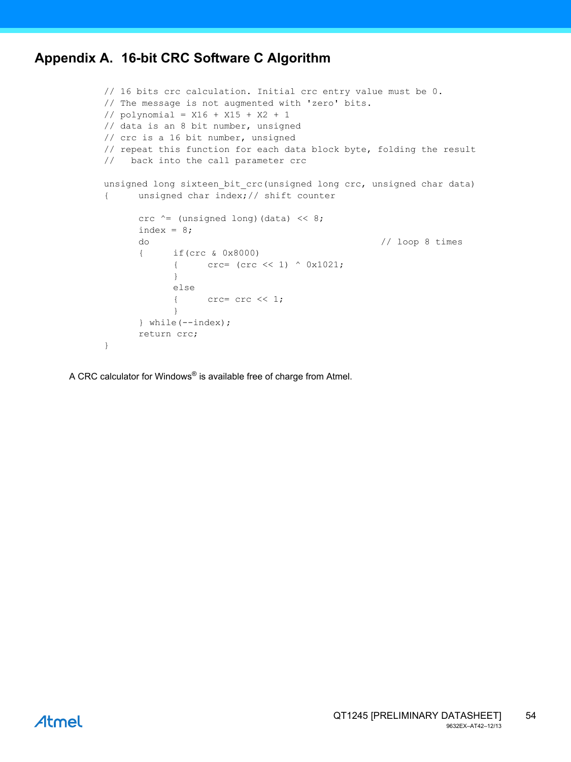# <span id="page-53-0"></span>**Appendix A. 16-bit CRC Software C Algorithm**

```
// 16 bits crc calculation. Initial crc entry value must be 0.
// The message is not augmented with 'zero' bits.
// polynomial = X16 + X15 + X2 + 1
// data is an 8 bit number, unsigned
// crc is a 16 bit number, unsigned
// repeat this function for each data block byte, folding the result
// back into the call parameter crc
unsigned long sixteen_bit_crc(unsigned long crc, unsigned char data)
{ unsigned char index;// shift counter
      crc \uparrow (unsigned long) (data) \langle \cdot \rangle 8;
      index = 8;do // loop 8 times
      { if(crc & 0x8000)
            { crc= (crc << 1) ^ 0x1021;
            }
            else
            { \csc = \csc \ll 1;}
      } while(--index);
      return crc;
}
```
A CRC calculator for Windows® is available free of charge from Atmel.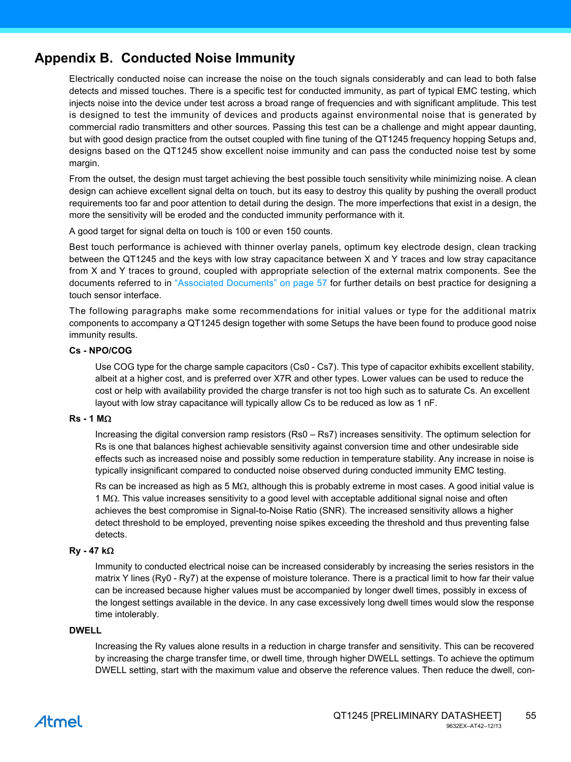# **Appendix B. Conducted Noise Immunity**

Electrically conducted noise can increase the noise on the touch signals considerably and can lead to both false detects and missed touches. There is a specific test for conducted immunity, as part of typical EMC testing, which injects noise into the device under test across a broad range of frequencies and with significant amplitude. This test is designed to test the immunity of devices and products against environmental noise that is generated by commercial radio transmitters and other sources. Passing this test can be a challenge and might appear daunting, but with good design practice from the outset coupled with fine tuning of the QT1245 frequency hopping Setups and, designs based on the QT1245 show excellent noise immunity and can pass the conducted noise test by some margin.

From the outset, the design must target achieving the best possible touch sensitivity while minimizing noise. A clean design can achieve excellent signal delta on touch, but its easy to destroy this quality by pushing the overall product requirements too far and poor attention to detail during the design. The more imperfections that exist in a design, the more the sensitivity will be eroded and the conducted immunity performance with it.

A good target for signal delta on touch is 100 or even 150 counts.

Best touch performance is achieved with thinner overlay panels, optimum key electrode design, clean tracking between the QT1245 and the keys with low stray capacitance between X and Y traces and low stray capacitance from X and Y traces to ground, coupled with appropriate selection of the external matrix components. See the documents referred to in ["Associated Documents" on page 57](#page-56-0) for further details on best practice for designing a touch sensor interface.

The following paragraphs make some recommendations for initial values or type for the additional matrix components to accompany a QT1245 design together with some Setups the have been found to produce good noise immunity results.

#### **Cs - NPO/COG**

Use COG type for the charge sample capacitors (Cs0 - Cs7). This type of capacitor exhibits excellent stability, albeit at a higher cost, and is preferred over X7R and other types. Lower values can be used to reduce the cost or help with availability provided the charge transfer is not too high such as to saturate Cs. An excellent layout with low stray capacitance will typically allow Cs to be reduced as low as 1 nF.

#### $Rs - 1 M<sub>\Omega</sub>$

Increasing the digital conversion ramp resistors (Rs0 – Rs7) increases sensitivity. The optimum selection for Rs is one that balances highest achievable sensitivity against conversion time and other undesirable side effects such as increased noise and possibly some reduction in temperature stability. Any increase in noise is typically insignificant compared to conducted noise observed during conducted immunity EMC testing.

Rs can be increased as high as 5 M $\Omega$ , although this is probably extreme in most cases. A good initial value is  $1 \text{ M}\Omega$ . This value increases sensitivity to a good level with acceptable additional signal noise and often achieves the best compromise in Signal-to-Noise Ratio (SNR). The increased sensitivity allows a higher detect threshold to be employed, preventing noise spikes exceeding the threshold and thus preventing false detects.

#### **Ry - 47 k**

Immunity to conducted electrical noise can be increased considerably by increasing the series resistors in the matrix Y lines (Ry0 - Ry7) at the expense of moisture tolerance. There is a practical limit to how far their value can be increased because higher values must be accompanied by longer dwell times, possibly in excess of the longest settings available in the device. In any case excessively long dwell times would slow the response time intolerably.

#### **DWELL**

Increasing the Ry values alone results in a reduction in charge transfer and sensitivity. This can be recovered by increasing the charge transfer time, or dwell time, through higher DWELL settings. To achieve the optimum DWELL setting, start with the maximum value and observe the reference values. Then reduce the dwell, con-

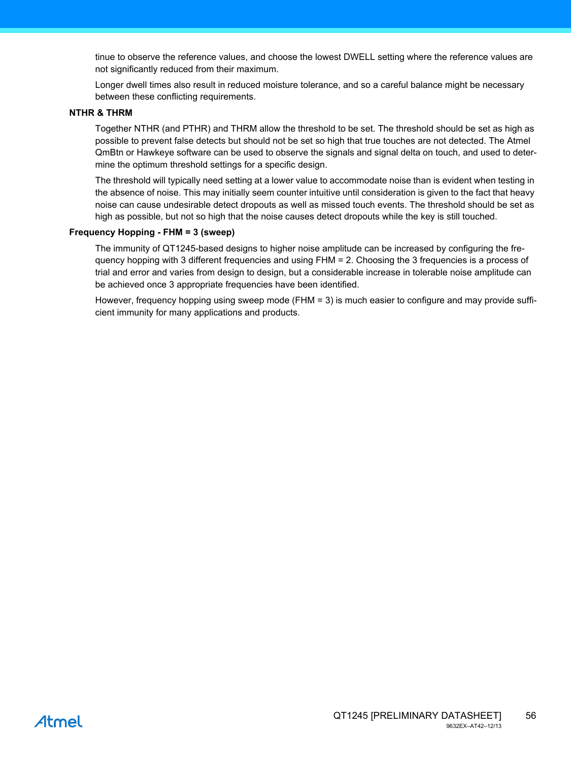tinue to observe the reference values, and choose the lowest DWELL setting where the reference values are not significantly reduced from their maximum.

Longer dwell times also result in reduced moisture tolerance, and so a careful balance might be necessary between these conflicting requirements.

#### **NTHR & THRM**

Together NTHR (and PTHR) and THRM allow the threshold to be set. The threshold should be set as high as possible to prevent false detects but should not be set so high that true touches are not detected. The Atmel QmBtn or Hawkeye software can be used to observe the signals and signal delta on touch, and used to determine the optimum threshold settings for a specific design.

The threshold will typically need setting at a lower value to accommodate noise than is evident when testing in the absence of noise. This may initially seem counter intuitive until consideration is given to the fact that heavy noise can cause undesirable detect dropouts as well as missed touch events. The threshold should be set as high as possible, but not so high that the noise causes detect dropouts while the key is still touched.

#### **Frequency Hopping - FHM = 3 (sweep)**

The immunity of QT1245-based designs to higher noise amplitude can be increased by configuring the frequency hopping with 3 different frequencies and using FHM = 2. Choosing the 3 frequencies is a process of trial and error and varies from design to design, but a considerable increase in tolerable noise amplitude can be achieved once 3 appropriate frequencies have been identified.

However, frequency hopping using sweep mode (FHM = 3) is much easier to configure and may provide sufficient immunity for many applications and products.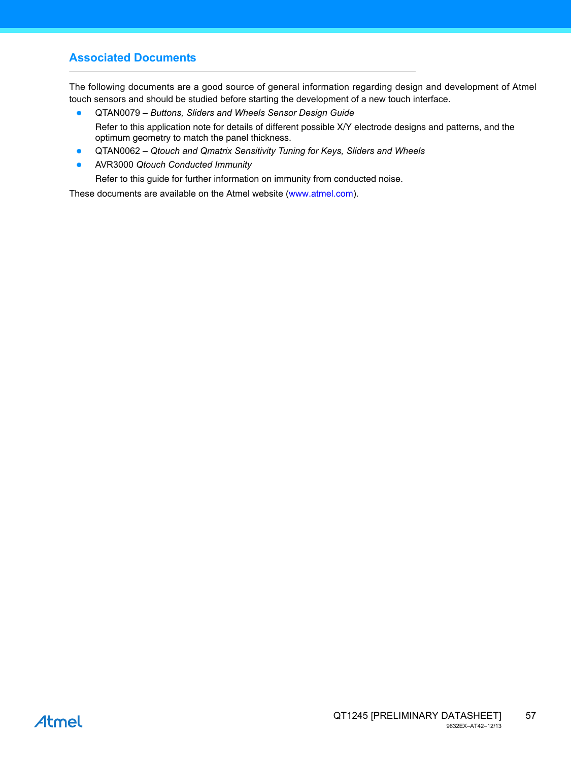# <span id="page-56-0"></span>**Associated Documents**

The following documents are a good source of general information regarding design and development of Atmel touch sensors and should be studied before starting the development of a new touch interface.

- QTAN0079 *Buttons, Sliders and Wheels Sensor Design Guide* Refer to this application note for details of different possible X/Y electrode designs and patterns, and the optimum geometry to match the panel thickness.
- QTAN0062 *Qtouch and Qmatrix Sensitivity Tuning for Keys, Sliders and Wheels*
- AVR3000 *Qtouch Conducted Immunity*

Refer to this guide for further information on immunity from conducted noise.

[These documents are available on the Atmel website \(](http://www.atmel.com/touch)www.atmel.com).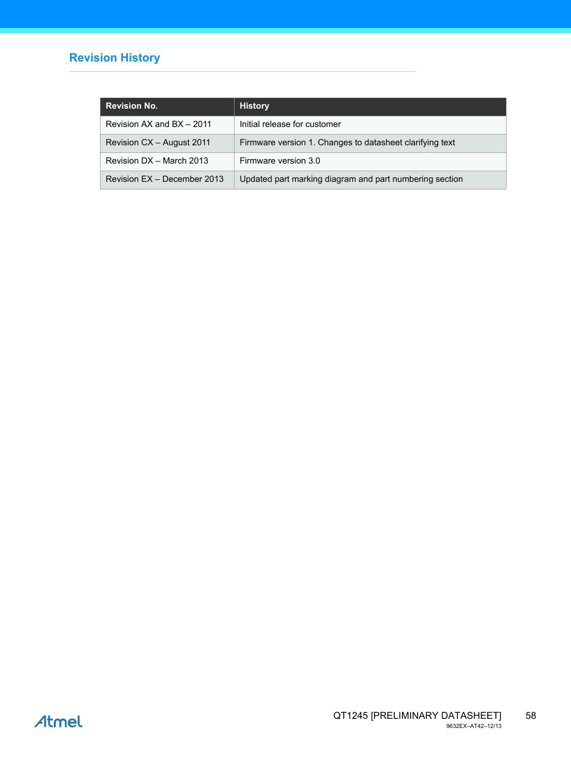# **Revision History**

| <b>Revision No.</b>         | <b>History</b>                                           |
|-----------------------------|----------------------------------------------------------|
| Revision AX and BX - 2011   | Initial release for customer                             |
| Revision CX - August 2011   | Firmware version 1. Changes to datasheet clarifying text |
| Revision DX - March 2013    | Firmware version 3.0                                     |
| Revision EX - December 2013 | Updated part marking diagram and part numbering section  |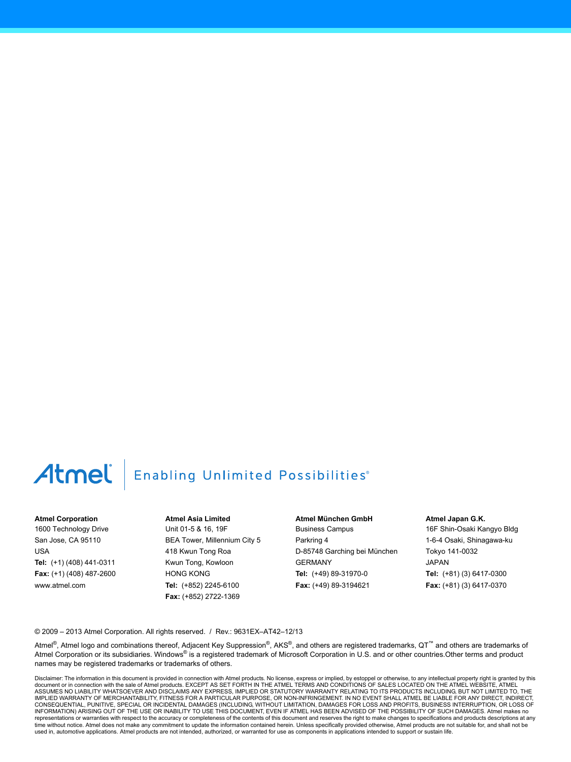# Atmel | Enabling Unlimited Possibilities®

#### **Atmel Corporation**

1600 Technology Drive San Jose, CA 95110 USA **Tel:** (+1) (408) 441-0311 **Fax:** (+1) (408) 487-2600 www.atmel.com

**Atmel Asia Limited** Unit 01-5 & 16, 19F BEA Tower, Millennium City 5 418 Kwun Tong Roa Kwun Tong, Kowloon HONG KONG **Tel:** (+852) 2245-6100 **Fax:** (+852) 2722-1369

**Atmel München GmbH** Business Campus Parkring 4 D-85748 Garching bei München GERMANY **Tel:** (+49) 89-31970-0 **Fax:** (+49) 89-3194621

**Atmel Japan G.K.**

16F Shin-Osaki Kangyo Bldg 1-6-4 Osaki, Shinagawa-ku Tokyo 141-0032 JAPAN **Tel:** (+81) (3) 6417-0300 **Fax:** (+81) (3) 6417-0370

© 2009 – 2013 Atmel Corporation. All rights reserved. / Rev.: 9631EX–AT42–12/13

Atmel®, Atmel logo and combinations thereof, Adjacent Key Suppression®, AKS®, and others are registered trademarks, QT™ and others are trademarks of Atmel Corporation or its subsidiaries. Windows® is a registered trademark of Microsoft Corporation in U.S. and or other countries. Other terms and product names may be registered trademarks or trademarks of others.

Disclaimer: The information in this document is provided in connection with Atmel products. No license, express or implied, by estoppel or otherwise, to any intellectual property right is granted by this<br>document or in con IMPLIED WARRANTY OF MERCHANTABILITY, FITNESS FOR A PARTICULAR PURPOSE, OR NON-INFRINGEMENT. IN NO EVENT SHALL ATMEL BE LIABLE FOR ANY DIRECT, INDIRECT, CONSEQUENTIAL, PUNITIVE, SPECIAL OR INCIDENTAL DAMAGES (INCLUDING, WITHOUT LIMITATION, DAMAGES FOR LOSS AND PROFITS, BUSINESS INTERRUPTION, OR LOSS OF INFORMATION) ARISING OUT OF THE USE OR INABILITY TO USE THIS DOCUMENT, EVEN IF ATMEL HAS BEEN ADVISED OF THE POSSIBILITY OF SUCH DAMAGES. Atmel makes no representations or warranties with respect to the accuracy or completeness of the contents of this document and reserves the right to make changes to specifications and products descriptions at any<br>time without notice. Atm used in, automotive applications. Atmel products are not intended, authorized, or warranted for use as components in applications intended to support or sustain life.